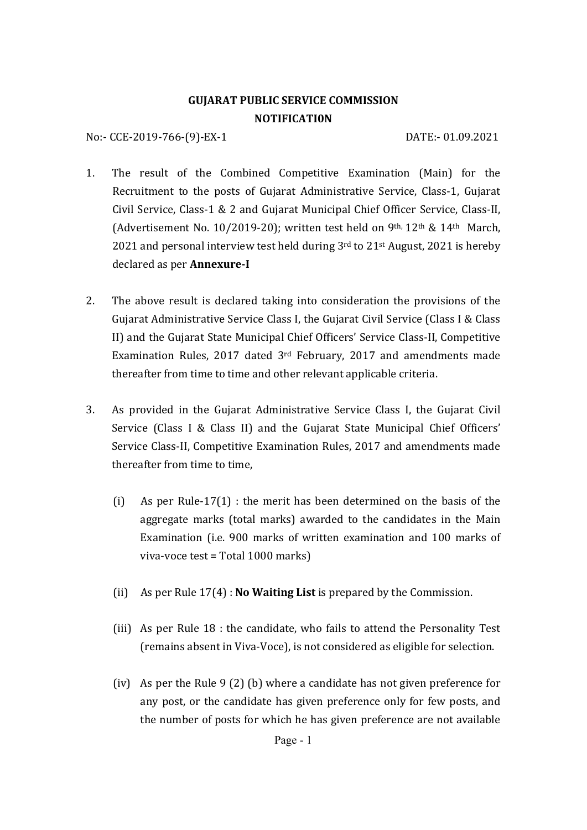# **GUJARAT PUBLIC SERVICE COMMISSION NOTIFICATI0N**

No:- CCE-2019-766-(9)-EX-1 DATE:- 01.09.2021

- 1. The result of the Combined Competitive Examination (Main) for the Recruitment to the posts of Gujarat Administrative Service, Class-1, Gujarat Civil Service, Class-1 & 2 and Gujarat Municipal Chief Officer Service, Class-II, (Advertisement No. 10/2019-20); written test held on 9<sup>th, 12th</sup> & 14<sup>th</sup> March, 2021 and personal interview test held during  $3<sup>rd</sup>$  to 21<sup>st</sup> August, 2021 is hereby declared as per **Annexure‐I**
- 2. The above result is declared taking into consideration the provisions of the Gujarat Administrative Service Class I, the Gujarat Civil Service (Class I & Class II) and the Gujarat State Municipal Chief Officers' Service Class-II, Competitive Examination Rules, 2017 dated 3rd February, 2017 and amendments made thereafter from time to time and other relevant applicable criteria.
- 3. As provided in the Gujarat Administrative Service Class I, the Gujarat Civil Service (Class I & Class II) and the Gujarat State Municipal Chief Officers' Service Class-II, Competitive Examination Rules, 2017 and amendments made thereafter from time to time,
	- (i) As per Rule-17(1) : the merit has been determined on the basis of the aggregate marks (total marks) awarded to the candidates in the Main Examination (i.e. 900 marks of written examination and 100 marks of viva-voce test = Total 1000 marks)
	- (ii) As per Rule 17(4) : **No Waiting List** is prepared by the Commission.
	- (iii) As per Rule 18 : the candidate, who fails to attend the Personality Test (remains absent in Viva-Voce), is not considered as eligible for selection.
	- (iv) As per the Rule 9 (2) (b) where a candidate has not given preference for any post, or the candidate has given preference only for few posts, and the number of posts for which he has given preference are not available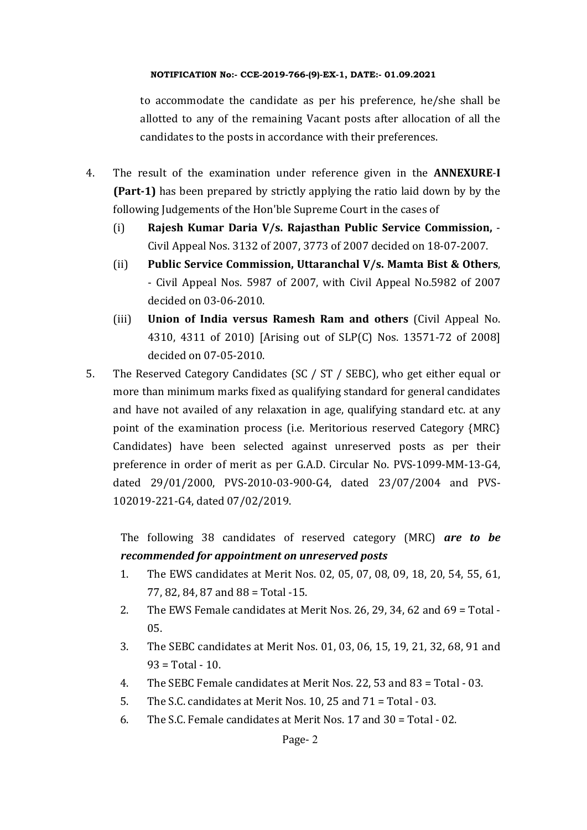to accommodate the candidate as per his preference, he/she shall be allotted to any of the remaining Vacant posts after allocation of all the candidates to the posts in accordance with their preferences.

- 4. The result of the examination under reference given in the **ANNEXURE**-**I (Part‐1)** has been prepared by strictly applying the ratio laid down by by the following Judgements of the Hon'ble Supreme Court in the cases of
	- (i) **Rajesh Kumar Daria V/s. Rajasthan Public Service Commission,** Civil Appeal Nos. 3132 of 2007, 3773 of 2007 decided on 18-07-2007.
	- (ii) **Public Service Commission, Uttaranchal V/s. Mamta Bist & Others**, - Civil Appeal Nos. 5987 of 2007, with Civil Appeal No.5982 of 2007 decided on 03-06-2010.
	- (iii) **Union of India versus Ramesh Ram and others** (Civil Appeal No. 4310, 4311 of 2010) [Arising out of SLP(C) Nos. 13571-72 of 2008] decided on 07-05-2010.
- 5. The Reserved Category Candidates (SC / ST / SEBC), who get either equal or more than minimum marks fixed as qualifying standard for general candidates and have not availed of any relaxation in age, qualifying standard etc. at any point of the examination process (i.e. Meritorious reserved Category {MRC} Candidates) have been selected against unreserved posts as per their preference in order of merit as per G.A.D. Circular No. PVS-1099-MM-13-G4, dated 29/01/2000, PVS-2010-03-900-G4, dated 23/07/2004 and PVS-102019-221-G4, dated 07/02/2019.

The following 38 candidates of reserved category (MRC) *are to be recommended for appointment on unreserved posts*

- 1. The EWS candidates at Merit Nos. 02, 05, 07, 08, 09, 18, 20, 54, 55, 61, 77, 82, 84, 87 and 88 = Total -15.
- 2. The EWS Female candidates at Merit Nos. 26, 29, 34, 62 and 69 = Total 05.
- 3. The SEBC candidates at Merit Nos. 01, 03, 06, 15, 19, 21, 32, 68, 91 and  $93 = Total - 10.$
- 4. The SEBC Female candidates at Merit Nos. 22, 53 and 83 = Total 03.
- 5. The S.C. candidates at Merit Nos. 10, 25 and 71 = Total 03.
- 6. The S.C. Female candidates at Merit Nos. 17 and 30 = Total 02.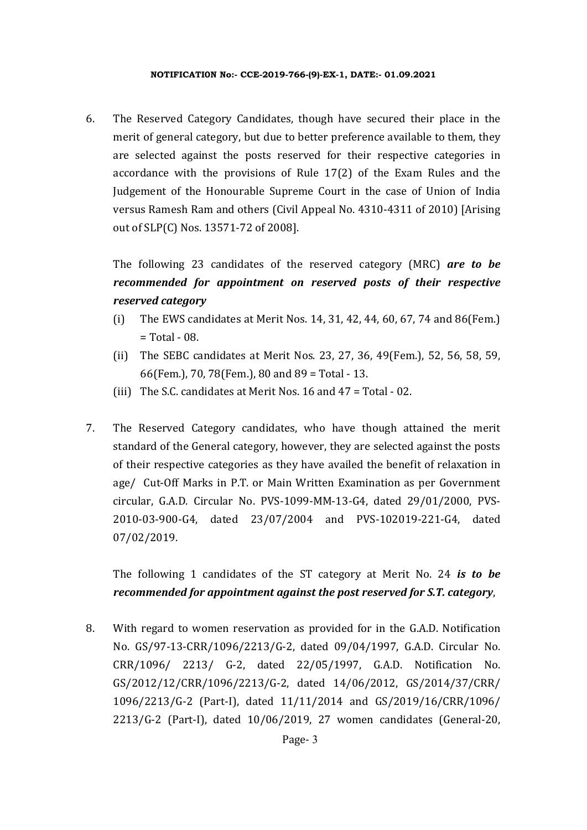6. The Reserved Category Candidates, though have secured their place in the merit of general category, but due to better preference available to them, they are selected against the posts reserved for their respective categories in accordance with the provisions of Rule 17(2) of the Exam Rules and the Judgement of the Honourable Supreme Court in the case of Union of India versus Ramesh Ram and others (Civil Appeal No. 4310-4311 of 2010) [Arising out of SLP(C) Nos. 13571-72 of 2008].

The following 23 candidates of the reserved category (MRC) *are to be recommended for appointment on reserved posts of their respective reserved category*

- (i) The EWS candidates at Merit Nos. 14, 31, 42, 44, 60, 67, 74 and 86(Fem.)  $=$  Total - 08.
- (ii) The SEBC candidates at Merit Nos. 23, 27, 36, 49(Fem.), 52, 56, 58, 59, 66(Fem.), 70, 78(Fem.), 80 and 89 = Total - 13.
- (iii) The S.C. candidates at Merit Nos. 16 and 47 = Total 02.
- 7. The Reserved Category candidates, who have though attained the merit standard of the General category, however, they are selected against the posts of their respective categories as they have availed the benefit of relaxation in age/ Cut-Off Marks in P.T. or Main Written Examination as per Government circular, G.A.D. Circular No. PVS-1099-MM-13-G4, dated 29/01/2000, PVS-2010-03-900-G4, dated 23/07/2004 and PVS-102019-221-G4, dated 07/02/2019.

The following 1 candidates of the ST category at Merit No. 24 *is to be recommended for appointment against the post reserved for S.T. category*,

8. With regard to women reservation as provided for in the G.A.D. Notification No. GS/97-13-CRR/1096/2213/G-2, dated 09/04/1997, G.A.D. Circular No. CRR/1096/ 2213/ G-2, dated 22/05/1997, G.A.D. Notification No. GS/2012/12/CRR/1096/2213/G-2, dated 14/06/2012, GS/2014/37/CRR/ 1096/2213/G-2 (Part-I), dated 11/11/2014 and GS/2019/16/CRR/1096/ 2213/G-2 (Part-I), dated 10/06/2019, 27 women candidates (General-20,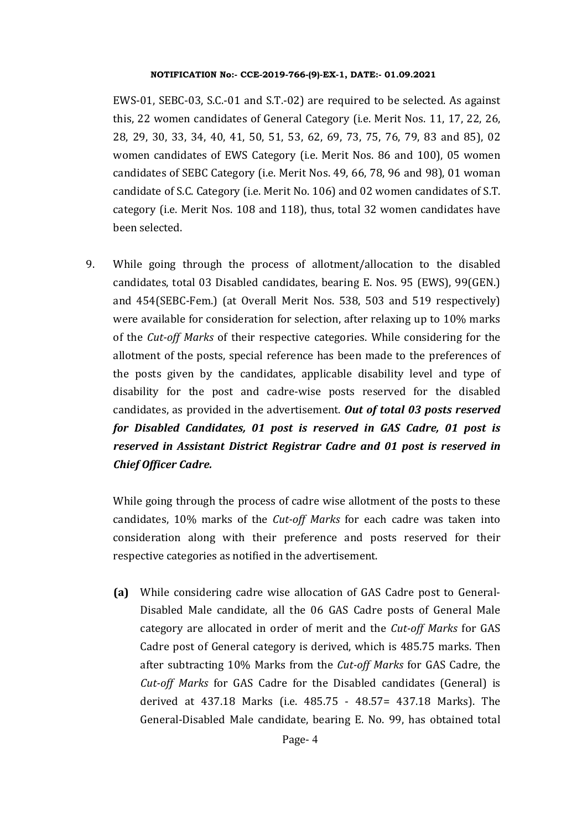EWS-01, SEBC-03, S.C.-01 and S.T.-02) are required to be selected. As against this, 22 women candidates of General Category (i.e. Merit Nos. 11, 17, 22, 26, 28, 29, 30, 33, 34, 40, 41, 50, 51, 53, 62, 69, 73, 75, 76, 79, 83 and 85), 02 women candidates of EWS Category (i.e. Merit Nos. 86 and 100), 05 women candidates of SEBC Category (i.e. Merit Nos. 49, 66, 78, 96 and 98), 01 woman candidate of S.C. Category (i.e. Merit No. 106) and 02 women candidates of S.T. category (i.e. Merit Nos. 108 and 118), thus, total 32 women candidates have been selected.

9. While going through the process of allotment/allocation to the disabled candidates, total 03 Disabled candidates, bearing E. Nos. 95 (EWS), 99(GEN.) and 454(SEBC-Fem.) (at Overall Merit Nos. 538, 503 and 519 respectively) were available for consideration for selection, after relaxing up to 10% marks of the *Cut‐off Marks* of their respective categories. While considering for the allotment of the posts, special reference has been made to the preferences of the posts given by the candidates, applicable disability level and type of disability for the post and cadre-wise posts reserved for the disabled candidates, as provided in the advertisement. *Out of total 03 posts reserved for Disabled Candidates, 01 post is reserved in GAS Cadre, 01 post is reserved in Assistant District Registrar Cadre and 01 post is reserved in Chief Officer Cadre.*

While going through the process of cadre wise allotment of the posts to these candidates, 10% marks of the *Cut‐off Marks* for each cadre was taken into consideration along with their preference and posts reserved for their respective categories as notified in the advertisement.

**(a)** While considering cadre wise allocation of GAS Cadre post to General-Disabled Male candidate, all the 06 GAS Cadre posts of General Male category are allocated in order of merit and the *Cut‐off Marks* for GAS Cadre post of General category is derived, which is 485.75 marks. Then after subtracting 10% Marks from the *Cut‐off Marks* for GAS Cadre, the *Cut‐off Marks* for GAS Cadre for the Disabled candidates (General) is derived at 437.18 Marks (i.e. 485.75 - 48.57= 437.18 Marks). The General-Disabled Male candidate, bearing E. No. 99, has obtained total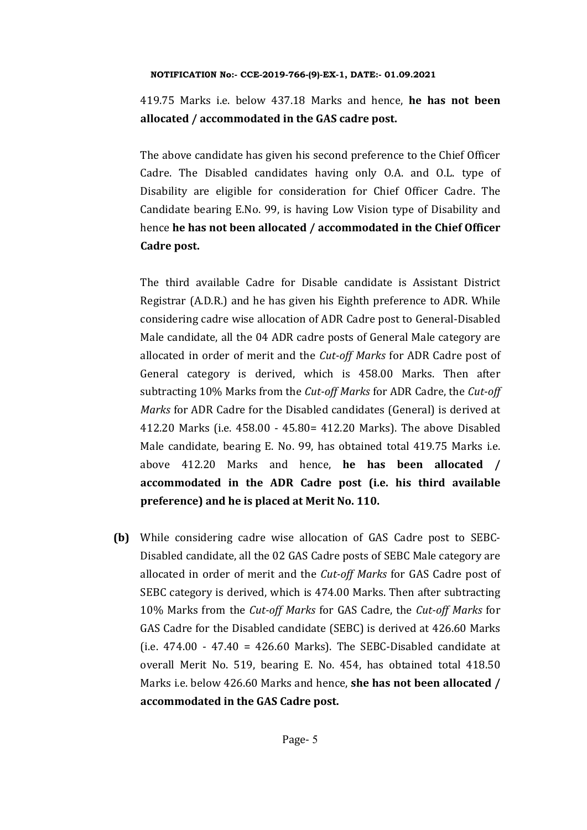419.75 Marks i.e. below 437.18 Marks and hence, **he has not been allocated / accommodated in the GAS cadre post.** 

The above candidate has given his second preference to the Chief Officer Cadre. The Disabled candidates having only O.A. and O.L. type of Disability are eligible for consideration for Chief Officer Cadre. The Candidate bearing E.No. 99, is having Low Vision type of Disability and hence **he has not been allocated / accommodated in the Chief Officer Cadre post.** 

The third available Cadre for Disable candidate is Assistant District Registrar (A.D.R.) and he has given his Eighth preference to ADR. While considering cadre wise allocation of ADR Cadre post to General-Disabled Male candidate, all the 04 ADR cadre posts of General Male category are allocated in order of merit and the *Cut‐off Marks* for ADR Cadre post of General category is derived, which is 458.00 Marks. Then after subtracting 10% Marks from the *Cut‐off Marks* for ADR Cadre, the *Cut‐off Marks* for ADR Cadre for the Disabled candidates (General) is derived at 412.20 Marks (i.e. 458.00 - 45.80= 412.20 Marks). The above Disabled Male candidate, bearing E. No. 99, has obtained total 419.75 Marks i.e. above 412.20 Marks and hence, **he has been allocated / accommodated in the ADR Cadre post (i.e. his third available preference)** and he is placed at Merit No. 110.

**(b)** While considering cadre wise allocation of GAS Cadre post to SEBC-Disabled candidate, all the 02 GAS Cadre posts of SEBC Male category are allocated in order of merit and the *Cut‐off Marks* for GAS Cadre post of SEBC category is derived, which is 474.00 Marks. Then after subtracting 10% Marks from the *Cut‐off Marks* for GAS Cadre, the *Cut‐off Marks* for GAS Cadre for the Disabled candidate (SEBC) is derived at 426.60 Marks (i.e.  $474.00 - 47.40 = 426.60$  Marks). The SEBC-Disabled candidate at overall Merit No. 519, bearing E. No. 454, has obtained total 418.50 Marks i.e. below 426.60 Marks and hence, **she has not been allocated / accommodated in the GAS Cadre post.**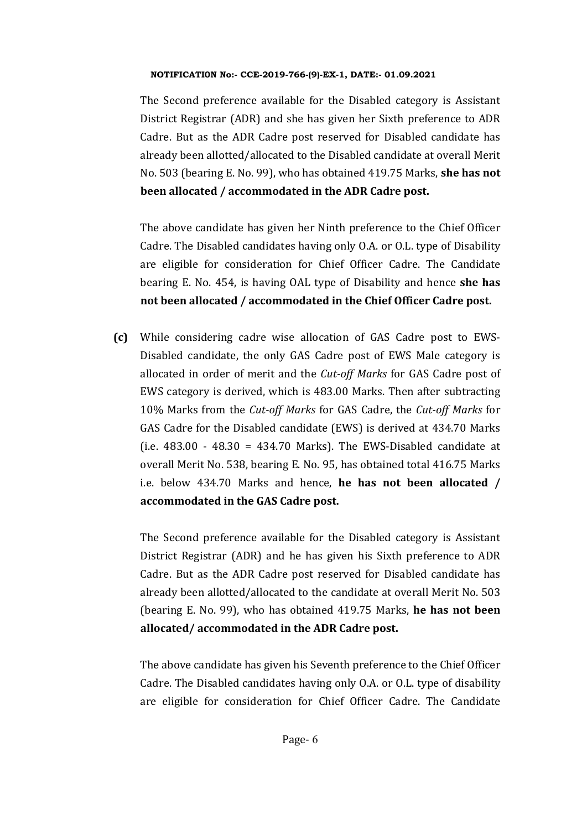The Second preference available for the Disabled category is Assistant District Registrar (ADR) and she has given her Sixth preference to ADR Cadre. But as the ADR Cadre post reserved for Disabled candidate has already been allotted/allocated to the Disabled candidate at overall Merit No. 503 (bearing E. No. 99), who has obtained 419.75 Marks, **she has not been allocated / accommodated in the ADR Cadre post.** 

The above candidate has given her Ninth preference to the Chief Officer Cadre. The Disabled candidates having only O.A. or O.L. type of Disability are eligible for consideration for Chief Officer Cadre. The Candidate bearing E. No. 454, is having OAL type of Disability and hence **she has not been allocated / accommodated in the Chief Officer Cadre post.**

**(c)** While considering cadre wise allocation of GAS Cadre post to EWS-Disabled candidate, the only GAS Cadre post of EWS Male category is allocated in order of merit and the *Cut‐off Marks* for GAS Cadre post of EWS category is derived, which is 483.00 Marks. Then after subtracting 10% Marks from the *Cut‐off Marks* for GAS Cadre, the *Cut‐off Marks* for GAS Cadre for the Disabled candidate (EWS) is derived at 434.70 Marks (i.e.  $483.00 - 48.30 = 434.70$  Marks). The EWS-Disabled candidate at overall Merit No. 538, bearing E. No. 95, has obtained total 416.75 Marks i.e. below 434.70 Marks and hence, **he has not been allocated / accommodated in the GAS Cadre post.** 

The Second preference available for the Disabled category is Assistant District Registrar (ADR) and he has given his Sixth preference to ADR Cadre. But as the ADR Cadre post reserved for Disabled candidate has already been allotted/allocated to the candidate at overall Merit No. 503 (bearing E. No. 99), who has obtained 419.75 Marks, **he has not been allocated/ accommodated in the ADR Cadre post.** 

The above candidate has given his Seventh preference to the Chief Officer Cadre. The Disabled candidates having only O.A. or O.L. type of disability are eligible for consideration for Chief Officer Cadre. The Candidate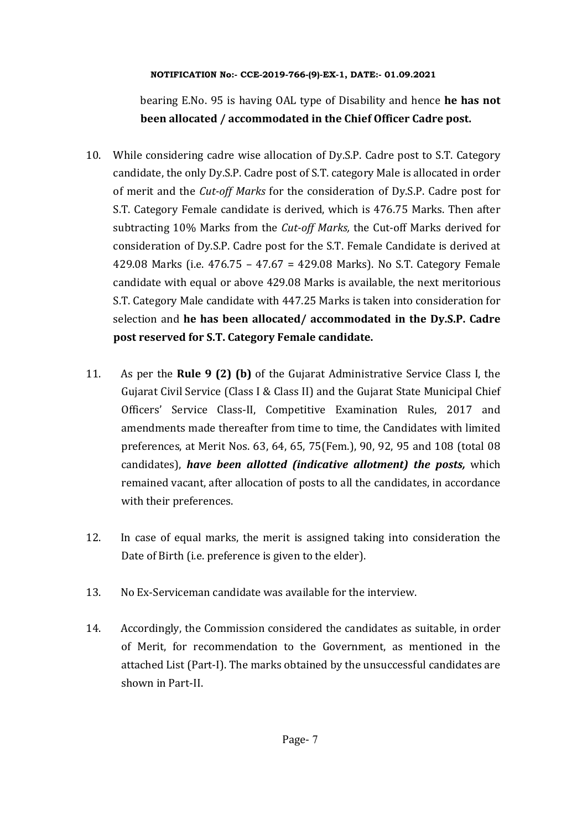bearing E.No. 95 is having OAL type of Disability and hence **he has not been allocated / accommodated in the Chief Officer Cadre post.**

- 10. While considering cadre wise allocation of Dy.S.P. Cadre post to S.T. Category candidate, the only Dy.S.P. Cadre post of S.T. category Male is allocated in order of merit and the *Cut‐off Marks* for the consideration of Dy.S.P. Cadre post for S.T. Category Female candidate is derived, which is 476.75 Marks. Then after subtracting 10% Marks from the *Cut-off Marks*, the Cut-off Marks derived for consideration of Dy.S.P. Cadre post for the S.T. Female Candidate is derived at 429.08 Marks (i.e. 476.75 – 47.67 = 429.08 Marks). No S.T. Category Female candidate with equal or above 429.08 Marks is available, the next meritorious S.T. Category Male candidate with 447.25 Marks is taken into consideration for selection and **he has been allocated/ accommodated in the Dy.S.P. Cadre post reserved for S.T. Category Female candidate.**
- 11. As per the **Rule 9 (2) (b)** of the Gujarat Administrative Service Class I, the Gujarat Civil Service (Class I & Class II) and the Gujarat State Municipal Chief Officers' Service Class-II, Competitive Examination Rules, 2017 and amendments made thereafter from time to time, the Candidates with limited preferences, at Merit Nos. 63, 64, 65, 75(Fem.), 90, 92, 95 and 108 (total 08 candidates), *have been allotted (indicative allotment) the posts,* which remained vacant, after allocation of posts to all the candidates, in accordance with their preferences.
- 12. In case of equal marks, the merit is assigned taking into consideration the Date of Birth (i.e. preference is given to the elder).
- 13. No Ex-Serviceman candidate was available for the interview.
- 14. Accordingly, the Commission considered the candidates as suitable, in order of Merit, for recommendation to the Government, as mentioned in the attached List (Part-I). The marks obtained by the unsuccessful candidates are shown in Part-II.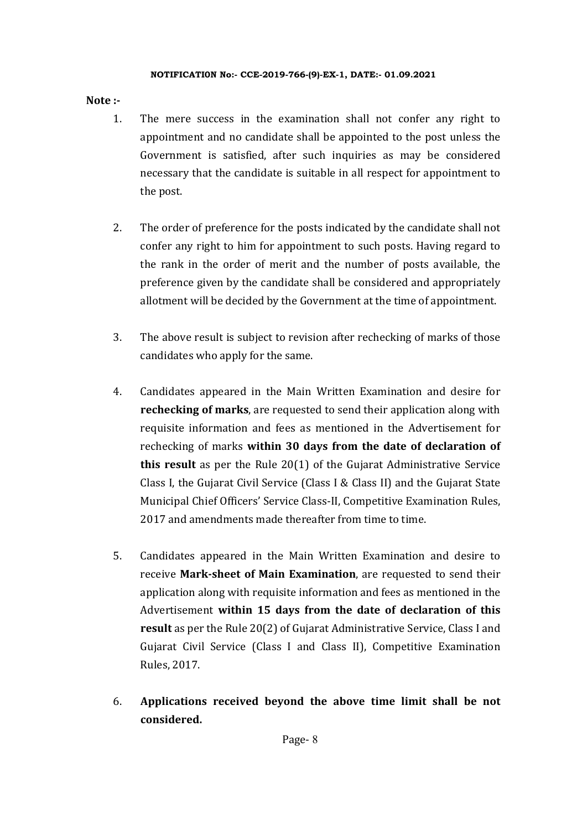# **Note**  $:$

- 1. The mere success in the examination shall not confer any right to appointment and no candidate shall be appointed to the post unless the Government is satisfied, after such inquiries as may be considered necessary that the candidate is suitable in all respect for appointment to the post.
- 2. The order of preference for the posts indicated by the candidate shall not confer any right to him for appointment to such posts. Having regard to the rank in the order of merit and the number of posts available, the preference given by the candidate shall be considered and appropriately allotment will be decided by the Government at the time of appointment.
- 3. The above result is subject to revision after rechecking of marks of those candidates who apply for the same.
- 4. Candidates appeared in the Main Written Examination and desire for **rechecking of marks**, are requested to send their application along with requisite information and fees as mentioned in the Advertisement for rechecking of marks **within 30 days from the date of declaration of this result** as per the Rule 20(1) of the Gujarat Administrative Service Class I, the Gujarat Civil Service (Class I & Class II) and the Gujarat State Municipal Chief Officers' Service Class-II, Competitive Examination Rules, 2017 and amendments made thereafter from time to time.
- 5. Candidates appeared in the Main Written Examination and desire to receive **Mark‐sheet of Main Examination**, are requested to send their application along with requisite information and fees as mentioned in the Advertisement **within 15 days from the date of declaration of this result** as per the Rule 20(2) of Gujarat Administrative Service, Class I and Gujarat Civil Service (Class I and Class II), Competitive Examination Rules, 2017.
- 6. **Applications received beyond the above time limit shall be not considered.**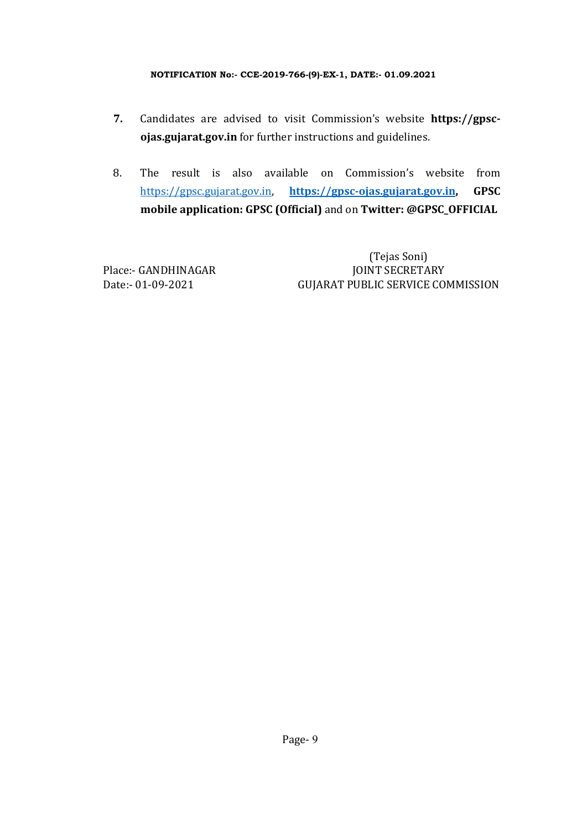- **7.** Candidates are advised to visit Commission's website **https://gpsc‐ ojas.gujarat.gov.in** for further instructions and guidelines.
- 8. The result is also available on Commission's website from https://gpsc.gujarat.gov.in, **https://gpsc‐ojas.gujarat.gov.in, GPSC mobile application: GPSC (Official)** and on **Twitter: @GPSC\_OFFICIAL**

 (Tejas Soni) Place:- GANDHINAGAR JOINT SECRETARY Date:- 01-09-2021 GUJARAT PUBLIC SERVICE COMMISSION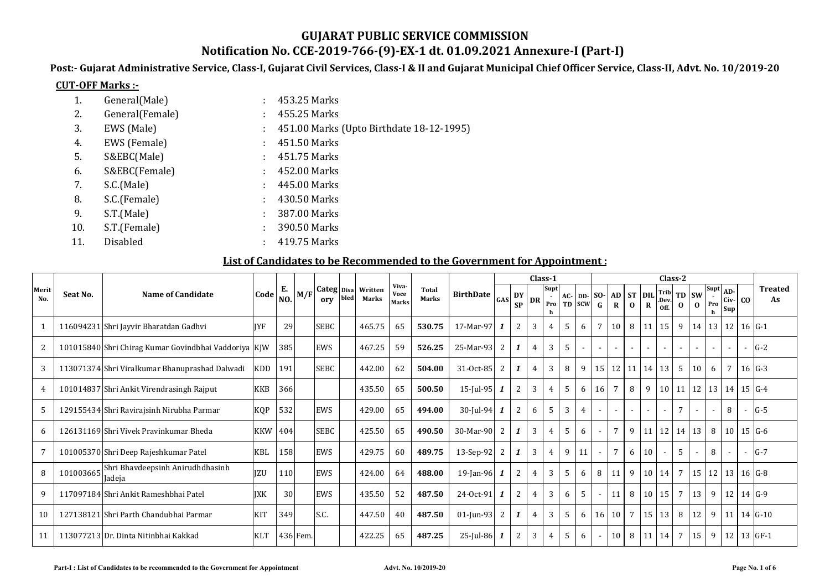# **GUJARAT PUBLIC SERVICE COMMISSION**

# **Notification No. CCE‐2019‐766‐(9)‐EX‐1 dt. 01.09.2021 Annexure‐I (Part‐I)**

Post:- Gujarat Administrative Service, Class-I, Gujarat Civil Services, Class-I & II and Gujarat Municipal Chief Officer Service, Class-II, Advt. No. 10/2019-20

#### **CUT‐OFF Marks :‐**

| 1.  | General(Male)   |    | 453.25 Marks                             |
|-----|-----------------|----|------------------------------------------|
| 2.  | General(Female) |    | 455.25 Marks                             |
| 3.  | EWS (Male)      |    | 451.00 Marks (Upto Birthdate 18-12-1995) |
| 4.  | EWS (Female)    | t. | 451.50 Marks                             |
| 5.  | S&EBC(Male)     | ÷. | 451.75 Marks                             |
| 6.  | S&EBC(Female)   | ÷. | 452.00 Marks                             |
| 7.  | S.C.(Male)      | ÷. | 445.00 Marks                             |
| 8.  | S.C.(Female)    |    | 430.50 Marks                             |
| 9.  | S.T.(Male)      | ÷  | 387.00 Marks                             |
| 10. | S.T.(Female)    | ÷  | 390.50 Marks                             |
| 11. | Disabled        |    | 419.75 Marks                             |

### **List of Candidates to be Recommended to the Government for Appointment :**

|              |           |                                                      |            |                |          |                   |      |                  |                        |                              |                  |              |                        |                | Class-1     |   |                          |                 |                          |                           |             | Class-2                  |                 |                                                                                 |                                                    |                    |                          |                      |
|--------------|-----------|------------------------------------------------------|------------|----------------|----------|-------------------|------|------------------|------------------------|------------------------------|------------------|--------------|------------------------|----------------|-------------|---|--------------------------|-----------------|--------------------------|---------------------------|-------------|--------------------------|-----------------|---------------------------------------------------------------------------------|----------------------------------------------------|--------------------|--------------------------|----------------------|
| Merit<br>No. | Seat No.  | Name of Candidate                                    | Code       | N <sub>O</sub> | M/F      | Categ Disa<br>orv | bled | Written<br>Marks | Viva-<br>Voce<br>Marks | <b>Total</b><br><b>Marks</b> | <b>BirthDate</b> | GAS          | <b>DY</b><br><b>SP</b> | DR             | Supt<br>Pro |   | $AC$ - DD-<br>TD SCW     | $SO-$<br>G      | $\mathbf{R}$             | AD ST DIL<br>$\mathbf{0}$ | $\mathbf R$ | Off.                     | $\mathbf{0}$    | $Trib$ TD SW<br>Dev. $\begin{bmatrix} 1 & 0 \\ 0 & 0 \end{bmatrix}$<br>$\bf{0}$ | $\overline{\text{Supt}}$ AD-<br>Pro<br>$\mathbf h$ | Civ-<br><b>Sup</b> | co                       | <b>Treated</b><br>As |
|              |           | 116094231 Shri Jayvir Bharatdan Gadhvi               | <b>IYF</b> | 29             |          | <b>SEBC</b>       |      | 465.75           | 65                     | 530.75                       | 17-Mar-97        |              | 2                      | 3              | 4           | 5 | 6                        |                 | 10                       | 8                         | 11          | 15                       | 9               | 14                                                                              |                                                    | 13 12              |                          | $16 G-1$             |
| 2            |           | 101015840 Shri Chirag Kumar Govindbhai Vaddoriya KJW |            | 385            |          | <b>EWS</b>        |      | 467.25           | 59                     | 526.25                       | 25-Mar-93        | 2            |                        | $\overline{4}$ | 3           | 5 | $\overline{\phantom{a}}$ |                 | $\sim$                   | $\sim$                    | $\sim$      | $\overline{\phantom{a}}$ |                 |                                                                                 | $\overline{\phantom{a}}$                           | $\sim$             | $\sim$                   | $G-2$                |
| 3            |           | 113071374 Shri Viralkumar Bhanuprashad Dalwadi       | <b>KDD</b> | 191            |          | <b>SEBC</b>       |      | 442.00           | 62                     | 504.00                       | 31-Oct-85        | 2            |                        | $\overline{4}$ | 3           | 8 | 9                        | 15              |                          | $12$ 11 14                |             | 13                       | 5               | 10                                                                              | 6                                                  | $7\overline{ }$    |                          | $16$ $G-3$           |
| 4            |           | 101014837 Shri Ankit Virendrasingh Rajput            | <b>KKB</b> | 366            |          |                   |      | 435.50           | 65                     | 500.50                       | $15$ -Jul-95     | 1            | 2                      | 3              | 4           | 5 | 6                        | 16              | $7\overline{ }$          | 8                         | 9           | $10$   11                |                 | 12                                                                              |                                                    | $13 \mid 14 \mid$  |                          | $15 \, G-4$          |
| 5            |           | 129155434 Shri Ravirajsinh Nirubha Parmar            | <b>KQP</b> | 532            |          | EWS               |      | 429.00           | 65                     | 494.00                       | 30-Jul-94        |              | $\overline{2}$         | 6              | 5           | 3 | $\overline{4}$           |                 | $\overline{\phantom{a}}$ | $\sim$                    | $\sim$      | $\overline{a}$           | 7               |                                                                                 | $\overline{\phantom{a}}$                           | 8                  | $\sim$                   | $G-5$                |
| 6            |           | 126131169 Shri Vivek Pravinkumar Bheda               | <b>KKW</b> | 404            |          | <b>SEBC</b>       |      | 425.50           | 65                     | 490.50                       | 30-Mar-90        | 2            |                        | 3              | 4           | 5 | 6                        |                 | $7\phantom{.0}$          | 9                         | 11          | 12 14                    |                 | 13                                                                              | 8                                                  | 10 <sup>1</sup>    |                          | $15$ G-6             |
| 7            |           | 101005370 Shri Deep Rajeshkumar Patel                | <b>KBL</b> | 158            |          | EWS               |      | 429.75           | 60                     | 489.75                       | 13-Sep-92        | 2            |                        | 3              | 4           | 9 | 11                       |                 | $7\phantom{.0}$          | 6                         | 10          | $\overline{\phantom{a}}$ | 5               |                                                                                 | 8                                                  |                    | $\overline{\phantom{a}}$ | $G-7$                |
| 8            | 101003665 | Shri Bhavdeepsinh Anirudhdhasinh<br>Jadeja           | <b>IZU</b> | 110            |          | <b>EWS</b>        |      | 424.00           | 64                     | 488.00                       | 19-Jan-96        | 1            | $\overline{2}$         | $\overline{4}$ | 3           | 5 | 6                        | 8               | 11                       | 9                         | 10          | 14                       | 7               | 15 <sup>1</sup>                                                                 |                                                    | $12 \mid 13 \mid$  |                          | $16$ G-8             |
| 9            |           | 117097184 Shri Ankit Rameshbhai Patel                | <b>IXK</b> | 30             |          | <b>EWS</b>        |      | 435.50           | 52                     | 487.50                       | 24-Oct-91        | $\mathbf{1}$ | $\overline{2}$         | $\overline{4}$ | 3           | 6 | 5                        |                 | 11                       | 8                         | 10          | 15                       | $7\overline{ }$ | 13                                                                              | 9                                                  | 12                 |                          | 14 G-9               |
| 10           |           | 127138121 Shri Parth Chandubhai Parmar               | KIT        | 349            |          | S.C.              |      | 447.50           | 40                     | 487.50                       | $01$ -Jun-93     | 2            |                        | $\overline{4}$ | 3           | 5 | 6                        | 16 <sup>1</sup> | 10 <sup>1</sup>          | $\overline{7}$            | 15          | 13                       | 8               | 12                                                                              | 9                                                  | 11                 |                          | $14 \text{ G} - 10$  |
| 11           |           | 113077213 Dr. Dinta Nitinbhai Kakkad                 | <b>KLT</b> |                | 436 Fem. |                   |      | 422.25           | 65                     | 487.25                       | $25$ -Jul-86     |              | 2                      | 3              | 4           | 5 | 6                        |                 | 10 <sup>1</sup>          | 8   11                    |             | 14                       | $7\overline{ }$ | 15                                                                              | 9                                                  | 12 <sup>1</sup>    |                          | 13 GF-1              |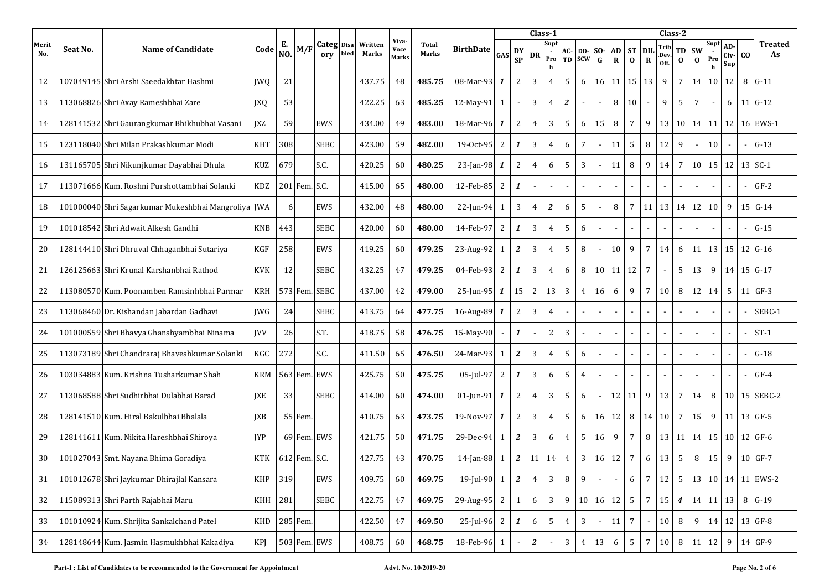|              |          |                                                     |            |           |               |                   |      |                         |                               |                       |                  |                          |                  |                | Class-1          |                |                             |                 |                          |                       |                           | Class-2              |                  |                       |          |                          |                |                           |
|--------------|----------|-----------------------------------------------------|------------|-----------|---------------|-------------------|------|-------------------------|-------------------------------|-----------------------|------------------|--------------------------|------------------|----------------|------------------|----------------|-----------------------------|-----------------|--------------------------|-----------------------|---------------------------|----------------------|------------------|-----------------------|----------|--------------------------|----------------|---------------------------|
| Merit<br>No. | Seat No. | <b>Name of Candidate</b>                            | Code       | Е.<br>NO. | M/F           | Categ Disa<br>orv | bled | Written<br><b>Marks</b> | Viva-<br>Voce<br><b>Marks</b> | <b>Total</b><br>Marks | <b>BirthDate</b> | GAS                      | DY<br><b>SP</b>  | DR             | Supt<br>Pro<br>h | AC-<br>TD      | <b>DD-SO-</b><br><b>SCW</b> | $\mathbf G$     | <b>AD</b><br>$\mathbf R$ | <b>ST</b><br>$\bf{0}$ | <b>DIL</b><br>$\mathbf R$ | Trib<br>.Dev<br>Off. | TD<br>$\bf{0}$   | <b>SW</b><br>$\bf{0}$ | Pro<br>h | AD-<br>Civ-<br>Sup       | CO.            | Treated<br>As             |
| 12           |          | 107049145 Shri Arshi Saeedakhtar Hashmi             | <b>IWO</b> | 21        |               |                   |      | 437.75                  | 48                            | 485.75                | 08-Mar-93        | 1                        | $\overline{2}$   | 3              | $\overline{4}$   | 5              | 6                           | 16              | 11                       | 15                    | 13                        | 9                    | $\overline{7}$   | 14                    | 10       | 12                       |                | 8 G-11                    |
| 13           |          | 113068826 Shri Axay Rameshbhai Zare                 | <b>JXQ</b> | 53        |               |                   |      | 422.25                  | 63                            | 485.25                | 12-May-91        | $\mathbf{1}$             |                  | 3              | $\overline{4}$   | 2              | $\blacksquare$              |                 | 8                        | 10                    |                           | 9                    | 5                | 7                     |          | 6                        |                | $11 \text{ G} - 12$       |
| 14           |          | 128141532 Shri Gaurangkumar Bhikhubhai Vasani       | <b>IXZ</b> | 59        |               | EWS               |      | 434.00                  | 49                            | 483.00                | 18-Mar-96        | 1                        | 2                | 4              | 3                | 5              | 6                           | 15              | 8                        | $\overline{7}$        | 9                         | 13                   | 10               | 14                    | 11       | 12                       |                | 16 EWS-1                  |
| 15           |          | 123118040 Shri Milan Prakashkumar Modi              | <b>KHT</b> | 308       |               | SEBC              |      | 423.00                  | 59                            | 482.00                | 19-0ct-95        | 2                        | 1                | 3              | $\overline{4}$   | 6              | $\overline{7}$              |                 | 11                       | 5                     | 8                         | 12                   | 9                |                       | 10       | $\sim$                   | $\sim$         | $G-13$                    |
| 16           |          | 131165705 Shri Nikunjkumar Dayabhai Dhula           | <b>KUZ</b> | 679       |               | S.C.              |      | 420.25                  | 60                            | 480.25                | 23-Jan-98        | 1                        | 2                | 4              | 6                | 5              | 3                           |                 | 11                       | 8                     | 9                         | 14                   | $\overline{7}$   | 10                    | 15       | 12                       |                | $13$ SC-1                 |
| 17           |          | 113071666 Kum. Roshni Purshottambhai Solanki        | <b>KDZ</b> |           | 201 Fem. S.C. |                   |      | 415.00                  | 65                            | 480.00                | 12-Feb-85        | $\mathbf{2}$             | 1                | $\blacksquare$ | $\blacksquare$   |                |                             |                 |                          |                       | $\blacksquare$            |                      |                  |                       |          | $\overline{\phantom{a}}$ |                | $GF-2$                    |
| 18           |          | 101000040 Shri Sagarkumar Mukeshbhai Mangroliya JWA |            | 6         |               | <b>EWS</b>        |      | 432.00                  | 48                            | 480.00                | 22-Jun-94        | $\mathbf{1}$             | 3                | $\overline{4}$ | $\boldsymbol{2}$ | 6              | 5                           |                 | 8                        | $\overline{7}$        | 11                        | 13                   | 14               | 12                    | 10       | 9                        |                | $15 G-14$                 |
| 19           |          | 101018542 Shri Adwait Alkesh Gandhi                 | <b>KNB</b> | 443       |               | SEBC              |      | 420.00                  | 60                            | 480.00                | 14-Feb-97        | 2                        | 1                | 3              | $\overline{4}$   | 5              | 6                           |                 |                          |                       |                           |                      |                  |                       |          |                          |                | $G-15$                    |
| 20           |          | 128144410 Shri Dhruval Chhaganbhai Sutariya         | <b>KGF</b> | 258       |               | EWS               |      | 419.25                  | 60                            | 479.25                | 23-Aug-92        | 1                        | 2                | 3              | $\overline{4}$   | 5              | 8                           |                 | 10                       | 9                     | $\overline{7}$            | 14                   | 6                | 11                    | 13       | 15                       |                | $12 \, G - 16$            |
| 21           |          | 126125663 Shri Krunal Karshanbhai Rathod            | <b>KVK</b> | 12        |               | <b>SEBC</b>       |      | 432.25                  | 47                            | 479.25                | 04-Feb-93        | $\overline{2}$           | 1                | 3              | $\overline{4}$   | 6              | 8                           | 10 <sup>1</sup> | 11                       | 12                    | $\overline{7}$            |                      | 5                | 13                    | 9        | 14                       |                | $15 G-17$                 |
| 22           |          | 113080570 Kum. Poonamben Ramsinhbhai Parmar         | <b>KRH</b> |           |               | 573 Fem. SEBC     |      | 437.00                  | 42                            | 479.00                | 25-Jun-95        | $\mathbf{1}$             | 15               | 2              | 13               | 3              | $\overline{4}$              | 16              | 6                        | 9                     | $7\overline{ }$           | 10                   | 8                | 12                    | 14       | 5                        |                | $11$ GF-3                 |
| 23           |          | 113068460 Dr. Kishandan Jabardan Gadhavi            | <b>IWG</b> | 24        |               | SEBC              |      | 413.75                  | 64                            | 477.75                | 16-Aug-89 1      |                          | 2                | 3              | $\overline{4}$   |                |                             |                 |                          |                       | $\sim$                    |                      |                  |                       |          |                          |                | SEBC-1                    |
| 24           |          | 101000559 Shri Bhavya Ghanshyambhai Ninama          | <b>IVV</b> | 26        |               | S.T.              |      | 418.75                  | 58                            | 476.75                | 15-May-90        | $\overline{\phantom{a}}$ | 1                | $\blacksquare$ | 2                | $\mathbf{3}$   |                             |                 |                          | $\blacksquare$        | $\blacksquare$            | $\sim$               | $\blacksquare$   | $\blacksquare$        |          | $\overline{\phantom{a}}$ | $\blacksquare$ | $ST-1$                    |
| 25           |          | 113073189 Shri Chandraraj Bhaveshkumar Solanki      | KGC        | 272       |               | S.C.              |      | 411.50                  | 65                            | 476.50                | 24-Mar-93        | 1                        | 2                | 3              | $\overline{4}$   | 5              | 6                           |                 |                          |                       |                           |                      |                  |                       |          |                          |                | $G-18$                    |
| 26           |          | 103034883 Kum. Krishna Tusharkumar Shah             | <b>KRM</b> |           | 563 Fem. EWS  |                   |      | 425.75                  | 50                            | 475.75                | 05-Jul-97        | 2                        | 1                | 3              | 6                | 5              | 4                           |                 |                          |                       |                           |                      |                  |                       |          |                          |                | $GF-4$                    |
| 27           |          | 113068588 Shri Sudhirbhai Dulabhai Barad            | <b>IXE</b> | 33        |               | SEBC              |      | 414.00                  | 60                            | 474.00                | $01$ -Jun-91     | 1                        | 2                | 4              | 3                | 5              | 6                           |                 | 12                       | 11                    | 9                         | 13                   | 7                | 14                    | 8        | 10                       | 15             | SEBC-2                    |
| 28           |          | 128141510 Kum. Hiral Bakulbhai Bhalala              | <b>IXB</b> |           | 55 Fem        |                   |      | 410.75                  | 63                            | 473.75                | 19-Nov-97        | 1                        | 2                | 3              | $\overline{4}$   | 5              | 6                           | 16              | 12                       | 8                     | 14                        | 10                   | $\overline{7}$   | 15                    | 9        | 11                       |                | 13 GF-5                   |
| 29           |          | 128141611 Kum. Nikita Hareshbhai Shiroya            | <b>IYP</b> |           | 69 Fem. EWS   |                   |      | 421.75                  | 50                            | 471.75                | 29-Dec-94        | 1                        | $\boldsymbol{z}$ | 3              | 6                | 4              | 5                           | 16              | 9                        | $\overline{7}$        | 8                         | 13                   | 11               | 14 I                  |          | $15 \mid 10$             |                | 12 GF-6                   |
| 30           |          | 101027043 Smt. Nayana Bhima Goradiya                | KTK        |           | 612 Fem. S.C. |                   |      | 427.75                  | 43                            | 470.75                | $14$ -Jan-88     | -1                       | 2                | 11             | 14               | 4              | 3                           | 16              | 12                       | 7                     | 6                         | 13                   | 5                | 8                     | 15       | 9                        |                | $10$ GF-7                 |
| 31           |          | 101012678 Shri Jaykumar Dhirajlal Kansara           | KHP        | 319       |               | EWS               |      | 409.75                  | 60                            | 469.75                | 19-Jul-90 $1$    |                          | $\boldsymbol{2}$ | $\overline{4}$ | $\mathbf{3}$     | $\, 8$         | 9                           |                 |                          | 6                     | $7\overline{ }$           | 12                   | $5\phantom{.0}$  |                       |          |                          |                | 13   10   14   11   EWS-2 |
| 32           |          | 115089313 Shri Parth Rajabhai Maru                  | KHH        | 281       |               | SEBC              |      | 422.75                  | 47                            | 469.75                | 29-Aug-95 2      |                          | 1                | 6              | $\mathbf{3}$     | 9              |                             | 10 16           | 12                       | 5 <sup>5</sup>        | $7\overline{ }$           | 15                   | $\boldsymbol{4}$ |                       |          | $14 \mid 11 \mid 13$     |                | 8 G-19                    |
| 33           |          | 101010924 Kum. Shrijita Sankalchand Patel           | <b>KHD</b> |           | 285 Fem.      |                   |      | 422.50                  | 47                            | 469.50                | $25$ -Jul-96 2   |                          | 1                | 6              | $5\phantom{.0}$  | $\overline{4}$ | 3                           |                 | 11                       | $\overline{7}$        |                           | 10                   | 8                | 9                     |          |                          |                | 14 12 13 GF-8             |
| 34           |          | 128148644 Kum. Jasmin Hasmukhbhai Kakadiya          | <b>KPJ</b> |           |               | 503 Fem. EWS      |      | 408.75                  | 60                            | 468.75                | 18-Feb-96 1      |                          |                  | $\mathbf{z}$   |                  | $\mathbf{3}$   | $\overline{4}$              | 13              | 6                        | $5\overline{)}$       | $7\overline{ }$           | 10                   | $\, 8$           | 11                    | 12       | 9                        |                | 14 GF-9                   |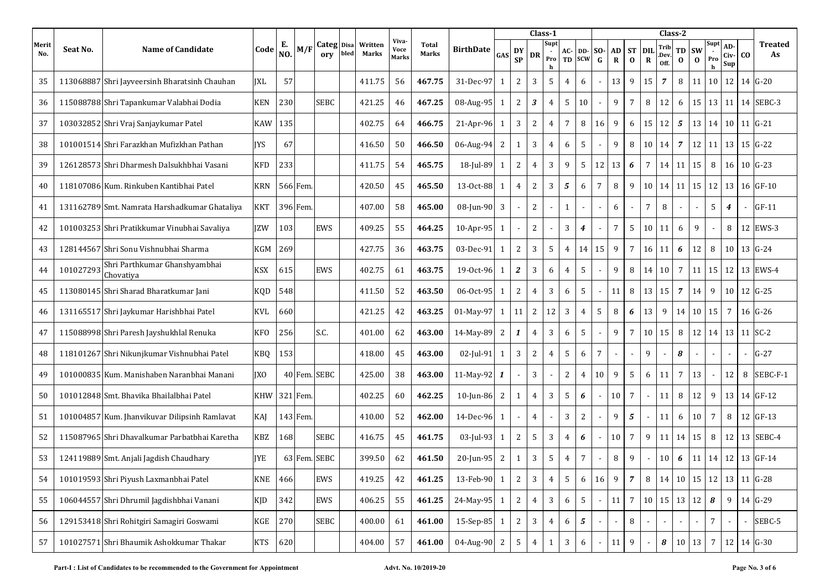|              |           |                                               |            |           |          |                   |      |                  |                        |                       |                  |              |                 |                | Class-1                            |                |                   |                    |                 |                       |                           | Class-2              |                |                       |                            |                    |    |                      |
|--------------|-----------|-----------------------------------------------|------------|-----------|----------|-------------------|------|------------------|------------------------|-----------------------|------------------|--------------|-----------------|----------------|------------------------------------|----------------|-------------------|--------------------|-----------------|-----------------------|---------------------------|----------------------|----------------|-----------------------|----------------------------|--------------------|----|----------------------|
| Merit<br>No. | Seat No.  | <b>Name of Candidate</b>                      | Code       | Е.<br>NO. | M/I      | Categ Disa<br>orv | bled | Written<br>Marks | Viva-<br>Voce<br>Marks | <b>Total</b><br>Marks | <b>BirthDate</b> | GAS          | DY<br><b>SP</b> | DR             | Supt<br>$\blacksquare$<br>Pro<br>h | AC-<br>TD      | DD-<br><b>SCW</b> | SO-<br>$\mathbf G$ | AD<br>${\bf R}$ | <b>ST</b><br>$\bf{0}$ | <b>DIL</b><br>$\mathbf R$ | Trib<br>Dev.<br>Off. | TD<br>$\bf{0}$ | <b>SW</b><br>$\bf{0}$ | Supt<br>Pro<br>$\mathbf h$ | AD-<br>Civ-<br>Sup | co | <b>Treated</b><br>As |
| 35           |           | 113068887 Shri Jayveersinh Bharatsinh Chauhan | IXL        | 57        |          |                   |      | 411.75           | 56                     | 467.75                | 31-Dec-97        | 1            | 2               | 3              | 5                                  | $\overline{4}$ | 6                 |                    | 13              | 9                     | 15                        | $\overline{7}$       | 8              | 11                    | 10                         | 12                 |    | $14 \text{ G} - 20$  |
| 36           |           | 115088788 Shri Tapankumar Valabhai Dodia      | <b>KEN</b> | 230       |          | SEBC              |      | 421.25           | 46                     | 467.25                | 08-Aug-95        | $\mathbf{1}$ | 2               | 3              | $\overline{4}$                     | 5              | 10                |                    | 9               | $7\overline{ }$       | 8                         | 12                   | 6              | 15                    |                            | 13 11              |    | 14 SEBC-3            |
| 37           |           | 103032852 Shri Vraj Sanjaykumar Patel         | KAW        | 135       |          |                   |      | 402.75           | 64                     | 466.75                | 21-Apr-96        | 1            | 3               | 2              | 4                                  | $\overline{7}$ | 8                 | 16                 | 9               | 6                     | 15                        | 12                   | 5              | 13                    | 14                         | 10                 | 11 | $G-21$               |
| 38           |           | 101001514 Shri Farazkhan Mufizkhan Pathan     | <b>IYS</b> | 67        |          |                   |      | 416.50           | 50                     | 466.50                | 06-Aug-94        | $\sqrt{2}$   | 1               | 3              | $\overline{4}$                     | 6              | 5                 |                    | 9               | 8                     | 10                        | 14                   | $\overline{7}$ | 12                    |                            | 11 13              |    | $15 \, G - 22$       |
| 39           |           | 126128573 Shri Dharmesh Dalsukhbhai Vasani    | <b>KFD</b> | 233       |          |                   |      | 411.75           | 54                     | 465.75                | 18-Jul-89        | 1            | 2               | 4              | 3                                  | 9              | 5                 | 12                 | 13              | 6                     | 7                         | 14                   | 11             | 15                    | 8                          | 16                 |    | $10 \text{ G} - 23$  |
| 40           |           | 118107086 Kum. Rinkuben Kantibhai Patel       | <b>KRN</b> |           | 566 Fem. |                   |      | 420.50           | 45                     | 465.50                | 13-Oct-88        | 1            | 4               | 2              | 3                                  | 5              | 6                 | 7                  | $\, 8$          | 9                     | 10                        | 14                   | 11             | 15                    | 12                         | 13                 |    | 16 GF-10             |
| 41           |           | 131162789 Smt. Namrata Harshadkumar Ghataliya | <b>KKT</b> |           | 396 Fem. |                   |      | 407.00           | 58                     | 465.00                | 08-Jun-90        | 3            |                 | $\mathbf{2}$   |                                    | $\mathbf{1}$   |                   |                    | 6               |                       | 7                         | 8                    |                |                       | 5                          | $\boldsymbol{4}$   |    | $GF-11$              |
| 42           |           | 101003253 Shri Pratikkumar Vinubhai Savaliya  | IZW        | 103       |          | EWS               |      | 409.25           | 55                     | 464.25                | 10-Apr-95 1      |              |                 | 2              |                                    | 3              | $\boldsymbol{4}$  |                    | $\overline{7}$  | 5                     | 10                        | 11                   | 6              | 9                     |                            | 8                  |    | 12 EWS-3             |
| 43           |           | 128144567 Shri Sonu Vishnubhai Sharma         | <b>KGM</b> | 269       |          |                   |      | 427.75           | 36                     | 463.75                | 03-Dec-91        | $\mathbf{1}$ | $\overline{2}$  | 3              | 5                                  | $\overline{4}$ | 14                | 15                 | 9               | $\overline{7}$        | 16                        | 11                   | 6              | 12                    | 8                          | 10                 |    | 13 G-24              |
| 44           | 101027293 | Shri Parthkumar Ghanshyambhai<br>Chovativa    | <b>KSX</b> | 615       |          | EWS               |      | 402.75           | 61                     | 463.75                | 19-0ct-96        | 1            | 2               | 3              | 6                                  | $\overline{4}$ | 5                 |                    | 9               | 8                     | 14                        | 10                   | 7              | 11                    | 15                         | 12                 |    | 13 EWS-4             |
| 45           |           | 113080145 Shri Sharad Bharatkumar Jani        | KQD        | 548       |          |                   |      | 411.50           | 52                     | 463.50                | 06-Oct-95        | $\mathbf{1}$ | $\overline{2}$  | 4              | $\mathbf{3}$                       | 6              | 5                 |                    | 11              | 8                     | 13                        | 15                   | $\overline{7}$ | 14                    | 9                          | 10                 |    | 12 G-25              |
| 46           |           | 131165517 Shri Jaykumar Harishbhai Patel      | KVL        | 660       |          |                   |      | 421.25           | 42                     | 463.25                | 01-May-97        | 1            | 11              | 2              | 12                                 | 3              | 4                 | 5                  | 8               | 6                     | 13                        | 9                    | 14             | 10                    | 15                         | $7\overline{ }$    |    | $16 \text{ G} - 26$  |
| 47           |           | 115088998 Shri Paresh Jayshukhlal Renuka      | KFO        | 256       |          | S.C.              |      | 401.00           | 62                     | 463.00                | 14-May-89        | 2            | 1               | $\overline{4}$ | $\overline{3}$                     | 6              | $\sqrt{5}$        |                    | 9               | $7\overline{ }$       | 10                        | 15                   | 8              | 12                    |                            | 14 13              |    | 11 SC-2              |
| 48           |           | 118101267 Shri Nikunjkumar Vishnubhai Patel   | KBQ        | 153       |          |                   |      | 418.00           | 45                     | 463.00                | $02$ -Jul-91     | $\mathbf{1}$ | 3               | 2              | 4                                  | 5              | 6                 | 7                  |                 |                       | 9                         |                      | 8              |                       | $\overline{\phantom{a}}$   |                    |    | $G-27$               |
| 49           |           | 101000835 Kum. Manishaben Naranbhai Manani    | <b>IXO</b> |           |          | 40 Fem. SEBC      |      | 425.00           | 38                     | 463.00                | 11-May-92        | $\mathbf{1}$ |                 | 3              |                                    | 2              | 4                 | 10                 | 9               | 5                     | 6                         | 11                   | 7              | 13                    |                            | 12                 | 8  | SEBC-F-1             |
| 50           |           | 101012848 Smt. Bhavika Bhailalbhai Patel      | <b>KHW</b> |           | 321 Fem  |                   |      | 402.25           | 60                     | 462.25                | $10$ -Jun-86     | 2            | 1               | 4              | 3                                  | 5              | 6                 |                    | 10              | $\overline{7}$        |                           | 11                   | 8              | 12                    | 9                          | 13                 |    | 14 GF-12             |
| 51           |           | 101004857 Kum. Jhanvikuvar Dilipsinh Ramlavat | KAJ        |           | 143 Fem. |                   |      | 410.00           | 52                     | 462.00                | 14-Dec-96        | $\mathbf{1}$ |                 | $\overline{4}$ | $\overline{\phantom{a}}$           | 3              | $\sqrt{2}$        |                    | 9               | 5                     | $\sim$                    | 11                   | 6              | 10                    | $\overline{7}$             | 8                  |    | 12 GF-13             |
| 52           |           | 115087965 Shri Dhavalkumar Parbatbhai Karetha | KBZ        | 168       |          | SEBC              |      | 416.75           | 45                     | 461.75                | $03$ -Jul-93     | 1            | 2               | 5              | 3                                  | 4              | 6                 |                    | 10              | $\overline{7}$        | 9                         | 11                   | 14             | 15                    | 8                          | 12                 |    | 13 SEBC-4            |
| 53           |           | 124119889 Smt. Anjali Jagdish Chaudhary       | IYE        |           |          | 63 Fem. SEBC      |      | 399.50           | 62                     | 461.50                | 20-Jun-95        | 2            | 1               | 3              | 5                                  | 4              | 7                 |                    | 8               | 9                     | $\sim$                    | 10                   | 6              | 11                    | 14                         | 12                 | 13 | $GF-14$              |
| 54           |           | 101019593 Shri Piyush Laxmanbhai Patel        | KNE        | 466       |          | EWS               |      | 419.25           | 42                     | 461.25                | 13-Feb-90        | 1            | $\mathbf{2}$    | $\mathbf{3}$   | $\overline{4}$                     | 5              | $\boldsymbol{6}$  | 16                 | 9               | $\overline{7}$        | $\, 8$                    |                      |                | 14 10 15              |                            | $12 \mid 13$       |    | 11 G-28              |
| 55           |           | 106044557 Shri Dhrumil Jagdishbhai Vanani     | KJD        | 342       |          | EWS               |      | 406.25           | 55                     | 461.25                | 24-May-95 1      |              | $\mathbf{2}$    | $\overline{4}$ | $\mathbf{3}$                       | 6              | $\sqrt{5}$        |                    | 11              | $7\overline{ }$       | 10                        |                      |                | $15 \mid 13 \mid 12$  | 8                          | 9                  |    | 14 G-29              |
| 56           |           | 129153418 Shri Rohitgiri Samagiri Goswami     | $\rm KGE$  | 270       |          | SEBC              |      | 400.00           | 61                     | 461.00                | 15-Sep-85 1      |              | 2               | 3              | $\overline{4}$                     | 6              | $\sqrt{5}$        |                    |                 | 8                     |                           |                      |                |                       | $\overline{7}$             |                    |    | SEBC-5               |
| 57           |           | 101027571 Shri Bhaumik Ashokkumar Thakar      | <b>KTS</b> | 620       |          |                   |      | 404.00           | 57                     | 461.00                | 04-Aug-90 2      |              | 5               | 4              | $\mathbf{1}$                       | 3              | 6                 |                    | 11              | 9                     |                           | 8                    | 10             | 13                    | 7                          | 12                 |    | 14 G-30              |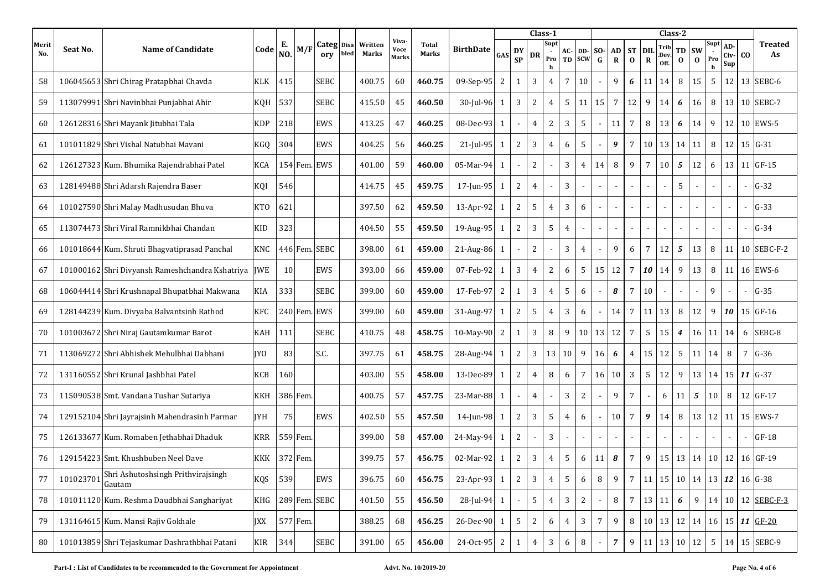|              |           |                                                 |            |           |          |                   |      |                  |                               |                       |                  |                |                          |                | Class-1                  |                |                   |                    |                   |                          |                          |                      | Class-2          |                                           |                            |                          |     |                                                         |
|--------------|-----------|-------------------------------------------------|------------|-----------|----------|-------------------|------|------------------|-------------------------------|-----------------------|------------------|----------------|--------------------------|----------------|--------------------------|----------------|-------------------|--------------------|-------------------|--------------------------|--------------------------|----------------------|------------------|-------------------------------------------|----------------------------|--------------------------|-----|---------------------------------------------------------|
| Merit<br>No. | Seat No.  | Name of Candidate                               | Code       | Е.<br>NO. | M/F      | Categ Disa<br>ory | bled | Written<br>Marks | Viva-<br>Voce<br><b>Marks</b> | <b>Total</b><br>Marks | <b>BirthDate</b> | GAS            | DY<br><b>SP</b>          | DR             | Supt<br>$\sim$<br>Pro    | AC-<br>TD      | DD-<br><b>SCW</b> | SO-<br>$\mathbf G$ | AD<br>$\mathbf R$ | <b>ST</b><br>$\mathbf 0$ | <b>DIL</b><br>$\bf R$    | Trib<br>.Dev<br>Off. | TD<br>$\bf{0}$   | <b>SW</b><br>$\bf{0}$                     | Supt<br>Pro<br>$\mathbf h$ | AD-<br>Civ-<br>Sup       | CO. | <b>Treated</b><br>As                                    |
| 58           |           | 106045653 Shri Chirag Pratapbhai Chavda         | <b>KLK</b> | 415       |          | <b>SEBC</b>       |      | 400.75           | 60                            | 460.75                | 09-Sep-95        | 2              | -1                       | 3              | 4                        | $\overline{7}$ | 10                |                    | 9                 | 6                        | 11                       | 14                   | 8                | 15                                        | 5                          | 12                       |     | 13 SEBC-6                                               |
| 59           |           | 113079991 Shri Navinbhai Punjabhai Ahir         | KQH        | 537       |          | <b>SEBC</b>       |      | 415.50           | 45                            | 460.50                | $30$ -Jul-96     | $\mathbf{1}$   | 3                        | 2              | $\overline{4}$           | 5              | 11                | 15                 | $\overline{7}$    | 12                       | 9                        | 14                   | 6                | 16                                        | 8                          | 13                       | 10  | SEBC-7                                                  |
| 60           |           | 126128316 Shri Mayank Jitubhai Tala             | KDP        | 218       |          | EWS               |      | 413.25           | 47                            | 460.25                | 08-Dec-93        | 1              |                          | 4              | $\sqrt{2}$               | 3              | 5                 |                    | 11                | $7\overline{ }$          | 8                        | 13                   | 6                | 14                                        | 9                          | 12                       | 10  | EWS-5                                                   |
| 61           |           | 101011829 Shri Vishal Natubhai Mayani           | KGQ        | 304       |          | EWS               |      | 404.25           | 56                            | 460.25                | $21$ -Jul-95     | $\mathbf{1}$   | 2                        | 3              | $\overline{4}$           | 6              | 5                 |                    | 9                 | $7\overline{ }$          | 10                       | 13                   | 14               | 11                                        | 8                          | 12                       |     | $15 G-31$                                               |
| 62           |           | 126127323 Kum. Bhumika Rajendrabhai Patel       | <b>KCA</b> |           |          | 154 Fem. EWS      |      | 401.00           | 59                            | 460.00                | 05-Mar-94        | 1              |                          | 2              |                          | 3              | 4                 | 14                 | 8                 | 9                        | $\overline{7}$           | 10                   | 5                | 12                                        | 6                          | 13                       |     | $11$ GF-15                                              |
| 63           |           | 128149488 Shri Adarsh Rajendra Baser            | KQI        | 546       |          |                   |      | 414.75           | 45                            | 459.75                | 17-Jun-95        | 1              | 2                        | $\overline{4}$ |                          | 3              |                   |                    |                   |                          | $\overline{\phantom{a}}$ |                      | 5                |                                           | $\overline{\phantom{a}}$   | $\blacksquare$           |     | $G-32$                                                  |
| 64           |           | 101027590 Shri Malay Madhusudan Bhuva           | <b>KTO</b> | 621       |          |                   |      | 397.50           | 62                            | 459.50                | 13-Apr-92        | 1              | 2                        | 5              | 4                        | 3              | 6                 |                    | $\sim$            |                          | $\sim$                   |                      |                  |                                           | $\sim$                     | $\blacksquare$           |     | $G-33$                                                  |
| 65           |           | 113074473 Shri Viral Ramnikbhai Chandan         | KID        | 323       |          |                   |      | 404.50           | 55                            | 459.50                | 19-Aug-95        | 1              | 2                        | 3              | 5                        | $\overline{4}$ |                   |                    |                   |                          |                          |                      |                  |                                           |                            |                          |     | $G-34$                                                  |
| 66           |           | 101018644 Kum. Shruti Bhagvatiprasad Panchal    | <b>KNC</b> |           |          | 446 Fem. SEBC     |      | 398.00           | 61                            | 459.00                | 21-Aug-86        | $\mathbf{1}$   |                          | 2              |                          | 3              | $\overline{4}$    |                    | 9                 | 6                        | $7\overline{ }$          | 12                   | 5                | 13                                        | 8                          | 11                       |     | 10 SEBC-F-2                                             |
| 67           |           | 101000162 Shri Divyansh Rameshchandra Kshatriya | <b>IWE</b> | 10        |          | EWS               |      | 393.00           | 66                            | 459.00                | 07-Feb-92        | 1              | 3                        | $\overline{4}$ | 2                        | 6              | 5                 | 15                 | 12                | $7\overline{ }$          | 10                       | 14                   | 9                | 13                                        | 8                          | 11                       |     | 16 EWS-6                                                |
| 68           |           | 106044414 Shri Krushnapal Bhupatbhai Makwana    | KIA        | 333       |          | <b>SEBC</b>       |      | 399.00           | 60                            | 459.00                | 17-Feb-97        | $\overline{c}$ | 1                        | 3              | $\overline{4}$           | 5              | 6                 |                    | 8                 | $\overline{7}$           | 10                       | $\blacksquare$       | $\sim$           |                                           | 9                          | $\overline{\phantom{a}}$ |     | $G-35$                                                  |
| 69           |           | 128144239 Kum. Divyaba Balvantsinh Rathod       | KFC        |           |          | 240 Fem. EWS      |      | 399.00           | 60                            | 459.00                | 31-Aug-97        | $\mathbf{1}$   | 2                        | 5              | 4                        | 3              | 6                 |                    | 14                | $7\overline{ }$          | 11                       | 13                   | 8                | 12                                        | 9                          | 10                       |     | 15 GF-16                                                |
| 70           |           | 101003672 Shri Niraj Gautamkumar Barot          | KAH        | 111       |          | <b>SEBC</b>       |      | 410.75           | 48                            | 458.75                | 10-May-90        | $\sqrt{2}$     | $\mathbf{1}$             | 3              | 8                        | 9              | 10                | 13                 | 12                | $\overline{7}$           | $5\phantom{.0}$          | 15                   | $\boldsymbol{4}$ | 16                                        | 11                         | 14                       | 6   | SEBC-8                                                  |
| 71           |           | 113069272 Shri Abhishek Mehulbhai Dabhani       | IYO.       | 83        |          | S.C.              |      | 397.75           | 61                            | 458.75                | 28-Aug-94        | 1              | 2                        | 3              | 13                       | 10             | 9                 | 16                 | 6                 | $\overline{4}$           | 15                       | 12                   | 5                | 11                                        | 14                         | 8                        | 7   | $G-36$                                                  |
| 72           |           | 131160552 Shri Krunal Jashbhai Patel            | KCB        | 160       |          |                   |      | 403.00           | 55                            | 458.00                | 13-Dec-89        | $\mathbf{1}$   | 2                        | 4              | 8                        | 6              | 7                 | 16                 | 10                | 3                        | 5                        | 12                   | 9                | 13                                        |                            | 14 15                    | 11  | $G-37$                                                  |
| 73           |           | 115090538 Smt. Vandana Tushar Sutariya          | KKH        |           | 386 Fem. |                   |      | 400.75           | 57                            | 457.75                | 23-Mar-88        | 1              | $\overline{\phantom{a}}$ | 4              | $\overline{\phantom{a}}$ | 3              | 2                 |                    | 9                 | $7\overline{ }$          |                          | 6                    | 11               | 5                                         | 10                         | 8                        |     | 12 GF-17                                                |
| 74           |           | 129152104 Shri Jayrajsinh Mahendrasinh Parmar   | <b>IYH</b> | 75        |          | EWS               |      | 402.50           | 55                            | 457.50                | 14-Jun-98        | $\mathbf{1}$   | 2                        | 3              | $\mathsf S$              | $\overline{4}$ | 6                 |                    | 10                | $7\overline{ }$          | 9                        | 14                   | 8                | 13                                        | 12                         | 11                       |     | 15 EWS-7                                                |
| 75           |           | 126133677 Kum. Romaben Jethabhai Dhaduk         | <b>KRR</b> |           | 559 Fem. |                   |      | 399.00           | 58                            | 457.00                | 24-May-94        | 1              | $\overline{2}$           |                | 3                        |                |                   |                    |                   |                          | $\sim$                   |                      |                  |                                           | $\overline{\phantom{a}}$   |                          |     | $GF-18$                                                 |
| 76           |           | 129154223 Smt. Khushbuben Neel Dave             | KKK        |           | 372 Fem. |                   |      | 399.75           | 57                            | 456.75                | 02-Mar-92        | 1              | 2                        | 3              | 4                        | 5              | 6                 | 11                 | 8                 | $\overline{7}$           | 9                        | 15                   | 13               | 14                                        | 10                         | 12                       | 16  | $GF-19$                                                 |
| 77           | 101023701 | Shri Ashutoshsingh Prithvirajsingh<br>Gautam    | KQS        | 539       |          | EWS               |      | 396.75           | 60                            | 456.75                | 23-Apr-93        | $\mathbf{1}$   | $\sqrt{2}$               | 3              | $\overline{4}$           | 5              | 6                 | $\, 8$             | 9                 | $7\phantom{.0}$          | 11                       |                      |                  | $15 \mid 10 \mid 14 \mid 13 \mid 12 \mid$ |                            |                          |     | 16 G-38                                                 |
| 78           |           | 101011120 Kum. Reshma Daudbhai Sanghariyat      | KHG        |           |          | 289 Fem. SEBC     |      | 401.50           | 55                            | 456.50                | 28-Jul-94 1      |                |                          | $\overline{5}$ | $\overline{4}$           | 3              | $\overline{2}$    |                    | 8                 | $7\overline{ }$          |                          | 13 11                | 6                | 9                                         |                            | 14 10                    |     | 12 SEBC-F-3                                             |
| 79           |           | 131164615 Kum. Mansi Rajiv Gokhale              | <b>JXX</b> |           | 577 Fem. |                   |      | 388.25           | 68                            | 456.25                | 26-Dec-90        | 1              | 5                        | 2              | 6                        | $\overline{4}$ | $\mathbf{3}$      | 7                  | 9                 | 8                        | 10                       |                      |                  |                                           |                            |                          |     | $13 \mid 12 \mid 14 \mid 16 \mid 15 \mid 11 \mid$ GF-20 |
| 80           |           | 101013859 Shri Tejaskumar Dashrathbhai Patani   | KIR        | 344       |          | SEBC              |      | 391.00           | 65                            | 456.00                | 24-Oct-95 2      |                | 1                        | 4              | 3                        | 6              | 8                 |                    | $\overline{7}$    | 9                        | 11                       |                      |                  | $13 \mid 10 \mid 12$                      | 5                          | 14                       |     | 15 SEBC-9                                               |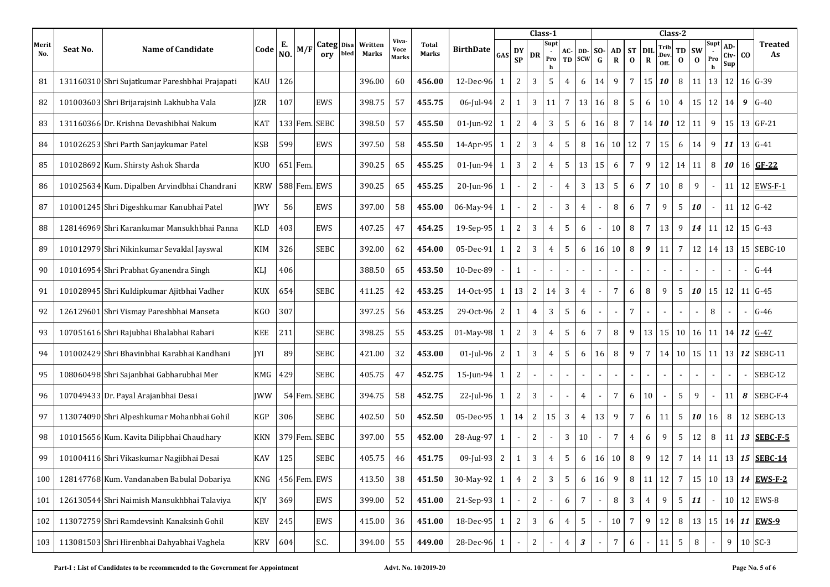|              |          |                                                |            |           |          |                   |      |                  |                        |                |                  |                |                 |                | Class-1                            |                          |                   |                    |                 |                       |                           | Class-2              |                |                       |                          |                    |           |                                  |
|--------------|----------|------------------------------------------------|------------|-----------|----------|-------------------|------|------------------|------------------------|----------------|------------------|----------------|-----------------|----------------|------------------------------------|--------------------------|-------------------|--------------------|-----------------|-----------------------|---------------------------|----------------------|----------------|-----------------------|--------------------------|--------------------|-----------|----------------------------------|
| Merit<br>No. | Seat No. | <b>Name of Candidate</b>                       | Code       | Е.<br>NO. | M/I      | Categ Disa<br>orv | bled | Written<br>Marks | Viva-<br>Voce<br>Marks | Total<br>Marks | <b>BirthDate</b> | GAS            | DY<br><b>SP</b> | DR             | Supt<br>$\blacksquare$<br>Pro<br>h | AC-<br>TD                | DD-<br><b>SCW</b> | SO-<br>$\mathbf G$ | AD<br>${\bf R}$ | <b>ST</b><br>$\bf{0}$ | <b>DIL</b><br>$\mathbf R$ | Trib<br>Dev.<br>Off. | TD<br>$\bf{0}$ | <b>SW</b><br>$\bf{0}$ | Supt<br>Pro<br>h         | AD-<br>Civ-<br>Sup | CO.       | <b>Treated</b><br>As             |
| 81           |          | 131160310 Shri Sujatkumar Pareshbhai Prajapati | KAU        | 126       |          |                   |      | 396.00           | 60                     | 456.00         | 12-Dec-96        | 1              | 2               | 3              | 5                                  | $\overline{4}$           | 6                 | 14                 | 9               | $\overline{7}$        | 15                        | 10                   | 8              | 11                    | 13                       | 12                 |           | $16$ $G-39$                      |
| 82           |          | 101003603 Shri Brijarajsinh Lakhubha Vala      | <b>IZR</b> | 107       |          | EWS               |      | 398.75           | 57                     | 455.75         | 06-Jul-94        | 2              | 1               | 3              | 11                                 | 7                        | 13                | 16                 | 8               | 5                     | 6                         | 10                   | 4              | 15                    | 12                       | 14                 | 9         | $G-40$                           |
| 83           |          | 131160366 Dr. Krishna Devashibhai Nakum        | KAT        |           |          | 133 Fem. SEBC     |      | 398.50           | 57                     | 455.50         | 01-Jun-92        | 1              | 2               | 4              | 3                                  | 5                        | 6                 | 16                 | 8               | $7\overline{ }$       | 14                        | 10                   | 12             | 11                    | 9                        | 15                 |           | $13$ GF-21                       |
| 84           |          | 101026253 Shri Parth Sanjaykumar Patel         | <b>KSB</b> | 599       |          | EWS               |      | 397.50           | 58                     | 455.50         | 14-Apr-95        | $\mathbf{1}$   | 2               | 3              | $\overline{4}$                     | 5                        | 8                 | 16                 | $10 \mid 12$    |                       | $\overline{7}$            | 15                   | 6              | 14                    | 9                        | 11                 |           | $13 G-41$                        |
| 85           |          | 101028692 Kum. Shirsty Ashok Sharda            | <b>KUO</b> |           | 651 Fem. |                   |      | 390.25           | 65                     | 455.25         | 01-Jun-94        | 1              | 3               | 2              | 4                                  | 5                        | 13                | 15                 | 6               | $7\overline{ }$       | 9                         | 12                   | 14             | 11                    | 8                        | 10                 |           | $16$ GF-22                       |
| 86           |          | 101025634 Kum. Dipalben Arvindbhai Chandrani   | <b>KRW</b> |           |          | 588 Fem. EWS      |      | 390.25           | 65                     | 455.25         | 20-Jun-96        | $\mathbf{1}$   |                 | $\mathbf{2}$   |                                    | $\overline{4}$           | 3                 | 13                 | 5               | 6                     | $\overline{7}$            | 10                   | 8              | 9                     | $\overline{\phantom{a}}$ | 11                 | 12        | EWS-F-1                          |
| 87           |          | 101001245 Shri Digeshkumar Kanubhai Patel      | <b>IWY</b> | 56        |          | EWS               |      | 397.00           | 58                     | 455.00         | 06-May-94        | 1              |                 | 2              |                                    | 3                        | 4                 |                    | 8               | 6                     | $7\overline{ }$           | 9                    | 5              | 10                    | $\overline{\phantom{a}}$ | 11                 |           | 12 G-42                          |
| 88           |          | 128146969 Shri Karankumar Mansukhbhai Panna    | KLD        | 403       |          | EWS               |      | 407.25           | 47                     | 454.25         | 19-Sep-95        | 1              | 2               | 3              | $\overline{4}$                     | 5                        | 6                 |                    | 10              | 8                     | $\overline{7}$            | 13                   | 9              | 14                    | 11                       | 12                 |           | $15 G-43$                        |
| 89           |          | 101012979 Shri Nikinkumar Sevaklal Jayswal     | KIM        | 326       |          | <b>SEBC</b>       |      | 392.00           | 62                     | 454.00         | 05-Dec-91        | $\mathbf{1}$   | $\overline{2}$  | 3              | 4                                  | 5                        | 6                 | 16                 | 10              | 8                     | 9                         | 11                   | 7              | 12                    | 14                       | 13                 |           | 15 SEBC-10                       |
| 90           |          | 101016954 Shri Prabhat Gyanendra Singh         | KLJ        | 406       |          |                   |      | 388.50           | 65                     | 453.50         | 10-Dec-89        |                | 1               |                |                                    |                          |                   |                    |                 |                       |                           |                      |                |                       |                          |                    |           | $G-44$                           |
| 91           |          | 101028945 Shri Kuldipkumar Ajitbhai Vadher     | <b>KUX</b> | 654       |          | <b>SEBC</b>       |      | 411.25           | 42                     | 453.25         | 14-0ct-95        | 1              | 13              | 2              | 14                                 | 3                        | 4                 |                    | $\overline{7}$  | 6                     | 8                         | 9                    | 5              | 10                    | 15                       | 12                 |           | $11 G-45$                        |
| 92           |          | 126129601 Shri Vismay Pareshbhai Manseta       | KGO        | 307       |          |                   |      | 397.25           | 56                     | 453.25         | 29-Oct-96        | $\overline{2}$ | 1               | $\overline{4}$ | 3                                  | 5                        | 6                 |                    |                 | $\overline{7}$        |                           |                      |                |                       | 8                        |                    |           | $G-46$                           |
| 93           |          | 107051616 Shri Rajubhai Bhalabhai Rabari       | KEE        | 211       |          | SEBC              |      | 398.25           | 55                     | 453.25         | 01-May-98        | $\mathbf{1}$   | 2               | 3              | $\overline{4}$                     | 5                        | 6                 | 7                  | 8               | 9                     | 13                        | 15                   | 10             | 16                    | 11                       | 14                 | 12        | $G-47$                           |
| 94           |          | 101002429 Shri Bhavinbhai Karabhai Kandhani    | IYI        | 89        |          | SEBC              |      | 421.00           | 32                     | 453.00         | $01$ -Jul-96     | 2              | $\mathbf{1}$    | 3              | 4                                  | 5                        | 6                 | 16                 | 8               | 9                     | $7\overline{ }$           | 14                   | 10             | 15                    | 11                       | 13                 | 12        | SEBC-11                          |
| 95           |          | 108060498 Shri Sajanbhai Gabharubhai Mer       | KMG        | 429       |          | <b>SEBC</b>       |      | 405.75           | 47                     | 452.75         | 15-Jun-94        | 1              | 2               |                | $\sim$                             | $\overline{\phantom{a}}$ |                   |                    |                 |                       |                           |                      |                |                       |                          | $\blacksquare$     |           | SEBC-12                          |
| 96           |          | 107049433 Dr. Payal Arajanbhai Desai           | IWW        |           |          | 54 Fem. SEBC      |      | 394.75           | 58                     | 452.75         | $22$ -Jul-96     | 1              | 2               | 3              |                                    | $\overline{\phantom{a}}$ | 4                 |                    | $\overline{7}$  | 6                     | 10                        |                      | 5              | 9                     |                          | 11                 | 8         | SEBC-F-4                         |
| 97           |          | 113074090 Shri Alpeshkumar Mohanbhai Gohil     | KGP        | 306       |          | <b>SEBC</b>       |      | 402.50           | 50                     | 452.50         | 05-Dec-95        | $\mathbf{1}$   | 14              | 2              | 15                                 | 3                        | $\overline{4}$    | 13                 | 9               | $7\overline{ }$       | 6                         | 11                   | 5              | 10                    | 16                       | 8                  |           | 12 SEBC-13                       |
| 98           |          | 101015656 Kum. Kavita Dilipbhai Chaudhary      | KKN        |           |          | 379 Fem. SEBC     |      | 397.00           | 55                     | 452.00         | 28-Aug-97        | $\mathbf{1}$   |                 | 2              |                                    | 3                        | 10                |                    | 7               | $\overline{4}$        | 6                         | 9                    | 5              | 12                    | 8                        | 11                 | 13        | SEBC-F-5                         |
| 99           |          | 101004116 Shri Vikaskumar Nagjibhai Desai      | KAV        | 125       |          | <b>SEBC</b>       |      | 405.75           | 46                     | 451.75         | 09-Jul-93        | 2              | 1               | 3              | 4                                  | 5                        | 6                 | 16                 | 10              | 8                     | 9                         | 12                   | 7              | 14                    | 11                       | 13                 | <b>15</b> | <b>SEBC-14</b>                   |
| 100          |          | 128147768 Kum. Vandanaben Babulal Dobariya     | KNG        |           |          | 456 Fem. EWS      |      | 413.50           | 38                     | 451.50         | 30-May-92 1      |                | $\overline{4}$  | 2              | 3                                  | 5                        | $\boldsymbol{6}$  | 16                 | 9               | 8                     | 11                        | 12                   | 7              | 15                    |                          |                    |           | 10 13 $14$ EWS-F-2               |
| 101          |          | 126130544 Shri Naimish Mansukhbhai Talaviya    | KJY        | 369       |          | EWS               |      | 399.00           | 52                     | 451.00         | 21-Sep-93 1      |                |                 | $\mathbf{2}$   | $\blacksquare$                     | $\boldsymbol{6}$         | $\overline{7}$    |                    | $\, 8$          | $\mathbf{3}$          | $\overline{4}$            | 9                    | 5              | 11                    | $\overline{\phantom{a}}$ | 10                 |           | 12 EWS-8                         |
| 102          |          | 113072759 Shri Ramdevsinh Kanaksinh Gohil      | <b>KEV</b> | 245       |          | EWS               |      | 415.00           | 36                     | 451.00         | 18-Dec-95 1      |                | 2               | 3              | 6                                  | $\overline{4}$           | $\sqrt{5}$        |                    | 10              | $7\overline{ }$       | 9                         | 12                   | 8              |                       |                          |                    |           | 13   15   14   11   <b>EWS-9</b> |
| 103          |          | 113081503 Shri Hirenbhai Dahyabhai Vaghela     | KRV        | 604       |          | S.C.              |      | 394.00           | 55                     | 449.00         | 28-Dec-96        | $\mathbf{1}$   |                 | 2              |                                    | $\overline{4}$           | $\sqrt{3}$        |                    | $\overline{7}$  | 6                     |                           | 11                   | 5              | 8                     |                          | 9                  |           | 10 SC-3                          |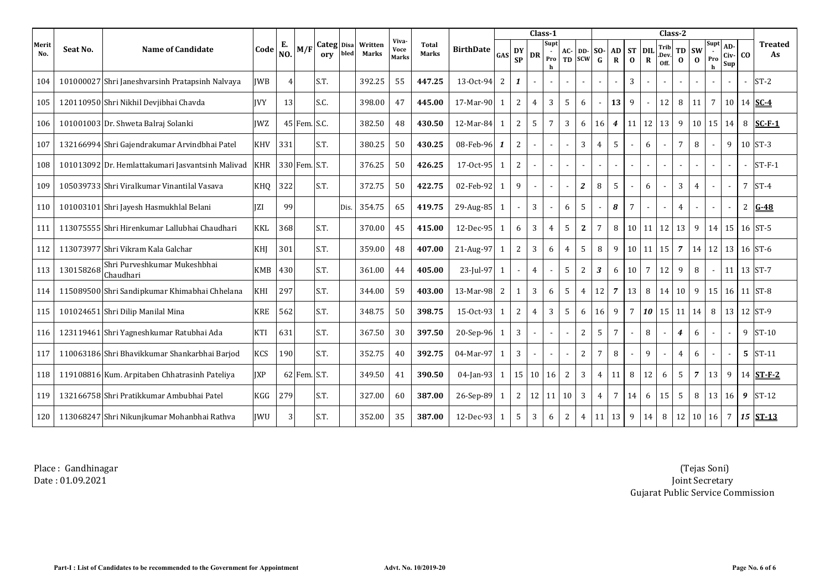|              |           |                                                  |            |                      |               |                              |      |                         |                               |                              |                  |              |                 |                 | Class-1          |                |                             |                |                   |                       |                    | Class-2              |                       |                       |                             |                    |                |                      |
|--------------|-----------|--------------------------------------------------|------------|----------------------|---------------|------------------------------|------|-------------------------|-------------------------------|------------------------------|------------------|--------------|-----------------|-----------------|------------------|----------------|-----------------------------|----------------|-------------------|-----------------------|--------------------|----------------------|-----------------------|-----------------------|-----------------------------|--------------------|----------------|----------------------|
| Merit<br>No. | Seat No.  | <b>Name of Candidate</b>                         | Code       | Е.<br>N <sub>O</sub> | M/F           | Categ <sub>Disa</sub><br>orv | bled | Written<br><b>Marks</b> | Viva-<br><b>Voce</b><br>Marks | <b>Total</b><br><b>Marks</b> | <b>BirthDate</b> | <b>GAS</b>   | DY<br><b>SP</b> | <b>DR</b>       | Supt<br>Pro<br>h | AC-<br>TD      | <b>DD-SO-</b><br><b>SCW</b> | $\mathbf G$    | AD<br>$\mathbf R$ | <b>ST</b><br>$\bf{0}$ | DIL<br>$\mathbf R$ | Trib<br>.Dev<br>Off. | <b>TD</b><br>$\bf{0}$ | <b>SW</b><br>$\bf{0}$ | Supt<br>Pro<br>$\mathbf{h}$ | AD-<br>Civ-<br>Sup | C <sub>O</sub> | <b>Treated</b><br>As |
| 104          |           | 101000027 Shri Janeshvarsinh Pratapsinh Nalvaya  | <b>IWB</b> |                      |               | S.T.                         |      | 392.25                  | 55                            | 447.25                       | 13-Oct-94        | 2            | 1               |                 | $\sim$           |                |                             |                |                   | 3                     |                    |                      |                       |                       |                             |                    |                | $ST-2$               |
| 105          |           | 120110950 Shri Nikhil Devjibhai Chavda           | <b>IVY</b> | 13                   |               | S.C.                         |      | 398.00                  | 47                            | 445.00                       | 17-Mar-90        |              | $\overline{2}$  | 4               | 3                | 5              | 6                           |                | 13                | 9                     |                    | 12                   | 8                     | 11                    | $\overline{7}$              | 10                 |                | 14 $SC-4$            |
| 106          |           | 101001003 Dr. Shweta Balraj Solanki              | <b>IWZ</b> |                      | 45 Fem. S.C.  |                              |      | 382.50                  | 48                            | 430.50                       | 12-Mar-84        |              | $\overline{2}$  | 5               | $\overline{7}$   | 3              | 6                           | 16             | $\overline{4}$    | 11                    | 12                 | 13                   | 9                     | 10 <sup>1</sup>       | 15                          | 14                 | 8              | $SC-F-1$             |
| 107          |           | 132166994 Shri Gajendrakumar Arvindbhai Patel    | <b>KHV</b> | 331                  |               | S.T.                         |      | 380.25                  | 50                            | 430.25                       | 08-Feb-96        | -1           | $\overline{2}$  |                 |                  |                | 3                           | $\overline{4}$ | 5                 | $\sim$                | 6                  |                      | 7                     | 8                     |                             | 9                  |                | $10$ ST-3            |
| 108          |           | 101013092 Dr. Hemlattakumari Jasvantsinh Malivad | <b>KHR</b> |                      | 330 Fem. S.T. |                              |      | 376.25                  | 50                            | 426.25                       | 17-0ct-95        |              | 2               |                 |                  |                |                             |                |                   | $\sim$                |                    |                      |                       |                       |                             | $\blacksquare$     |                | $ST-F-1$             |
| 109          |           | 105039733 Shri Viralkumar Vinantilal Vasava      | KHO        | 322                  |               | S.T.                         |      | 372.75                  | 50                            | 422.75                       | 02-Feb-92        |              | 9               |                 |                  |                | $\mathbf{2}$                | 8              | 5                 | $\sim$                | 6                  |                      | 3                     | 4                     |                             | $\sim$             |                | $7$ ST-4             |
| 110          |           | 101003101 Shri Jayesh Hasmukhlal Belani          | <b>IZI</b> | 99                   |               |                              | Dis. | 354.75                  | 65                            | 419.75                       | 29-Aug-85        |              |                 | 3               |                  | 6              | 5                           |                | 8                 | $7\overline{ }$       |                    |                      | 4                     |                       |                             |                    |                | 2 $G-48$             |
| 111          |           | 113075555 Shri Hirenkumar Lallubhai Chaudhari    | <b>KKL</b> | 368                  |               | S.T.                         |      | 370.00                  | 45                            | 415.00                       | 12-Dec-95        | $\mathbf{1}$ | 6               | 3               | $\overline{4}$   | 5              | $\mathbf{2}$                | 7              | 8                 | 10 <sup>1</sup>       | 11                 | 12                   | 13                    | 9                     |                             | $14 \overline{15}$ |                | $16$ ST-5            |
| 112          |           | 113073977 Shri Vikram Kala Galchar               | KHI        | 301                  |               | S.T.                         |      | 359.00                  | 48                            | 407.00                       | 21-Aug-97        | -1           | 2               | 3               | 6                | $\overline{4}$ | 5                           | 8              | 9                 | 10                    | 11                 | 15                   | $\overline{7}$        |                       | $14 \mid 12$                | 13                 |                | $16$ ST-6            |
| 113          | 130158268 | Shri Purveshkumar Mukeshbhai<br>Chaudhari        | <b>KMB</b> | 430                  |               | S.T.                         |      | 361.00                  | 44                            | 405.00                       | 23-Jul-97        |              |                 | $\overline{4}$  | $\sim$           | 5              | 2                           | 3              | 6                 | 10                    | 7                  | 12                   | 9                     | 8                     |                             | 11                 |                | 13 ST-7              |
| 114          |           | 115089500 Shri Sandipkumar Khimabhai Chhelana    | KHI        | 297                  |               | S.T.                         |      | 344.00                  | 59                            | 403.00                       | 13-Mar-98        | 2            | $\mathbf{1}$    | 3               | 6                | 5              | $\overline{4}$              | 12             | $\overline{7}$    | 13                    | 8                  | 14                   | 10                    | 9                     | 15 <sup>1</sup>             | 16                 |                | $11$ ST-8            |
| 115          |           | 101024651 Shri Dilip Manilal Mina                | <b>KRE</b> | 562                  |               | S.T.                         |      | 348.75                  | 50                            | 398.75                       | 15-0ct-93        |              | 2               | $\overline{4}$  | 3                | 5              | 6                           | 16             | 9                 | $7\overline{ }$       | 10                 | 15                   | 11                    | 14                    | 8                           | 13                 |                | $12$ ST-9            |
| 116          |           | 123119461 Shri Yagneshkumar Ratubhai Ada         | <b>KTI</b> | 631                  |               | S.T.                         |      | 367.50                  | 30                            | 397.50                       | 20-Sep-96        |              | 3               |                 |                  |                | 2                           | 5              | $7\overline{ }$   | $\sim$                | 8                  |                      | 4                     | 6                     |                             | $\blacksquare$     |                | 9 ST-10              |
| 117          |           | 110063186 Shri Bhavikkumar Shankarbhai Barjod    | <b>KCS</b> | 190                  |               | S.T.                         |      | 352.75                  | 40                            | 392.75                       | 04-Mar-97        |              | $\overline{3}$  |                 |                  |                | 2                           |                | 8                 |                       | 9                  |                      | 4                     | 6                     |                             |                    |                | $5$ ST-11            |
| 118          |           | 119108816 Kum. Arpitaben Chhatrasinh Pateliya    | <b>JXP</b> |                      | 62 Fem. S.T.  |                              |      | 349.50                  | 41                            | 390.50                       | 04-Jan-93        | -1           | 15 <sup>1</sup> | 10 <sup>1</sup> | 16               | 2              | 3                           |                | 11                | 8                     | 12                 | 6                    | 5                     | $\overline{7}$        | 13                          | 9                  |                | 14 ST-F-2            |
| 119          |           | 132166758 Shri Pratikkumar Ambubhai Patel        | <b>KGG</b> | 279                  |               | S.T.                         |      | 327.00                  | 60                            | 387.00                       | 26-Sep-89        |              | 2               | 12              | 11               | 10             | 3                           | $\overline{4}$ | 7                 | 14                    | 6                  | 15                   | 5                     | 8                     | 13                          | 16                 | 9              | $ST-12$              |
| 120          |           | 113068247 Shri Nikunjkumar Mohanbhai Rathva      | <b>IWU</b> | 3                    |               | S.T.                         |      | 352.00                  | 35                            | 387.00                       | 12-Dec-93        |              | 5               | 3               | 6                | 2              | 4                           | 11             | 13                | 9                     | 14                 | 8                    | 12                    | 10                    | 16                          | $7\overline{ }$    |                | $15$ $ST-13$         |

Place : Gandhinagar Date : 01.09.2021

 (Tejas Soni) Joint Secretary Gujarat Public Service Commission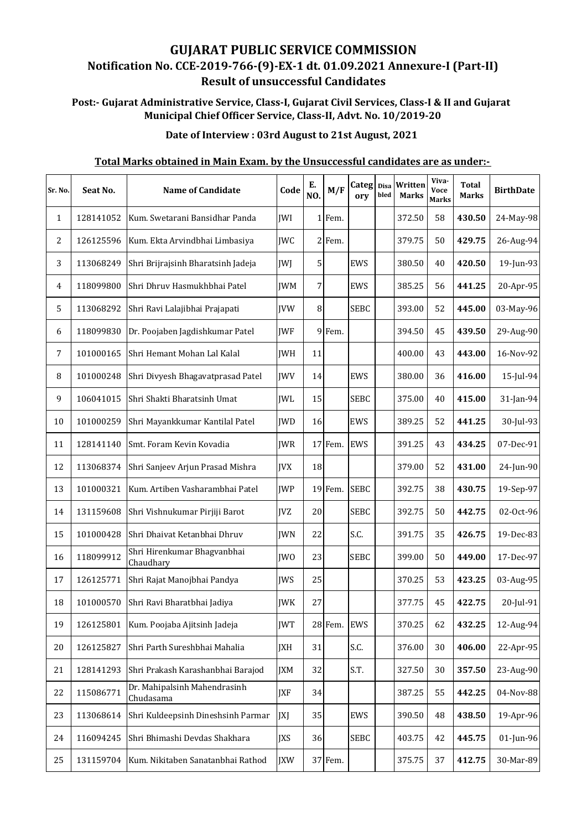# **GUJARAT PUBLIC SERVICE COMMISSION Notification No. CCE‐2019‐766‐(9)‐EX‐1 dt. 01.09.2021 Annexure‐I (Part‐II) Result of unsuccessful Candidates**

# **Post:‐ Gujarat Administrative Service, Class‐I, Gujarat Civil Services, Class‐I & II and Gujarat Municipal Chief Officer Service, Class‐II, Advt. No. 10/2019‐20**

### **Date of Interview : 03rd August to 21st August, 2021**

# 1 128141052 Kum. Swetarani Bansidhar Panda JWI 1 Fem. 372.50 58 **430.50** 24-May-98 2 126125596 Kum. Ekta Arvindbhai Limbasiya JWC 2 Fem. 379.75 50 **429.75** 26-Aug-94 3 113068249 Shri Brijrajsinh Bharatsinh Jadeja JWJ 5 EWS 380.50 40 **420.50** 19-Jun-93 4 118099800 Shri Dhruv Hasmukhbhai Patel JWM 7 EWS 385.25 56 **441.25** 20-Apr-95 5 113068292 Shri Ravi Lalajibhai Prajapati JVW 8 SEBC 393.00 52 **445.00** 03-May-96 6 118099830 Dr. Poojaben Jagdishkumar Patel JWF 9 Fem. 394.50 45 **439.50** 29-Aug-90 7 101000165 Shri Hemant Mohan Lal Kalal JWH 11 400.00 43 **443.00** 16-Nov-92 8 101000248 Shri Divyesh Bhagavatprasad Patel JWV 14 EWS 380.00 36 **416.00** 15-Jul-94 9 | 106041015 | Shri Shakti Bharatsinh Umat | WL | 15 | SEBC | 375.00 | 40 | **415.00** | 31-Jan-94 10 | 101000259 | Shri Mayankkumar Kantilal Patel | JWD | 16 | EWS | 389.25 | 52 | 441.25 | 30-Jul-93 11 128141140 Smt. Foram Kevin Kovadia JWR 17 Fem. EWS 391.25 43 **434.25** 07-Dec-91 12 113068374 Shri Sanjeev Arjun Prasad Mishra JVX 18 379.00 52 **431.00** 24-Jun-90 13 101000321 Kum. Artiben Vasharambhai Patel JWP 19 Fem. SEBC 392.75 38 **430.75** 19-Sep-97 14 131159608 Shri Vishnukumar Pirjiji Barot JVZ 20 SEBC 392.75 50 **442.75** 02-Oct-96 15 101000428 Shri Dhaivat Ketanbhai Dhruv JWN 22 S.C. 391.75 35 **426.75** 19-Dec-83 16 118099912 Shri Hirenkumar Bhagvanbhai Chaudhary JWO 23 SEBC 399.00 50 **449.00** 17-Dec-97 17 126125771 Shri Rajat Manojbhai Pandya JWS 25 370.25 53 **423.25** 03-Aug-95 18 101000570 Shri Ravi Bharatbhai Jadiya JWK 27 377.75 45 **422.75** 20-Jul-91 19 126125801 Kum. Poojaba Ajitsinh Jadeja JWT 28 Fem. EWS 370.25 62 **432.25** 12-Aug-94 20 126125827 Shri Parth Sureshbhai Mahalia JXH 31 S.C. 376.00 30 **406.00** 22-Apr-95 21 128141293 Shri Prakash Karashanbhai Barajod JXM 32 S.T. 327.50 30 **357.50** 23-Aug-90 22  $\begin{array}{|l|}$  115086771 Dr. Mahipalsinh Mahendrasinh Chudasama **JXF** 34 387.25 55 442.25 04-Nov-88 23 | 113068614 Shri Kuldeepsinh Dineshsinh Parmar | XI | 35 | EWS | 390.50 | 48 | 438.50 | 19-Apr-96 24 116094245 Shri Bhimashi Devdas Shakhara JXS 36 SEBC 403.75 42 **445.75** 01-Jun-96 25 | 131159704 | Kum. Nikitaben Sanatanbhai Rathod | JXW | 37 Fem. | | | | | | | | 375.75 | 37 | **412.75** | 30-Mar-89 **Viva‐ Voce Marks Sr.** No. **Seat No. Name of Candidate**  $\begin{bmatrix} \text{Code} \\ \text{Code} \end{bmatrix}$   $\begin{bmatrix} E \\ M/F \end{bmatrix}$   $\begin{bmatrix} \text{Categ} \\ \text{Disa} \end{bmatrix}$   $\begin{bmatrix} \text{Write} \\ \text{Voce} \end{bmatrix}$   $\begin{bmatrix} \text{VVA} \\ \text{Voce} \end{bmatrix}$   $\begin{bmatrix} \text{Total} \\ \text{DirthDate} \end{bmatrix}$ **E.** M/F Categ Disa<br> **NO.** M/F ory bled **ory bled Written Marks Total Marks**

### **Total Marks obtained in Main Exam. by the Unsuccessful candidates are as under:‐**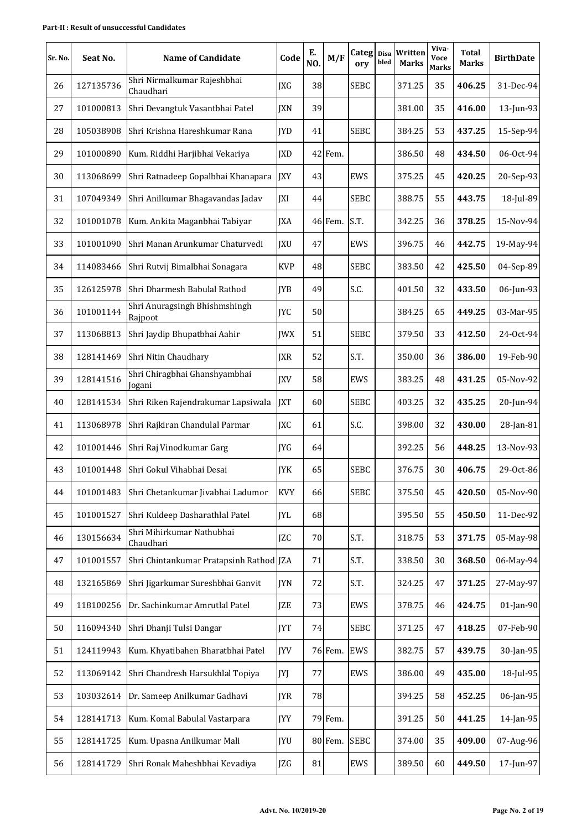#### **Part‐II : Result of unsuccessful Candidates**

| Sr. No. | Seat No.  | <b>Name of Candidate</b>                 | Code       | E.<br>NO. | M/F     | Categ Disa<br>ory | bled | Written<br><b>Marks</b> | Viva-<br><b>Voce</b><br><b>Marks</b> | <b>Total</b><br>Marks | <b>BirthDate</b> |
|---------|-----------|------------------------------------------|------------|-----------|---------|-------------------|------|-------------------------|--------------------------------------|-----------------------|------------------|
| 26      | 127135736 | Shri Nirmalkumar Rajeshbhai<br>Chaudhari | JXG        | 38        |         | <b>SEBC</b>       |      | 371.25                  | 35                                   | 406.25                | 31-Dec-94        |
| 27      | 101000813 | Shri Devangtuk Vasantbhai Patel          | <b>JXN</b> | 39        |         |                   |      | 381.00                  | 35                                   | 416.00                | 13-Jun-93        |
| 28      | 105038908 | Shri Krishna Hareshkumar Rana            | <b>JYD</b> | 41        |         | <b>SEBC</b>       |      | 384.25                  | 53                                   | 437.25                | 15-Sep-94        |
| 29      | 101000890 | Kum. Riddhi Harjibhai Vekariya           | <b>JXD</b> |           | 42 Fem. |                   |      | 386.50                  | 48                                   | 434.50                | 06-Oct-94        |
| 30      | 113068699 | Shri Ratnadeep Gopalbhai Khanapara       | JXY        | 43        |         | EWS               |      | 375.25                  | 45                                   | 420.25                | 20-Sep-93        |
| 31      | 107049349 | Shri Anilkumar Bhagavandas Jadav         | <b>IXI</b> | 44        |         | <b>SEBC</b>       |      | 388.75                  | 55                                   | 443.75                | 18-Jul-89        |
| 32      | 101001078 | Kum. Ankita Maganbhai Tabiyar            | <b>JXA</b> |           | 46 Fem. | S.T.              |      | 342.25                  | 36                                   | 378.25                | 15-Nov-94        |
| 33      | 101001090 | Shri Manan Arunkumar Chaturvedi          | JXU        | 47        |         | EWS               |      | 396.75                  | 46                                   | 442.75                | 19-May-94        |
| 34      | 114083466 | Shri Rutvij Bimalbhai Sonagara           | <b>KVP</b> | 48        |         | <b>SEBC</b>       |      | 383.50                  | 42                                   | 425.50                | 04-Sep-89        |
| 35      | 126125978 | Shri Dharmesh Babulal Rathod             | <b>IYB</b> | 49        |         | S.C.              |      | 401.50                  | 32                                   | 433.50                | 06-Jun-93        |
| 36      | 101001144 | Shri Anuragsingh Bhishmshingh<br>Rajpoot | <b>JYC</b> | 50        |         |                   |      | 384.25                  | 65                                   | 449.25                | 03-Mar-95        |
| 37      | 113068813 | Shri Jaydip Bhupatbhai Aahir             | <b>JWX</b> | 51        |         | <b>SEBC</b>       |      | 379.50                  | 33                                   | 412.50                | 24-Oct-94        |
| 38      | 128141469 | Shri Nitin Chaudhary                     | <b>JXR</b> | 52        |         | S.T.              |      | 350.00                  | 36                                   | 386.00                | 19-Feb-90        |
| 39      | 128141516 | Shri Chiragbhai Ghanshyambhai<br>Jogani  | <b>JXV</b> | 58        |         | EWS               |      | 383.25                  | 48                                   | 431.25                | 05-Nov-92        |
| 40      | 128141534 | Shri Riken Rajendrakumar Lapsiwala       | <b>JXT</b> | 60        |         | <b>SEBC</b>       |      | 403.25                  | 32                                   | 435.25                | 20-Jun-94        |
| 41      | 113068978 | Shri Rajkiran Chandulal Parmar           | <b>JXC</b> | 61        |         | S.C.              |      | 398.00                  | 32                                   | 430.00                | $28$ -Jan-81     |
| 42      | 101001446 | Shri Raj Vinodkumar Garg                 | JYG        | 64        |         |                   |      | 392.25                  | 56                                   | 448.25                | 13-Nov-93        |
| 43      | 101001448 | Shri Gokul Vihabhai Desai                | JYK        | 65        |         | <b>SEBC</b>       |      | 376.75                  | 30                                   | 406.75                | 29-Oct-86        |
| 44      | 101001483 | Shri Chetankumar Jivabhai Ladumor        | <b>KVY</b> | 66        |         | <b>SEBC</b>       |      | 375.50                  | 45                                   | 420.50                | 05-Nov-90        |
| 45      | 101001527 | Shri Kuldeep Dasharathlal Patel          | <b>JYL</b> | 68        |         |                   |      | 395.50                  | 55                                   | 450.50                | $11$ -Dec-92     |
| 46      | 130156634 | Shri Mihirkumar Nathubhai<br>Chaudhari   | <b>JZC</b> | 70        |         | S.T.              |      | 318.75                  | 53                                   | 371.75                | 05-May-98        |
| 47      | 101001557 | Shri Chintankumar Pratapsinh Rathod JZA  |            | 71        |         | S.T.              |      | 338.50                  | 30                                   | 368.50                | 06-May-94        |
| 48      | 132165869 | Shri Jigarkumar Sureshbhai Ganvit        | JYN        | 72        |         | S.T.              |      | 324.25                  | 47                                   | 371.25                | 27-May-97        |
| 49      | 118100256 | Dr. Sachinkumar Amrutlal Patel           | <b>IZE</b> | 73        |         | <b>EWS</b>        |      | 378.75                  | 46                                   | 424.75                | $01$ -Jan-90     |
| 50      | 116094340 | Shri Dhanji Tulsi Dangar                 | <b>JYT</b> | 74        |         | <b>SEBC</b>       |      | 371.25                  | 47                                   | 418.25                | 07-Feb-90        |
| 51      | 124119943 | Kum. Khyatibahen Bharatbhai Patel        | <b>JYV</b> |           | 76 Fem. | EWS               |      | 382.75                  | 57                                   | 439.75                | 30-Jan-95        |
| 52      | 113069142 | Shri Chandresh Harsukhlal Topiya         | JYJ        | 77        |         | EWS               |      | 386.00                  | 49                                   | 435.00                | 18-Jul-95        |
| 53      | 103032614 | Dr. Sameep Anilkumar Gadhavi             | <b>JYR</b> | 78        |         |                   |      | 394.25                  | 58                                   | 452.25                | 06-Jan-95        |
| 54      | 128141713 | Kum. Komal Babulal Vastarpara            | <b>JYY</b> |           | 79 Fem. |                   |      | 391.25                  | 50                                   | 441.25                | 14-Jan-95        |
| 55      | 128141725 | Kum. Upasna Anilkumar Mali               | <b>JYU</b> |           | 80 Fem. | <b>SEBC</b>       |      | 374.00                  | 35                                   | 409.00                | 07-Aug-96        |
| 56      | 128141729 | Shri Ronak Maheshbhai Kevadiya           | <b>JZG</b> | 81        |         | EWS               |      | 389.50                  | 60                                   | 449.50                | 17-Jun-97        |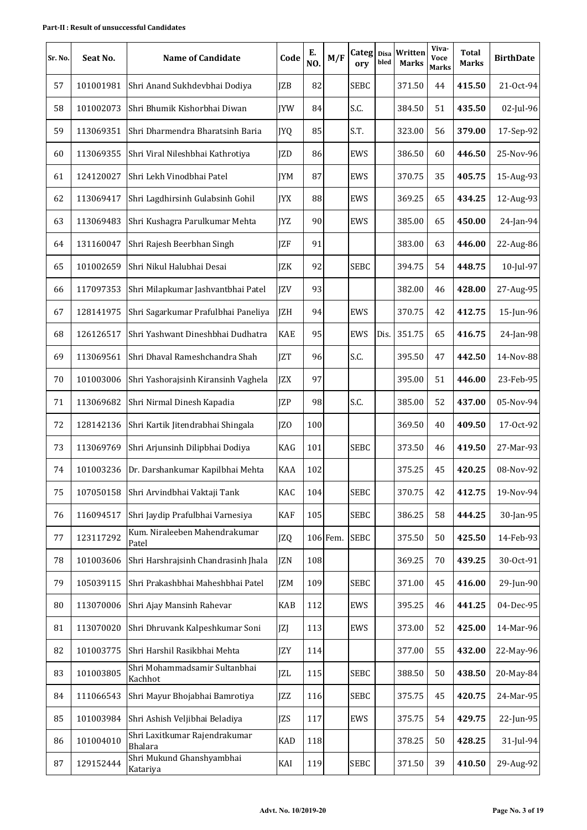| Sr. No. | Seat No.  | Name of Candidate                               | Code       | Е.<br>NO. | M/F      | Categ Disa<br>ory | bled | Written<br><b>Marks</b> | Viva-<br>Voce<br><b>Marks</b> | Total<br><b>Marks</b> | <b>BirthDate</b> |
|---------|-----------|-------------------------------------------------|------------|-----------|----------|-------------------|------|-------------------------|-------------------------------|-----------------------|------------------|
| 57      | 101001981 | Shri Anand Sukhdevbhai Dodiya                   | <b>IZB</b> | 82        |          | <b>SEBC</b>       |      | 371.50                  | 44                            | 415.50                | 21-Oct-94        |
| 58      | 101002073 | Shri Bhumik Kishorbhai Diwan                    | <b>IYW</b> | 84        |          | S.C.              |      | 384.50                  | 51                            | 435.50                | 02-Jul-96        |
| 59      | 113069351 | Shri Dharmendra Bharatsinh Baria                | JYQ        | 85        |          | S.T.              |      | 323.00                  | 56                            | 379.00                | 17-Sep-92        |
| 60      | 113069355 | Shri Viral Nileshbhai Kathrotiya                | JZD        | 86        |          | EWS               |      | 386.50                  | 60                            | 446.50                | 25-Nov-96        |
| 61      | 124120027 | Shri Lekh Vinodbhai Patel                       | <b>IYM</b> | 87        |          | EWS               |      | 370.75                  | 35                            | 405.75                | 15-Aug-93        |
| 62      | 113069417 | Shri Lagdhirsinh Gulabsinh Gohil                | <b>IYX</b> | 88        |          | EWS               |      | 369.25                  | 65                            | 434.25                | 12-Aug-93        |
| 63      | 113069483 | Shri Kushagra Parulkumar Mehta                  | <b>IYZ</b> | 90        |          | EWS               |      | 385.00                  | 65                            | 450.00                | 24-Jan-94        |
| 64      | 131160047 | Shri Rajesh Beerbhan Singh                      | <b>IZF</b> | 91        |          |                   |      | 383.00                  | 63                            | 446.00                | 22-Aug-86        |
| 65      | 101002659 | Shri Nikul Halubhai Desai                       | JZK        | 92        |          | <b>SEBC</b>       |      | 394.75                  | 54                            | 448.75                | 10-Jul-97        |
| 66      | 117097353 | Shri Milapkumar Jashvantbhai Patel              | <b>JZV</b> | 93        |          |                   |      | 382.00                  | 46                            | 428.00                | 27-Aug-95        |
| 67      | 128141975 | Shri Sagarkumar Prafulbhai Paneliya             | <b>IZH</b> | 94        |          | EWS               |      | 370.75                  | 42                            | 412.75                | 15-Jun-96        |
| 68      | 126126517 | Shri Yashwant Dineshbhai Dudhatra               | <b>KAE</b> | 95        |          | EWS               | Dis. | 351.75                  | 65                            | 416.75                | 24-Jan-98        |
| 69      | 113069561 | Shri Dhaval Rameshchandra Shah                  | <b>JZT</b> | 96        |          | S.C.              |      | 395.50                  | 47                            | 442.50                | 14-Nov-88        |
| 70      | 101003006 | Shri Yashorajsinh Kiransinh Vaghela             | <b>JZX</b> | 97        |          |                   |      | 395.00                  | 51                            | 446.00                | 23-Feb-95        |
| 71      | 113069682 | Shri Nirmal Dinesh Kapadia                      | <b>IZP</b> | 98        |          | S.C.              |      | 385.00                  | 52                            | 437.00                | 05-Nov-94        |
| 72      | 128142136 | Shri Kartik Jitendrabhai Shingala               | JZO        | 100       |          |                   |      | 369.50                  | 40                            | 409.50                | 17-Oct-92        |
| 73      | 113069769 | Shri Arjunsinh Dilipbhai Dodiya                 | KAG        | 101       |          | <b>SEBC</b>       |      | 373.50                  | 46                            | 419.50                | 27-Mar-93        |
| 74      |           | 101003236 Dr. Darshankumar Kapilbhai Mehta      | <b>KAA</b> | 102       |          |                   |      | 375.25                  | 45                            | 420.25                | 08-Nov-92        |
| 75      | 107050158 | Shri Arvindbhai Vaktaji Tank                    | KAC        | 104       |          | <b>SEBC</b>       |      | 370.75                  | 42                            | 412.75                | 19-Nov-94        |
| 76      | 116094517 | Shri Jaydip Prafulbhai Varnesiya                | KAF        | 105       |          | <b>SEBC</b>       |      | 386.25                  | 58                            | 444.25                | 30-Jan-95        |
| 77      | 123117292 | Kum. Niraleeben Mahendrakumar<br>Patel          | JZQ        |           | 106 Fem. | <b>SEBC</b>       |      | 375.50                  | 50                            | 425.50                | 14-Feb-93        |
| 78      | 101003606 | Shri Harshrajsinh Chandrasinh Jhala             | <b>IZN</b> | 108       |          |                   |      | 369.25                  | 70                            | 439.25                | 30-Oct-91        |
| 79      | 105039115 | Shri Prakashbhai Maheshbhai Patel               | JZM        | 109       |          | <b>SEBC</b>       |      | 371.00                  | 45                            | 416.00                | 29-Jun-90        |
| 80      | 113070006 | Shri Ajay Mansinh Rahevar                       | KAB        | 112       |          | EWS               |      | 395.25                  | 46                            | 441.25                | 04-Dec-95        |
| 81      | 113070020 | Shri Dhruvank Kalpeshkumar Soni                 | JZJ        | 113       |          | EWS               |      | 373.00                  | 52                            | 425.00                | 14-Mar-96        |
| 82      | 101003775 | Shri Harshil Rasikbhai Mehta                    | <b>JZY</b> | 114       |          |                   |      | 377.00                  | 55                            | 432.00                | 22-May-96        |
| 83      | 101003805 | Shri Mohammadsamir Sultanbhai<br>Kachhot        | <b>JZL</b> | 115       |          | <b>SEBC</b>       |      | 388.50                  | 50                            | 438.50                | 20-May-84        |
| 84      | 111066543 | Shri Mayur Bhojabhai Bamrotiya                  | <b>JZZ</b> | 116       |          | <b>SEBC</b>       |      | 375.75                  | 45                            | 420.75                | 24-Mar-95        |
| 85      | 101003984 | Shri Ashish Veljibhai Beladiya                  | <b>JZS</b> | 117       |          | EWS               |      | 375.75                  | 54                            | 429.75                | 22-Jun-95        |
| 86      | 101004010 | Shri Laxitkumar Rajendrakumar<br><b>Bhalara</b> | <b>KAD</b> | 118       |          |                   |      | 378.25                  | 50                            | 428.25                | 31-Jul-94        |
| 87      | 129152444 | Shri Mukund Ghanshyambhai<br>Katariya           | KAI        | 119       |          | SEBC              |      | 371.50                  | 39                            | 410.50                | 29-Aug-92        |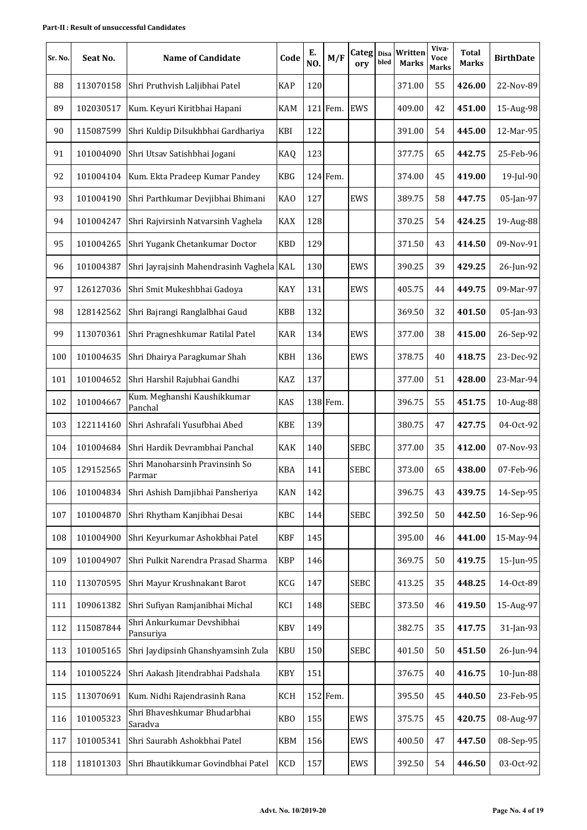| Sr. No. | Seat No.  | <b>Name of Candidate</b>                 | Code            | Е.<br>NO. | M/F      | Categ Disa<br>ory | bled | Written<br><b>Marks</b> | Viva-<br>Voce<br><b>Marks</b> | Total<br><b>Marks</b> | <b>BirthDate</b> |
|---------|-----------|------------------------------------------|-----------------|-----------|----------|-------------------|------|-------------------------|-------------------------------|-----------------------|------------------|
| 88      | 113070158 | Shri Pruthvish Laljibhai Patel           | <b>KAP</b>      | 120       |          |                   |      | 371.00                  | 55                            | 426.00                | 22-Nov-89        |
| 89      | 102030517 | Kum. Keyuri Kiritbhai Hapani             | KAM             |           | 121 Fem. | <b>EWS</b>        |      | 409.00                  | 42                            | 451.00                | 15-Aug-98        |
| 90      | 115087599 | Shri Kuldip Dilsukhbhai Gardhariya       | KBI             | 122       |          |                   |      | 391.00                  | 54                            | 445.00                | 12-Mar-95        |
| 91      | 101004090 | Shri Utsav Satishbhai Jogani             | KAQ             | 123       |          |                   |      | 377.75                  | 65                            | 442.75                | 25-Feb-96        |
| 92      | 101004104 | Kum. Ekta Pradeep Kumar Pandey           | <b>KBG</b>      |           | 124 Fem. |                   |      | 374.00                  | 45                            | 419.00                | 19-Jul-90        |
| 93      | 101004190 | Shri Parthkumar Devjibhai Bhimani        | <b>KAO</b>      | 127       |          | EWS               |      | 389.75                  | 58                            | 447.75                | 05-Jan-97        |
| 94      | 101004247 | Shri Rajvirsinh Natvarsinh Vaghela       | <b>KAX</b>      | 128       |          |                   |      | 370.25                  | 54                            | 424.25                | 19-Aug-88        |
| 95      | 101004265 | Shri Yugank Chetankumar Doctor           | <b>KBD</b>      | 129       |          |                   |      | 371.50                  | 43                            | 414.50                | 09-Nov-91        |
| 96      | 101004387 | Shri Jayrajsinh Mahendrasinh Vaghela KAL |                 | 130       |          | EWS               |      | 390.25                  | 39                            | 429.25                | 26-Jun-92        |
| 97      | 126127036 | Shri Smit Mukeshbhai Gadoya              | KAY             | 131       |          | EWS               |      | 405.75                  | 44                            | 449.75                | 09-Mar-97        |
| 98      | 128142562 | Shri Bajrangi Ranglalbhai Gaud           | <b>KBB</b>      | 132       |          |                   |      | 369.50                  | 32                            | 401.50                | 05-Jan-93        |
| 99      | 113070361 | Shri Pragneshkumar Ratilal Patel         | <b>KAR</b>      | 134       |          | EWS               |      | 377.00                  | 38                            | 415.00                | 26-Sep-92        |
| 100     | 101004635 | Shri Dhairya Paragkumar Shah             | <b>KBH</b>      | 136       |          | EWS               |      | 378.75                  | 40                            | 418.75                | 23-Dec-92        |
| 101     | 101004652 | Shri Harshil Rajubhai Gandhi             | KAZ             | 137       |          |                   |      | 377.00                  | 51                            | 428.00                | 23-Mar-94        |
| 102     | 101004667 | Kum. Meghanshi Kaushikkumar<br>Panchal   | KAS             |           | 138 Fem. |                   |      | 396.75                  | 55                            | 451.75                | 10-Aug-88        |
| 103     | 122114160 | Shri Ashrafali Yusufbhai Abed            | <b>KBE</b>      | 139       |          |                   |      | 380.75                  | 47                            | 427.75                | 04-Oct-92        |
| 104     | 101004684 | Shri Hardik Devrambhai Panchal           | <b>KAK</b>      | 140       |          | <b>SEBC</b>       |      | 377.00                  | 35                            | 412.00                | 07-Nov-93        |
| 105     | 129152565 | Shri Manoharsinh Pravinsinh So<br>Parmar | <b>KBA</b>      | 141       |          | <b>SEBC</b>       |      | 373.00                  | 65                            | 438.00                | 07-Feb-96        |
| 106     | 101004834 | Shri Ashish Damjibhai Pansheriya         | <b>KAN</b>      | 142       |          |                   |      | 396.75                  | 43                            | 439.75                | 14-Sep-95        |
| 107     | 101004870 | Shri Rhytham Kanjibhai Desai             | KBC             | 144       |          | <b>SEBC</b>       |      | 392.50                  | 50                            | 442.50                | 16-Sep-96        |
| 108     | 101004900 | Shri Keyurkumar Ashokbhai Patel          | <b>KBF</b>      | 145       |          |                   |      | 395.00                  | 46                            | 441.00                | 15-May-94        |
| 109     | 101004907 | Shri Pulkit Narendra Prasad Sharma       | <b>KBP</b>      | 146       |          |                   |      | 369.75                  | 50                            | 419.75                | 15-Jun-95        |
| 110     | 113070595 | Shri Mayur Krushnakant Barot             | KCG             | 147       |          | <b>SEBC</b>       |      | 413.25                  | 35                            | 448.25                | 14-Oct-89        |
| 111     | 109061382 | Shri Sufiyan Ramjanibhai Michal          | KCI             | 148       |          | <b>SEBC</b>       |      | 373.50                  | 46                            | 419.50                | 15-Aug-97        |
| 112     | 115087844 | Shri Ankurkumar Devshibhai<br>Pansuriya  | KBV             | 149       |          |                   |      | 382.75                  | 35                            | 417.75                | 31-Jan-93        |
| 113     | 101005165 | Shri Jaydipsinh Ghanshyamsinh Zula       | <b>KBU</b>      | 150       |          | <b>SEBC</b>       |      | 401.50                  | 50                            | 451.50                | 26-Jun-94        |
| 114     | 101005224 | Shri Aakash Jitendrabhai Padshala        | KBY             | 151       |          |                   |      | 376.75                  | 40                            | 416.75                | 10-Jun-88        |
| 115     | 113070691 | Kum. Nidhi Rajendrasinh Rana             | KCH             |           | 152 Fem. |                   |      | 395.50                  | 45                            | 440.50                | 23-Feb-95        |
| 116     | 101005323 | Shri Bhaveshkumar Bhudarbhai<br>Saradva  | KB <sub>O</sub> | 155       |          | EWS               |      | 375.75                  | 45                            | 420.75                | 08-Aug-97        |
| 117     | 101005341 | Shri Saurabh Ashokbhai Patel             | KBM             | 156       |          | EWS               |      | 400.50                  | 47                            | 447.50                | 08-Sep-95        |
| 118     | 118101303 | Shri Bhautikkumar Govindbhai Patel       | KCD             | 157       |          | EWS               |      | 392.50                  | 54                            | 446.50                | 03-Oct-92        |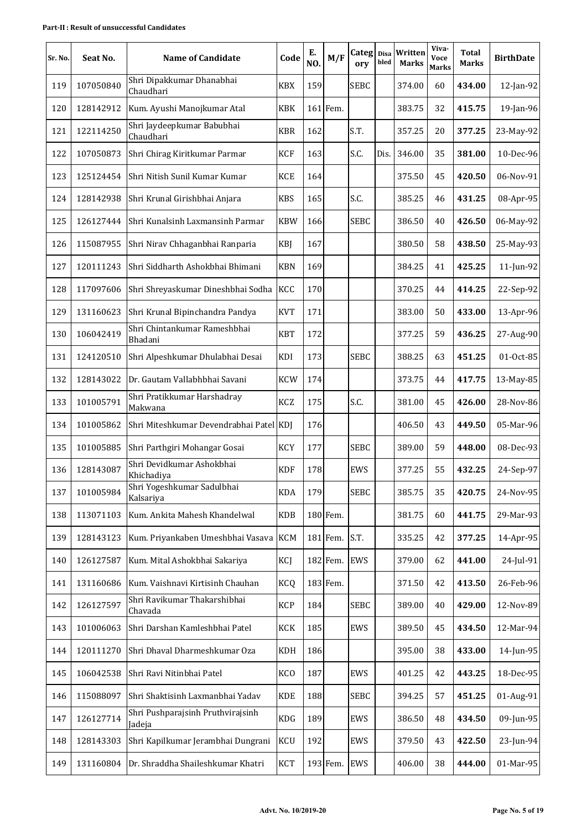| Sr. No. | Seat No.  | <b>Name of Candidate</b>                    | Code       | Е.<br>NO. | M/F      | $Categ$ Disa<br>ory | bled | Written<br><b>Marks</b> | Viva-<br><b>Voce</b><br><b>Marks</b> | <b>Total</b><br><b>Marks</b> | <b>BirthDate</b> |
|---------|-----------|---------------------------------------------|------------|-----------|----------|---------------------|------|-------------------------|--------------------------------------|------------------------------|------------------|
| 119     | 107050840 | Shri Dipakkumar Dhanabhai<br>Chaudhari      | <b>KBX</b> | 159       |          | <b>SEBC</b>         |      | 374.00                  | 60                                   | 434.00                       | 12-Jan-92        |
| 120     | 128142912 | Kum. Ayushi Manojkumar Atal                 | KBK        |           | 161 Fem. |                     |      | 383.75                  | 32                                   | 415.75                       | 19-Jan-96        |
| 121     | 122114250 | Shri Jaydeepkumar Babubhai<br>Chaudhari     | <b>KBR</b> | 162       |          | S.T.                |      | 357.25                  | 20                                   | 377.25                       | 23-May-92        |
| 122     | 107050873 | Shri Chirag Kiritkumar Parmar               | <b>KCF</b> | 163       |          | S.C.                | Dis. | 346.00                  | 35                                   | 381.00                       | 10-Dec-96        |
| 123     | 125124454 | Shri Nitish Sunil Kumar Kumar               | <b>KCE</b> | 164       |          |                     |      | 375.50                  | 45                                   | 420.50                       | 06-Nov-91        |
| 124     | 128142938 | Shri Krunal Girishbhai Anjara               | <b>KBS</b> | 165       |          | S.C.                |      | 385.25                  | 46                                   | 431.25                       | 08-Apr-95        |
| 125     | 126127444 | Shri Kunalsinh Laxmansinh Parmar            | <b>KBW</b> | 166       |          | <b>SEBC</b>         |      | 386.50                  | 40                                   | 426.50                       | 06-May-92        |
| 126     | 115087955 | Shri Nirav Chhaganbhai Ranparia             | KBJ        | 167       |          |                     |      | 380.50                  | 58                                   | 438.50                       | 25-May-93        |
| 127     | 120111243 | Shri Siddharth Ashokbhai Bhimani            | <b>KBN</b> | 169       |          |                     |      | 384.25                  | 41                                   | 425.25                       | 11-Jun-92        |
| 128     | 117097606 | Shri Shreyaskumar Dineshbhai Sodha          | KCC        | 170       |          |                     |      | 370.25                  | 44                                   | 414.25                       | 22-Sep-92        |
| 129     | 131160623 | Shri Krunal Bipinchandra Pandya             | <b>KVT</b> | 171       |          |                     |      | 383.00                  | 50                                   | 433.00                       | 13-Apr-96        |
| 130     | 106042419 | Shri Chintankumar Rameshbhai<br>Bhadani     | <b>KBT</b> | 172       |          |                     |      | 377.25                  | 59                                   | 436.25                       | 27-Aug-90        |
| 131     | 124120510 | Shri Alpeshkumar Dhulabhai Desai            | KDI        | 173       |          | <b>SEBC</b>         |      | 388.25                  | 63                                   | 451.25                       | 01-Oct-85        |
| 132     | 128143022 | Dr. Gautam Vallabhbhai Savani               | <b>KCW</b> | 174       |          |                     |      | 373.75                  | 44                                   | 417.75                       | 13-May-85        |
| 133     | 101005791 | Shri Pratikkumar Harshadray<br>Makwana      | KCZ        | 175       |          | S.C.                |      | 381.00                  | 45                                   | 426.00                       | 28-Nov-86        |
| 134     | 101005862 | Shri Miteshkumar Devendrabhai Patel KDJ     |            | 176       |          |                     |      | 406.50                  | 43                                   | 449.50                       | 05-Mar-96        |
| 135     | 101005885 | Shri Parthgiri Mohangar Gosai               | <b>KCY</b> | 177       |          | <b>SEBC</b>         |      | 389.00                  | 59                                   | 448.00                       | 08-Dec-93        |
| 136     | 128143087 | Shri Devidkumar Ashokbhai<br>Khichadiya     | <b>KDF</b> | 178       |          | EWS                 |      | 377.25                  | 55                                   | 432.25                       | 24-Sep-97        |
| 137     | 101005984 | Shri Yogeshkumar Sadulbhai<br>Kalsariya     | <b>KDA</b> | 179       |          | <b>SEBC</b>         |      | 385.75                  | 35                                   | 420.75                       | 24-Nov-95        |
| 138     | 113071103 | Kum. Ankita Mahesh Khandelwal               | <b>KDB</b> |           | 180 Fem. |                     |      | 381.75                  | 60                                   | 441.75                       | 29-Mar-93        |
| 139     | 128143123 | Kum. Priyankaben Umeshbhai Vasava           | <b>KCM</b> |           | 181 Fem. | S.T.                |      | 335.25                  | 42                                   | 377.25                       | 14-Apr-95        |
| 140     | 126127587 | Kum. Mital Ashokbhai Sakariya               | KCJ        |           | 182 Fem. | EWS                 |      | 379.00                  | 62                                   | 441.00                       | 24-Jul-91        |
| 141     | 131160686 | Kum. Vaishnavi Kirtisinh Chauhan            | KCQ        |           | 183 Fem. |                     |      | 371.50                  | 42                                   | 413.50                       | 26-Feb-96        |
| 142     | 126127597 | Shri Ravikumar Thakarshibhai<br>Chavada     | <b>KCP</b> | 184       |          | <b>SEBC</b>         |      | 389.00                  | 40                                   | 429.00                       | 12-Nov-89        |
| 143     | 101006063 | Shri Darshan Kamleshbhai Patel              | KCK        | 185       |          | EWS                 |      | 389.50                  | 45                                   | 434.50                       | 12-Mar-94        |
| 144     | 120111270 | Shri Dhaval Dharmeshkumar Oza               | <b>KDH</b> | 186       |          |                     |      | 395.00                  | 38                                   | 433.00                       | 14-Jun-95        |
| 145     | 106042538 | Shri Ravi Nitinbhai Patel                   | <b>KCO</b> | 187       |          | EWS                 |      | 401.25                  | 42                                   | 443.25                       | 18-Dec-95        |
| 146     | 115088097 | Shri Shaktisinh Laxmanbhai Yadav            | <b>KDE</b> | 188       |          | <b>SEBC</b>         |      | 394.25                  | 57                                   | 451.25                       | 01-Aug-91        |
| 147     | 126127714 | Shri Pushparajsinh Pruthvirajsinh<br>Jadeja | KDG        | 189       |          | EWS                 |      | 386.50                  | 48                                   | 434.50                       | 09-Jun-95        |
| 148     | 128143303 | Shri Kapilkumar Jerambhai Dungrani          | <b>KCU</b> | 192       |          | EWS                 |      | 379.50                  | 43                                   | 422.50                       | 23-Jun-94        |
| 149     | 131160804 | Dr. Shraddha Shaileshkumar Khatri           | <b>KCT</b> |           | 193 Fem. | EWS                 |      | 406.00                  | 38                                   | 444.00                       | 01-Mar-95        |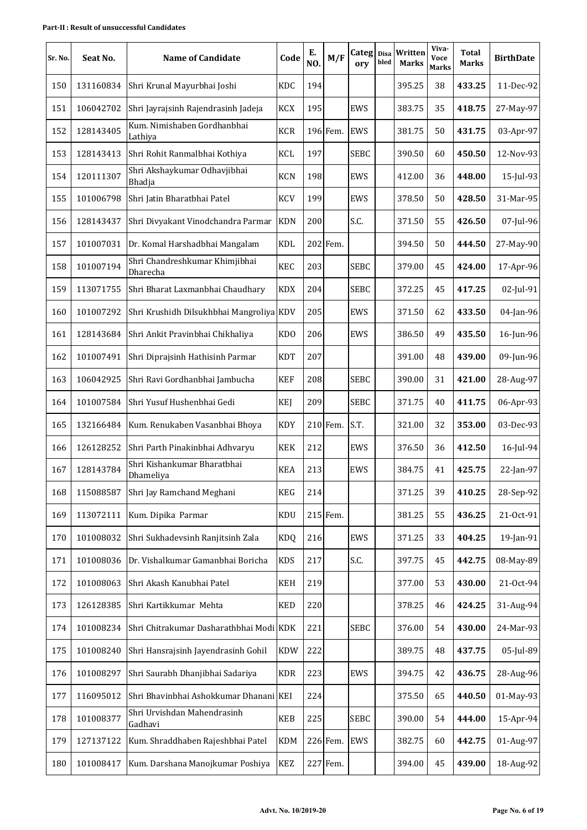| Sr. No. | Seat No.  | <b>Name of Candidate</b>                   | Code       | Е.<br>NO. | M/F      | Categ Disa<br>ory | bled | Written<br><b>Marks</b> | Viva-<br>Voce<br><b>Marks</b> | Total<br>Marks | <b>BirthDate</b> |
|---------|-----------|--------------------------------------------|------------|-----------|----------|-------------------|------|-------------------------|-------------------------------|----------------|------------------|
| 150     | 131160834 | Shri Krunal Mayurbhai Joshi                | <b>KDC</b> | 194       |          |                   |      | 395.25                  | 38                            | 433.25         | 11-Dec-92        |
| 151     | 106042702 | Shri Jayrajsinh Rajendrasinh Jadeja        | <b>KCX</b> | 195       |          | EWS               |      | 383.75                  | 35                            | 418.75         | 27-May-97        |
| 152     | 128143405 | Kum. Nimishaben Gordhanbhai<br>Lathiya     | <b>KCR</b> |           | 196 Fem. | <b>EWS</b>        |      | 381.75                  | 50                            | 431.75         | 03-Apr-97        |
| 153     | 128143413 | Shri Rohit Ranmalbhai Kothiya              | KCL        | 197       |          | <b>SEBC</b>       |      | 390.50                  | 60                            | 450.50         | 12-Nov-93        |
| 154     | 120111307 | Shri Akshaykumar Odhavjibhai<br>Bhadja     | <b>KCN</b> | 198       |          | EWS               |      | 412.00                  | 36                            | 448.00         | 15-Jul-93        |
| 155     | 101006798 | Shri Jatin Bharatbhai Patel                | <b>KCV</b> | 199       |          | EWS               |      | 378.50                  | 50                            | 428.50         | 31-Mar-95        |
| 156     | 128143437 | Shri Divyakant Vinodchandra Parmar         | <b>KDN</b> | 200       |          | S.C.              |      | 371.50                  | 55                            | 426.50         | 07-Jul-96        |
| 157     | 101007031 | Dr. Komal Harshadbhai Mangalam             | <b>KDL</b> |           | 202 Fem. |                   |      | 394.50                  | 50                            | 444.50         | 27-May-90        |
| 158     | 101007194 | Shri Chandreshkumar Khimjibhai<br>Dharecha | <b>KEC</b> | 203       |          | <b>SEBC</b>       |      | 379.00                  | 45                            | 424.00         | 17-Apr-96        |
| 159     | 113071755 | Shri Bharat Laxmanbhai Chaudhary           | <b>KDX</b> | 204       |          | <b>SEBC</b>       |      | 372.25                  | 45                            | 417.25         | 02-Jul-91        |
| 160     | 101007292 | Shri Krushidh Dilsukhbhai Mangroliya KDV   |            | 205       |          | EWS               |      | 371.50                  | 62                            | 433.50         | 04-Jan-96        |
| 161     | 128143684 | Shri Ankit Pravinbhai Chikhaliya           | <b>KDO</b> | 206       |          | EWS               |      | 386.50                  | 49                            | 435.50         | 16-Jun-96        |
| 162     | 101007491 | Shri Diprajsinh Hathisinh Parmar           | <b>KDT</b> | 207       |          |                   |      | 391.00                  | 48                            | 439.00         | 09-Jun-96        |
| 163     | 106042925 | Shri Ravi Gordhanbhai Jambucha             | <b>KEF</b> | 208       |          | <b>SEBC</b>       |      | 390.00                  | 31                            | 421.00         | 28-Aug-97        |
| 164     | 101007584 | Shri Yusuf Hushenbhai Gedi                 | <b>KEJ</b> | 209       |          | <b>SEBC</b>       |      | 371.75                  | 40                            | 411.75         | 06-Apr-93        |
| 165     | 132166484 | Kum. Renukaben Vasanbhai Bhoya             | <b>KDY</b> |           | 210 Fem. | S.T.              |      | 321.00                  | 32                            | 353.00         | 03-Dec-93        |
| 166     | 126128252 | Shri Parth Pinakinbhai Adhvaryu            | <b>KEK</b> | 212       |          | EWS               |      | 376.50                  | 36                            | 412.50         | 16-Jul-94        |
| 167     | 128143784 | Shri Kishankumar Bharatbhai<br>Dhameliya   | <b>KEA</b> | 213       |          | EWS               |      | 384.75                  | 41                            | 425.75         | 22-Jan-97        |
| 168     | 115088587 | Shri Jay Ramchand Meghani                  | <b>KEG</b> | 214       |          |                   |      | 371.25                  | 39                            | 410.25         | 28-Sep-92        |
| 169     | 113072111 | Kum. Dipika Parmar                         | KDU        |           | 215 Fem. |                   |      | 381.25                  | 55                            | 436.25         | 21-Oct-91        |
| 170     | 101008032 | Shri Sukhadevsinh Ranjitsinh Zala          | <b>KDQ</b> | 216       |          | EWS               |      | 371.25                  | 33                            | 404.25         | 19-Jan-91        |
| 171     | 101008036 | Dr. Vishalkumar Gamanbhai Boricha          | <b>KDS</b> | 217       |          | S.C.              |      | 397.75                  | 45                            | 442.75         | 08-May-89        |
| 172     | 101008063 | Shri Akash Kanubhai Patel                  | <b>KEH</b> | 219       |          |                   |      | 377.00                  | 53                            | 430.00         | 21-Oct-94        |
| 173     | 126128385 | Shri Kartikkumar Mehta                     | <b>KED</b> | 220       |          |                   |      | 378.25                  | 46                            | 424.25         | 31-Aug-94        |
| 174     | 101008234 | Shri Chitrakumar Dasharathbhai Modi KDK    |            | 221       |          | <b>SEBC</b>       |      | 376.00                  | 54                            | 430.00         | 24-Mar-93        |
| 175     | 101008240 | Shri Hansrajsinh Jayendrasinh Gohil        | <b>KDW</b> | 222       |          |                   |      | 389.75                  | 48                            | 437.75         | 05-Jul-89        |
| 176     | 101008297 | Shri Saurabh Dhanjibhai Sadariya           | <b>KDR</b> | 223       |          | EWS               |      | 394.75                  | 42                            | 436.75         | 28-Aug-96        |
| 177     | 116095012 | Shri Bhavinbhai Ashokkumar Dhanani KEI     |            | 224       |          |                   |      | 375.50                  | 65                            | 440.50         | 01-May-93        |
| 178     | 101008377 | Shri Urvishdan Mahendrasinh<br>Gadhavi     | <b>KEB</b> | 225       |          | <b>SEBC</b>       |      | 390.00                  | 54                            | 444.00         | 15-Apr-94        |
| 179     | 127137122 | Kum. Shraddhaben Rajeshbhai Patel          | <b>KDM</b> |           | 226 Fem. | EWS               |      | 382.75                  | 60                            | 442.75         | 01-Aug-97        |
| 180     | 101008417 | Kum. Darshana Manojkumar Poshiya           | KEZ        |           | 227 Fem. |                   |      | 394.00                  | 45                            | 439.00         | 18-Aug-92        |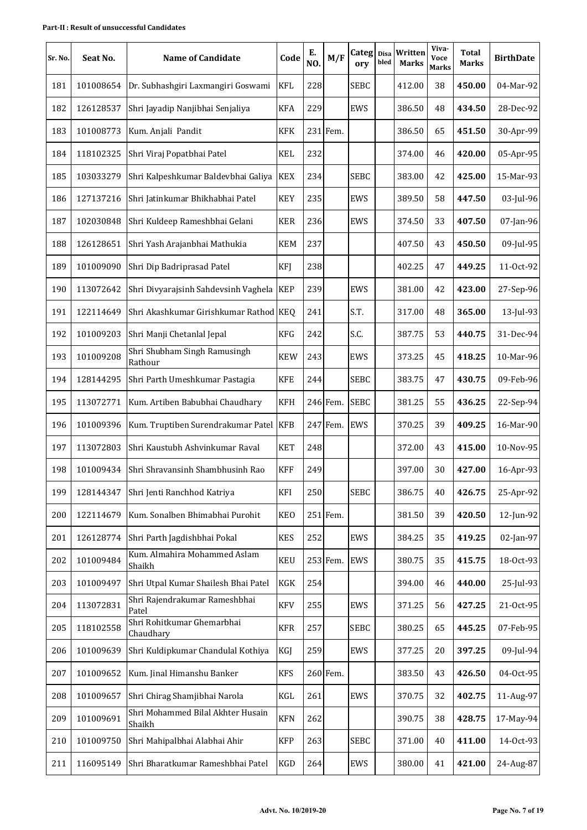| Sr. No. | Seat No.  | <b>Name of Candidate</b>                    | Code       | Е.<br>NO. | M/F      | Categ Disa<br>ory | bled | Written<br><b>Marks</b> | Viva-<br>Voce<br><b>Marks</b> | Total<br><b>Marks</b> | <b>BirthDate</b> |
|---------|-----------|---------------------------------------------|------------|-----------|----------|-------------------|------|-------------------------|-------------------------------|-----------------------|------------------|
| 181     | 101008654 | Dr. Subhashgiri Laxmangiri Goswami          | <b>KFL</b> | 228       |          | <b>SEBC</b>       |      | 412.00                  | 38                            | 450.00                | 04-Mar-92        |
| 182     | 126128537 | Shri Jayadip Nanjibhai Senjaliya            | <b>KFA</b> | 229       |          | EWS               |      | 386.50                  | 48                            | 434.50                | 28-Dec-92        |
| 183     | 101008773 | Kum. Anjali Pandit                          | <b>KFK</b> |           | 231 Fem. |                   |      | 386.50                  | 65                            | 451.50                | 30-Apr-99        |
| 184     | 118102325 | Shri Viraj Popatbhai Patel                  | <b>KEL</b> | 232       |          |                   |      | 374.00                  | 46                            | 420.00                | 05-Apr-95        |
| 185     | 103033279 | Shri Kalpeshkumar Baldevbhai Galiya         | <b>KEX</b> | 234       |          | <b>SEBC</b>       |      | 383.00                  | 42                            | 425.00                | 15-Mar-93        |
| 186     | 127137216 | Shri Jatinkumar Bhikhabhai Patel            | <b>KEY</b> | 235       |          | EWS               |      | 389.50                  | 58                            | 447.50                | 03-Jul-96        |
| 187     | 102030848 | Shri Kuldeep Rameshbhai Gelani              | <b>KER</b> | 236       |          | EWS               |      | 374.50                  | 33                            | 407.50                | 07-Jan-96        |
| 188     | 126128651 | Shri Yash Arajanbhai Mathukia               | <b>KEM</b> | 237       |          |                   |      | 407.50                  | 43                            | 450.50                | 09-Jul-95        |
| 189     | 101009090 | Shri Dip Badriprasad Patel                  | <b>KFJ</b> | 238       |          |                   |      | 402.25                  | 47                            | 449.25                | 11-Oct-92        |
| 190     | 113072642 | Shri Divyarajsinh Sahdevsinh Vaghela   KEP  |            | 239       |          | EWS               |      | 381.00                  | 42                            | 423.00                | 27-Sep-96        |
| 191     | 122114649 | Shri Akashkumar Girishkumar Rathod KEQ      |            | 241       |          | S.T.              |      | 317.00                  | 48                            | 365.00                | 13-Jul-93        |
| 192     | 101009203 | Shri Manji Chetanlal Jepal                  | <b>KFG</b> | 242       |          | S.C.              |      | 387.75                  | 53                            | 440.75                | 31-Dec-94        |
| 193     | 101009208 | Shri Shubham Singh Ramusingh<br>Rathour     | <b>KEW</b> | 243       |          | EWS               |      | 373.25                  | 45                            | 418.25                | 10-Mar-96        |
| 194     | 128144295 | Shri Parth Umeshkumar Pastagia              | <b>KFE</b> | 244       |          | <b>SEBC</b>       |      | 383.75                  | 47                            | 430.75                | 09-Feb-96        |
| 195     | 113072771 | Kum. Artiben Babubhai Chaudhary             | <b>KFH</b> |           | 246 Fem. | <b>SEBC</b>       |      | 381.25                  | 55                            | 436.25                | 22-Sep-94        |
| 196     | 101009396 | Kum. Truptiben Surendrakumar Patel   KFB    |            |           | 247 Fem. | <b>EWS</b>        |      | 370.25                  | 39                            | 409.25                | 16-Mar-90        |
| 197     | 113072803 | Shri Kaustubh Ashvinkumar Raval             | <b>KET</b> | 248       |          |                   |      | 372.00                  | 43                            | 415.00                | 10-Nov-95        |
| 198     | 101009434 | Shri Shravansinh Shambhusinh Rao            | <b>KFF</b> | 249       |          |                   |      | 397.00                  | 30                            | 427.00                | 16-Apr-93        |
| 199     | 128144347 | Shri Jenti Ranchhod Katriya                 | KFI        | 250       |          | <b>SEBC</b>       |      | 386.75                  | 40                            | 426.75                | 25-Apr-92        |
| 200     | 122114679 | Kum. Sonalben Bhimabhai Purohit             | <b>KEO</b> |           | 251 Fem. |                   |      | 381.50                  | 39                            | 420.50                | 12-Jun-92        |
| 201     | 126128774 | Shri Parth Jagdishbhai Pokal                | <b>KES</b> | 252       |          | EWS               |      | 384.25                  | 35                            | 419.25                | 02-Jan-97        |
| 202     | 101009484 | Kum. Almahira Mohammed Aslam<br>Shaikh      | <b>KEU</b> |           | 253 Fem. | EWS               |      | 380.75                  | 35                            | 415.75                | 18-Oct-93        |
| 203     | 101009497 | Shri Utpal Kumar Shailesh Bhai Patel        | KGK        | 254       |          |                   |      | 394.00                  | 46                            | 440.00                | 25-Jul-93        |
| 204     | 113072831 | Shri Rajendrakumar Rameshbhai<br>Patel      | <b>KFV</b> | 255       |          | EWS               |      | 371.25                  | 56                            | 427.25                | 21-Oct-95        |
| 205     | 118102558 | Shri Rohitkumar Ghemarbhai<br>Chaudhary     | <b>KFR</b> | 257       |          | <b>SEBC</b>       |      | 380.25                  | 65                            | 445.25                | 07-Feb-95        |
| 206     | 101009639 | Shri Kuldipkumar Chandulal Kothiya          | KGJ        | 259       |          | EWS               |      | 377.25                  | 20                            | 397.25                | 09-Jul-94        |
| 207     | 101009652 | Kum. Jinal Himanshu Banker                  | <b>KFS</b> |           | 260 Fem. |                   |      | 383.50                  | 43                            | 426.50                | 04-Oct-95        |
| 208     | 101009657 | Shri Chirag Shamjibhai Narola               | KGL        | 261       |          | EWS               |      | 370.75                  | 32                            | 402.75                | 11-Aug-97        |
| 209     | 101009691 | Shri Mohammed Bilal Akhter Husain<br>Shaikh | <b>KFN</b> | 262       |          |                   |      | 390.75                  | 38                            | 428.75                | 17-May-94        |
| 210     | 101009750 | Shri Mahipalbhai Alabhai Ahir               | <b>KFP</b> | 263       |          | <b>SEBC</b>       |      | 371.00                  | 40                            | 411.00                | 14-Oct-93        |
| 211     | 116095149 | Shri Bharatkumar Rameshbhai Patel           | <b>KGD</b> | 264       |          | EWS               |      | 380.00                  | 41                            | 421.00                | 24-Aug-87        |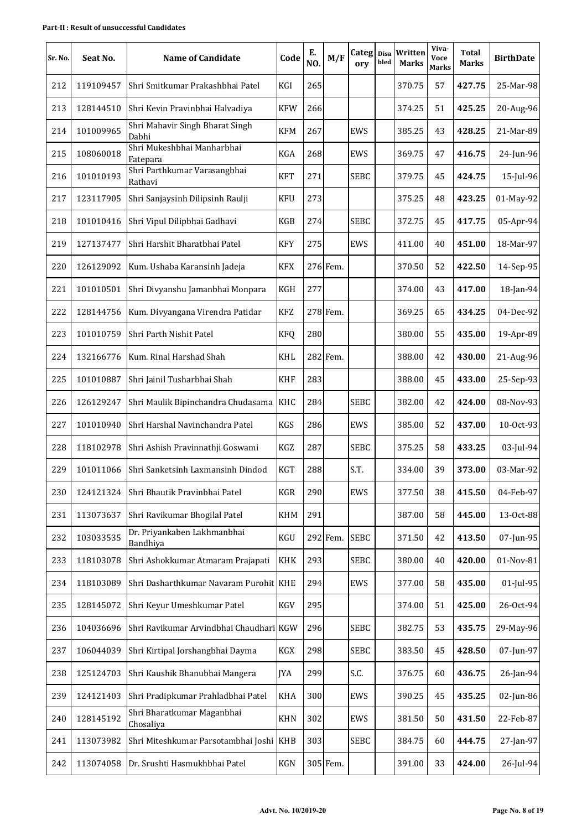| Sr. No. | Seat No.  | <b>Name of Candidate</b>                 | Code       | Е.<br>NO. | M/F      | Categ Disa<br>ory | bled | Written<br><b>Marks</b> | Viva-<br>Voce<br><b>Marks</b> | <b>Total</b><br><b>Marks</b> | <b>BirthDate</b> |
|---------|-----------|------------------------------------------|------------|-----------|----------|-------------------|------|-------------------------|-------------------------------|------------------------------|------------------|
| 212     | 119109457 | Shri Smitkumar Prakashbhai Patel         | KGI        | 265       |          |                   |      | 370.75                  | 57                            | 427.75                       | 25-Mar-98        |
| 213     | 128144510 | Shri Kevin Pravinbhai Halvadiya          | <b>KFW</b> | 266       |          |                   |      | 374.25                  | 51                            | 425.25                       | 20-Aug-96        |
| 214     | 101009965 | Shri Mahavir Singh Bharat Singh<br>Dabhi | <b>KFM</b> | 267       |          | EWS               |      | 385.25                  | 43                            | 428.25                       | 21-Mar-89        |
| 215     | 108060018 | Shri Mukeshbhai Manharbhai<br>Fatepara   | KGA        | 268       |          | EWS               |      | 369.75                  | 47                            | 416.75                       | 24-Jun-96        |
| 216     | 101010193 | Shri Parthkumar Varasangbhai<br>Rathavi  | <b>KFT</b> | 271       |          | <b>SEBC</b>       |      | 379.75                  | 45                            | 424.75                       | 15-Jul-96        |
| 217     | 123117905 | Shri Sanjaysinh Dilipsinh Raulji         | <b>KFU</b> | 273       |          |                   |      | 375.25                  | 48                            | 423.25                       | 01-May-92        |
| 218     | 101010416 | Shri Vipul Dilipbhai Gadhavi             | <b>KGB</b> | 274       |          | <b>SEBC</b>       |      | 372.75                  | 45                            | 417.75                       | 05-Apr-94        |
| 219     | 127137477 | Shri Harshit Bharatbhai Patel            | <b>KFY</b> | 275       |          | EWS               |      | 411.00                  | 40                            | 451.00                       | 18-Mar-97        |
| 220     | 126129092 | Kum. Ushaba Karansinh Jadeja             | <b>KFX</b> |           | 276 Fem. |                   |      | 370.50                  | 52                            | 422.50                       | 14-Sep-95        |
| 221     | 101010501 | Shri Divyanshu Jamanbhai Monpara         | KGH        | 277       |          |                   |      | 374.00                  | 43                            | 417.00                       | 18-Jan-94        |
| 222     | 128144756 | Kum. Divyangana Virendra Patidar         | <b>KFZ</b> |           | 278 Fem. |                   |      | 369.25                  | 65                            | 434.25                       | 04-Dec-92        |
| 223     | 101010759 | Shri Parth Nishit Patel                  | <b>KFQ</b> | 280       |          |                   |      | 380.00                  | 55                            | 435.00                       | 19-Apr-89        |
| 224     | 132166776 | Kum. Rinal Harshad Shah                  | KHL        |           | 282 Fem. |                   |      | 388.00                  | 42                            | 430.00                       | 21-Aug-96        |
| 225     | 101010887 | Shri Jainil Tusharbhai Shah              | <b>KHF</b> | 283       |          |                   |      | 388.00                  | 45                            | 433.00                       | 25-Sep-93        |
| 226     | 126129247 | Shri Maulik Bipinchandra Chudasama       | KHC        | 284       |          | <b>SEBC</b>       |      | 382.00                  | 42                            | 424.00                       | 08-Nov-93        |
| 227     | 101010940 | Shri Harshal Navinchandra Patel          | <b>KGS</b> | 286       |          | EWS               |      | 385.00                  | 52                            | 437.00                       | 10-Oct-93        |
| 228     | 118102978 | Shri Ashish Pravinnathji Goswami         | KGZ        | 287       |          | <b>SEBC</b>       |      | 375.25                  | 58                            | 433.25                       | 03-Jul-94        |
| 229     | 101011066 | Shri Sanketsinh Laxmansinh Dindod        | <b>KGT</b> | 288       |          | S.T.              |      | 334.00                  | 39                            | 373.00                       | 03-Mar-92        |
| 230     | 124121324 | Shri Bhautik Pravinbhai Patel            | KGR        | 290       |          | <b>EWS</b>        |      | 377.50                  | 38                            | 415.50                       | 04-Feb-97        |
| 231     | 113073637 | Shri Ravikumar Bhogilal Patel            | <b>KHM</b> | 291       |          |                   |      | 387.00                  | 58                            | 445.00                       | 13-Oct-88        |
| 232     | 103033535 | Dr. Priyankaben Lakhmanbhai<br>Bandhiya  | KGU        |           | 292 Fem. | <b>SEBC</b>       |      | 371.50                  | 42                            | 413.50                       | 07-Jun-95        |
| 233     | 118103078 | Shri Ashokkumar Atmaram Prajapati        | <b>KHK</b> | 293       |          | <b>SEBC</b>       |      | 380.00                  | 40                            | 420.00                       | 01-Nov-81        |
| 234     | 118103089 | Shri Dasharthkumar Navaram Purohit KHE   |            | 294       |          | EWS               |      | 377.00                  | 58                            | 435.00                       | 01-Jul-95        |
| 235     | 128145072 | Shri Keyur Umeshkumar Patel              | <b>KGV</b> | 295       |          |                   |      | 374.00                  | 51                            | 425.00                       | 26-Oct-94        |
| 236     | 104036696 | Shri Ravikumar Arvindbhai Chaudhari KGW  |            | 296       |          | <b>SEBC</b>       |      | 382.75                  | 53                            | 435.75                       | 29-May-96        |
| 237     | 106044039 | Shri Kirtipal Jorshangbhai Dayma         | KGX        | 298       |          | <b>SEBC</b>       |      | 383.50                  | 45                            | 428.50                       | 07-Jun-97        |
| 238     | 125124703 | Shri Kaushik Bhanubhai Mangera           | <b>JYA</b> | 299       |          | S.C.              |      | 376.75                  | 60                            | 436.75                       | 26-Jan-94        |
| 239     | 124121403 | Shri Pradipkumar Prahladbhai Patel       | <b>KHA</b> | 300       |          | EWS               |      | 390.25                  | 45                            | 435.25                       | 02-Jun-86        |
| 240     | 128145192 | Shri Bharatkumar Maganbhai<br>Chosaliya  | <b>KHN</b> | 302       |          | EWS               |      | 381.50                  | 50                            | 431.50                       | 22-Feb-87        |
| 241     | 113073982 | Shri Miteshkumar Parsotambhai Joshi KHB  |            | 303       |          | <b>SEBC</b>       |      | 384.75                  | 60                            | 444.75                       | 27-Jan-97        |
| 242     | 113074058 | Dr. Srushti Hasmukhbhai Patel            | KGN        |           | 305 Fem. |                   |      | 391.00                  | 33                            | 424.00                       | 26-Jul-94        |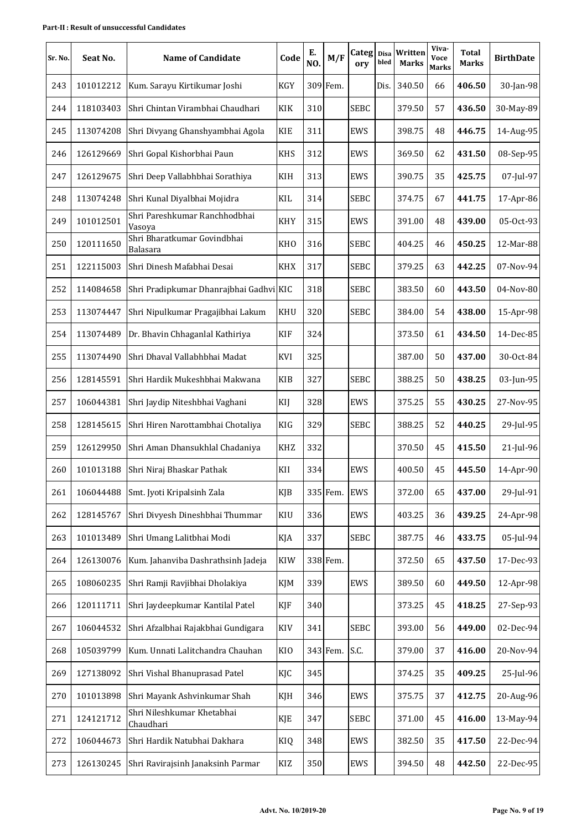| Sr. No. | Seat No.  | <b>Name of Candidate</b>                       | Code            | Е.<br>NO. | M/F      | Categ Disa<br>ory | bled | Written<br><b>Marks</b> | Viva-<br>Voce<br><b>Marks</b> | <b>Total</b><br>Marks | <b>BirthDate</b> |
|---------|-----------|------------------------------------------------|-----------------|-----------|----------|-------------------|------|-------------------------|-------------------------------|-----------------------|------------------|
| 243     | 101012212 | Kum. Sarayu Kirtikumar Joshi                   | <b>KGY</b>      |           | 309 Fem. |                   | Dis. | 340.50                  | 66                            | 406.50                | 30-Jan-98        |
| 244     | 118103403 | Shri Chintan Virambhai Chaudhari               | KIK             | 310       |          | <b>SEBC</b>       |      | 379.50                  | 57                            | 436.50                | 30-May-89        |
| 245     | 113074208 | Shri Divyang Ghanshyambhai Agola               | <b>KIE</b>      | 311       |          | EWS               |      | 398.75                  | 48                            | 446.75                | 14-Aug-95        |
| 246     | 126129669 | Shri Gopal Kishorbhai Paun                     | <b>KHS</b>      | 312       |          | EWS               |      | 369.50                  | 62                            | 431.50                | 08-Sep-95        |
| 247     | 126129675 | Shri Deep Vallabhbhai Sorathiya                | KIH             | 313       |          | EWS               |      | 390.75                  | 35                            | 425.75                | 07-Jul-97        |
| 248     | 113074248 | Shri Kunal Diyalbhai Mojidra                   | KIL             | 314       |          | <b>SEBC</b>       |      | 374.75                  | 67                            | 441.75                | 17-Apr-86        |
| 249     | 101012501 | Shri Pareshkumar Ranchhodbhai<br>Vasoya        | <b>KHY</b>      | 315       |          | EWS               |      | 391.00                  | 48                            | 439.00                | 05-Oct-93        |
| 250     | 120111650 | Shri Bharatkumar Govindbhai<br><b>Balasara</b> | <b>KHO</b>      | 316       |          | <b>SEBC</b>       |      | 404.25                  | 46                            | 450.25                | 12-Mar-88        |
| 251     | 122115003 | Shri Dinesh Mafabhai Desai                     | <b>KHX</b>      | 317       |          | <b>SEBC</b>       |      | 379.25                  | 63                            | 442.25                | 07-Nov-94        |
| 252     | 114084658 | Shri Pradipkumar Dhanrajbhai Gadhvi KIC        |                 | 318       |          | <b>SEBC</b>       |      | 383.50                  | 60                            | 443.50                | 04-Nov-80        |
| 253     | 113074447 | Shri Nipulkumar Pragajibhai Lakum              | <b>KHU</b>      | 320       |          | <b>SEBC</b>       |      | 384.00                  | 54                            | 438.00                | 15-Apr-98        |
| 254     | 113074489 | Dr. Bhavin Chhaganlal Kathiriya                | <b>KIF</b>      | 324       |          |                   |      | 373.50                  | 61                            | 434.50                | 14-Dec-85        |
| 255     | 113074490 | Shri Dhaval Vallabhbhai Madat                  | KVI             | 325       |          |                   |      | 387.00                  | 50                            | 437.00                | 30-Oct-84        |
| 256     | 128145591 | Shri Hardik Mukeshbhai Makwana                 | <b>KIB</b>      | 327       |          | <b>SEBC</b>       |      | 388.25                  | 50                            | 438.25                | 03-Jun-95        |
| 257     | 106044381 | Shri Jaydip Niteshbhai Vaghani                 | KIJ             | 328       |          | EWS               |      | 375.25                  | 55                            | 430.25                | 27-Nov-95        |
| 258     | 128145615 | Shri Hiren Narottambhai Chotaliya              | KIG             | 329       |          | <b>SEBC</b>       |      | 388.25                  | 52                            | 440.25                | 29-Jul-95        |
| 259     | 126129950 | Shri Aman Dhansukhlal Chadaniya                | <b>KHZ</b>      | 332       |          |                   |      | 370.50                  | 45                            | 415.50                | 21-Jul-96        |
| 260     | 101013188 | Shri Niraj Bhaskar Pathak                      | KII             | 334       |          | EWS               |      | 400.50                  | 45                            | 445.50                | 14-Apr-90        |
| 261     | 106044488 | Smt. Jyoti Kripalsinh Zala                     | <b>KJB</b>      |           | 335 Fem. | EWS               |      | 372.00                  | 65                            | 437.00                | 29-Jul-91        |
| 262     | 128145767 | Shri Divyesh Dineshbhai Thummar                | KIU             | 336       |          | EWS               |      | 403.25                  | 36                            | 439.25                | 24-Apr-98        |
| 263     | 101013489 | Shri Umang Lalitbhai Modi                      | KJA             | 337       |          | <b>SEBC</b>       |      | 387.75                  | 46                            | 433.75                | 05-Jul-94        |
| 264     | 126130076 | Kum. Jahanviba Dashrathsinh Jadeja             | KIW             |           | 338 Fem. |                   |      | 372.50                  | 65                            | 437.50                | 17-Dec-93        |
| 265     | 108060235 | Shri Ramji Ravjibhai Dholakiya                 | KJM             | 339       |          | EWS               |      | 389.50                  | 60                            | 449.50                | 12-Apr-98        |
| 266     | 120111711 | Shri Jaydeepkumar Kantilal Patel               | <b>KJF</b>      | 340       |          |                   |      | 373.25                  | 45                            | 418.25                | 27-Sep-93        |
| 267     | 106044532 | Shri Afzalbhai Rajakbhai Gundigara             | <b>KIV</b>      | 341       |          | <b>SEBC</b>       |      | 393.00                  | 56                            | 449.00                | 02-Dec-94        |
| 268     | 105039799 | Kum. Unnati Lalitchandra Chauhan               | KI <sub>O</sub> |           | 343 Fem. | S.C.              |      | 379.00                  | 37                            | 416.00                | 20-Nov-94        |
| 269     | 127138092 | Shri Vishal Bhanuprasad Patel                  | KJC             | 345       |          |                   |      | 374.25                  | 35                            | 409.25                | 25-Jul-96        |
| 270     | 101013898 | Shri Mayank Ashvinkumar Shah                   | KJH             | 346       |          | EWS               |      | 375.75                  | 37                            | 412.75                | 20-Aug-96        |
| 271     | 124121712 | Shri Nileshkumar Khetabhai<br>Chaudhari        | KJE             | 347       |          | <b>SEBC</b>       |      | 371.00                  | 45                            | 416.00                | 13-May-94        |
| 272     | 106044673 | Shri Hardik Natubhai Dakhara                   | KIQ             | 348       |          | EWS               |      | 382.50                  | 35                            | 417.50                | 22-Dec-94        |
| 273     | 126130245 | Shri Ravirajsinh Janaksinh Parmar              | KIZ             | 350       |          | EWS               |      | 394.50                  | 48                            | 442.50                | 22-Dec-95        |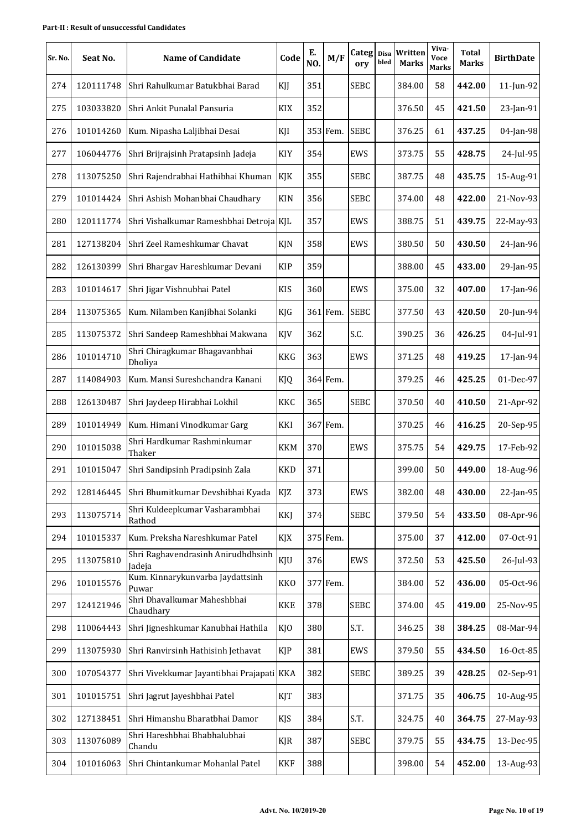| Sr. No. | Seat No.  | <b>Name of Candidate</b>                     | Code       | Е.<br>NO. | M/F      | Categ Disa<br>ory | bled | Written<br><b>Marks</b> | Viva-<br>Voce<br><b>Marks</b> | Total<br><b>Marks</b> | <b>BirthDate</b> |
|---------|-----------|----------------------------------------------|------------|-----------|----------|-------------------|------|-------------------------|-------------------------------|-----------------------|------------------|
| 274     | 120111748 | Shri Rahulkumar Batukbhai Barad              | KJJ        | 351       |          | <b>SEBC</b>       |      | 384.00                  | 58                            | 442.00                | 11-Jun-92        |
| 275     | 103033820 | Shri Ankit Punalal Pansuria                  | <b>KIX</b> | 352       |          |                   |      | 376.50                  | 45                            | 421.50                | 23-Jan-91        |
| 276     | 101014260 | Kum. Nipasha Laljibhai Desai                 | KJI        |           | 353 Fem. | <b>SEBC</b>       |      | 376.25                  | 61                            | 437.25                | 04-Jan-98        |
| 277     | 106044776 | Shri Brijrajsinh Pratapsinh Jadeja           | KIY        | 354       |          | EWS               |      | 373.75                  | 55                            | 428.75                | 24-Jul-95        |
| 278     | 113075250 | Shri Rajendrabhai Hathibhai Khuman           | KJK        | 355       |          | <b>SEBC</b>       |      | 387.75                  | 48                            | 435.75                | 15-Aug-91        |
| 279     | 101014424 | Shri Ashish Mohanbhai Chaudhary              | <b>KIN</b> | 356       |          | <b>SEBC</b>       |      | 374.00                  | 48                            | 422.00                | 21-Nov-93        |
| 280     | 120111774 | Shri Vishalkumar Rameshbhai Detroja KJL      |            | 357       |          | <b>EWS</b>        |      | 388.75                  | 51                            | 439.75                | 22-May-93        |
| 281     | 127138204 | Shri Zeel Rameshkumar Chavat                 | KJN        | 358       |          | EWS               |      | 380.50                  | 50                            | 430.50                | 24-Jan-96        |
| 282     | 126130399 | Shri Bhargav Hareshkumar Devani              | <b>KIP</b> | 359       |          |                   |      | 388.00                  | 45                            | 433.00                | 29-Jan-95        |
| 283     | 101014617 | Shri Jigar Vishnubhai Patel                  | <b>KIS</b> | 360       |          | EWS               |      | 375.00                  | 32                            | 407.00                | 17-Jan-96        |
| 284     | 113075365 | Kum. Nilamben Kanjibhai Solanki              | KJG        |           | 361 Fem. | <b>SEBC</b>       |      | 377.50                  | 43                            | 420.50                | 20-Jun-94        |
| 285     | 113075372 | Shri Sandeep Rameshbhai Makwana              | KJV        | 362       |          | S.C.              |      | 390.25                  | 36                            | 426.25                | 04-Jul-91        |
| 286     | 101014710 | Shri Chiragkumar Bhagavanbhai<br>Dholiya     | <b>KKG</b> | 363       |          | EWS               |      | 371.25                  | 48                            | 419.25                | 17-Jan-94        |
| 287     | 114084903 | Kum. Mansi Sureshchandra Kanani              | KJQ        |           | 364 Fem. |                   |      | 379.25                  | 46                            | 425.25                | 01-Dec-97        |
| 288     | 126130487 | Shri Jaydeep Hirabhai Lokhil                 | KKC        | 365       |          | <b>SEBC</b>       |      | 370.50                  | 40                            | 410.50                | 21-Apr-92        |
| 289     | 101014949 | Kum. Himani Vinodkumar Garg                  | KKI        |           | 367 Fem. |                   |      | 370.25                  | 46                            | 416.25                | 20-Sep-95        |
| 290     | 101015038 | Shri Hardkumar Rashminkumar<br>Thaker        | KKM        | 370       |          | EWS               |      | 375.75                  | 54                            | 429.75                | 17-Feb-92        |
| 291     | 101015047 | Shri Sandipsinh Pradipsinh Zala              | <b>KKD</b> | 371       |          |                   |      | 399.00                  | 50                            | 449.00                | 18-Aug-96        |
| 292     | 128146445 | Shri Bhumitkumar Devshibhai Kyada            | KJZ        | 373       |          | EWS               |      | 382.00                  | 48                            | 430.00                | 22-Jan-95        |
| 293     | 113075714 | Shri Kuldeepkumar Vasharambhai<br>Rathod     | <b>KKJ</b> | 374       |          | <b>SEBC</b>       |      | 379.50                  | 54                            | 433.50                | 08-Apr-96        |
| 294     | 101015337 | Kum. Preksha Nareshkumar Patel               | KJX        |           | 375 Fem. |                   |      | 375.00                  | 37                            | 412.00                | 07-Oct-91        |
| 295     | 113075810 | Shri Raghavendrasinh Anirudhdhsinh<br>Jadeja | KJU        | 376       |          | EWS               |      | 372.50                  | 53                            | 425.50                | 26-Jul-93        |
| 296     | 101015576 | Kum. Kinnarykunvarba Jaydattsinh<br>Puwar    | <b>KKO</b> |           | 377 Fem. |                   |      | 384.00                  | 52                            | 436.00                | 05-Oct-96        |
| 297     | 124121946 | Shri Dhavalkumar Maheshbhai<br>Chaudhary     | <b>KKE</b> | 378       |          | <b>SEBC</b>       |      | 374.00                  | 45                            | 419.00                | 25-Nov-95        |
| 298     | 110064443 | Shri Jigneshkumar Kanubhai Hathila           | KJO        | 380       |          | S.T.              |      | 346.25                  | 38                            | 384.25                | 08-Mar-94        |
| 299     | 113075930 | Shri Ranvirsinh Hathisinh Jethavat           | <b>KJP</b> | 381       |          | EWS               |      | 379.50                  | 55                            | 434.50                | 16-Oct-85        |
| 300     | 107054377 | Shri Vivekkumar Jayantibhai Prajapati KKA    |            | 382       |          | <b>SEBC</b>       |      | 389.25                  | 39                            | 428.25                | 02-Sep-91        |
| 301     | 101015751 | Shri Jagrut Jayeshbhai Patel                 | KJT        | 383       |          |                   |      | 371.75                  | 35                            | 406.75                | 10-Aug-95        |
| 302     | 127138451 | Shri Himanshu Bharatbhai Damor               | KJS        | 384       |          | S.T.              |      | 324.75                  | 40                            | 364.75                | 27-May-93        |
| 303     | 113076089 | Shri Hareshbhai Bhabhalubhai<br>Chandu       | <b>KJR</b> | 387       |          | <b>SEBC</b>       |      | 379.75                  | 55                            | 434.75                | 13-Dec-95        |
| 304     | 101016063 | Shri Chintankumar Mohanlal Patel             | <b>KKF</b> | 388       |          |                   |      | 398.00                  | 54                            | 452.00                | 13-Aug-93        |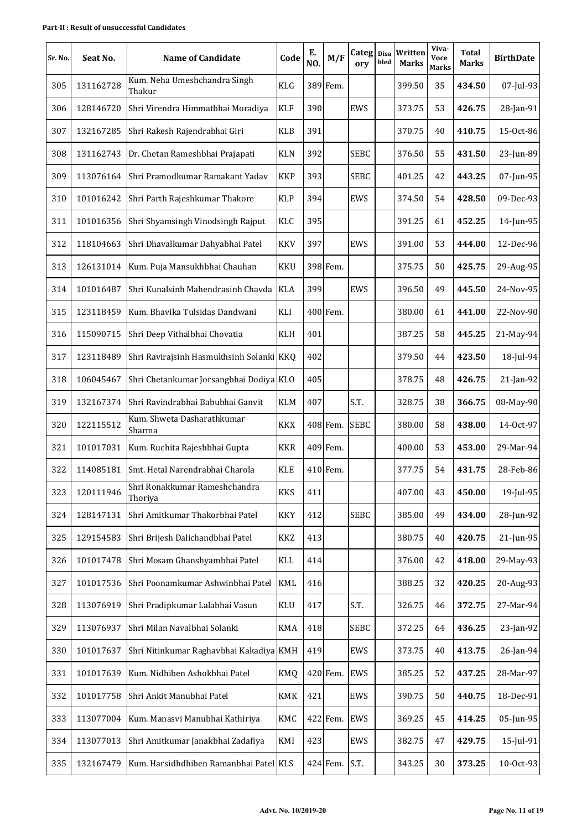| Sr. No. | Seat No.  | <b>Name of Candidate</b>                 | Code       | Е.<br>NO. | M/F      | Categ Disa<br>ory | bled | Written<br><b>Marks</b> | Viva-<br>Voce<br><b>Marks</b> | <b>Total</b><br><b>Marks</b> | <b>BirthDate</b> |
|---------|-----------|------------------------------------------|------------|-----------|----------|-------------------|------|-------------------------|-------------------------------|------------------------------|------------------|
| 305     | 131162728 | Kum. Neha Umeshchandra Singh<br>Thakur   | KLG        |           | 389 Fem. |                   |      | 399.50                  | 35                            | 434.50                       | 07-Jul-93        |
| 306     | 128146720 | Shri Virendra Himmatbhai Moradiya        | <b>KLF</b> | 390       |          | EWS               |      | 373.75                  | 53                            | 426.75                       | 28-Jan-91        |
| 307     | 132167285 | Shri Rakesh Rajendrabhai Giri            | <b>KLB</b> | 391       |          |                   |      | 370.75                  | 40                            | 410.75                       | 15-Oct-86        |
| 308     | 131162743 | Dr. Chetan Rameshbhai Prajapati          | <b>KLN</b> | 392       |          | <b>SEBC</b>       |      | 376.50                  | 55                            | 431.50                       | 23-Jun-89        |
| 309     | 113076164 | Shri Pramodkumar Ramakant Yadav          | <b>KKP</b> | 393       |          | <b>SEBC</b>       |      | 401.25                  | 42                            | 443.25                       | 07-Jun-95        |
| 310     | 101016242 | Shri Parth Rajeshkumar Thakore           | <b>KLP</b> | 394       |          | EWS               |      | 374.50                  | 54                            | 428.50                       | 09-Dec-93        |
| 311     | 101016356 | Shri Shyamsingh Vinodsingh Rajput        | KLC        | 395       |          |                   |      | 391.25                  | 61                            | 452.25                       | 14-Jun-95        |
| 312     | 118104663 | Shri Dhavalkumar Dahyabhai Patel         | <b>KKV</b> | 397       |          | EWS               |      | 391.00                  | 53                            | 444.00                       | 12-Dec-96        |
| 313     | 126131014 | Kum. Puja Mansukhbhai Chauhan            | <b>KKU</b> |           | 398 Fem. |                   |      | 375.75                  | 50                            | 425.75                       | 29-Aug-95        |
| 314     | 101016487 | Shri Kunalsinh Mahendrasinh Chavda       | <b>KLA</b> | 399       |          | EWS               |      | 396.50                  | 49                            | 445.50                       | 24-Nov-95        |
| 315     | 123118459 | Kum. Bhavika Tulsidas Dandwani           | KLI        |           | 400 Fem. |                   |      | 380.00                  | 61                            | 441.00                       | 22-Nov-90        |
| 316     | 115090715 | Shri Deep Vithalbhai Chovatia            | KLH        | 401       |          |                   |      | 387.25                  | 58                            | 445.25                       | 21-May-94        |
| 317     | 123118489 | Shri Ravirajsinh Hasmukhsinh Solanki KKQ |            | 402       |          |                   |      | 379.50                  | 44                            | 423.50                       | 18-Jul-94        |
| 318     | 106045467 | Shri Chetankumar Jorsangbhai Dodiya KLO  |            | 405       |          |                   |      | 378.75                  | 48                            | 426.75                       | 21-Jan-92        |
| 319     | 132167374 | Shri Ravindrabhai Babubhai Ganvit        | <b>KLM</b> | 407       |          | S.T.              |      | 328.75                  | 38                            | 366.75                       | 08-May-90        |
| 320     | 122115512 | Kum. Shweta Dasharathkumar<br>Sharma     | KKX        |           | 408 Fem. | <b>SEBC</b>       |      | 380.00                  | 58                            | 438.00                       | 14-Oct-97        |
| 321     | 101017031 | Kum. Ruchita Rajeshbhai Gupta            | <b>KKR</b> |           | 409 Fem. |                   |      | 400.00                  | 53                            | 453.00                       | 29-Mar-94        |
| 322     | 114085181 | Smt. Hetal Narendrabhai Charola          | <b>KLE</b> |           | 410 Fem. |                   |      | 377.75                  | 54                            | 431.75                       | 28-Feb-86        |
| 323     | 120111946 | Shri Ronakkumar Rameshchandra<br>Thoriya | <b>KKS</b> | 411       |          |                   |      | 407.00                  | 43                            | 450.00                       | 19-Jul-95        |
| 324     | 128147131 | Shri Amitkumar Thakorbhai Patel          | <b>KKY</b> | 412       |          | <b>SEBC</b>       |      | 385.00                  | 49                            | 434.00                       | 28-Jun-92        |
| 325     | 129154583 | Shri Brijesh Dalichandbhai Patel         | KKZ        | 413       |          |                   |      | 380.75                  | 40                            | 420.75                       | 21-Jun-95        |
| 326     | 101017478 | Shri Mosam Ghanshyambhai Patel           | KLL        | 414       |          |                   |      | 376.00                  | 42                            | 418.00                       | 29-May-93        |
| 327     | 101017536 | Shri Poonamkumar Ashwinbhai Patel        | <b>KML</b> | 416       |          |                   |      | 388.25                  | 32                            | 420.25                       | 20-Aug-93        |
| 328     | 113076919 | Shri Pradipkumar Lalabhai Vasun          | KLU        | 417       |          | S.T.              |      | 326.75                  | 46                            | 372.75                       | 27-Mar-94        |
| 329     | 113076937 | Shri Milan Navalbhai Solanki             | <b>KMA</b> | 418       |          | <b>SEBC</b>       |      | 372.25                  | 64                            | 436.25                       | 23-Jan-92        |
| 330     | 101017637 | Shri Nitinkumar Raghavbhai Kakadiya KMH  |            | 419       |          | EWS               |      | 373.75                  | 40                            | 413.75                       | 26-Jan-94        |
| 331     | 101017639 | Kum. Nidhiben Ashokbhai Patel            | KMQ        |           | 420 Fem. | EWS               |      | 385.25                  | 52                            | 437.25                       | 28-Mar-97        |
| 332     | 101017758 | Shri Ankit Manubhai Patel                | KMK        | 421       |          | EWS               |      | 390.75                  | 50                            | 440.75                       | 18-Dec-91        |
| 333     | 113077004 | Kum. Manasvi Manubhai Kathiriya          | KMC        |           | 422 Fem. | EWS               |      | 369.25                  | 45                            | 414.25                       | 05-Jun-95        |
| 334     | 113077013 | Shri Amitkumar Janakbhai Zadafiya        | KMI        | 423       |          | EWS               |      | 382.75                  | 47                            | 429.75                       | 15-Jul-91        |
| 335     | 132167479 | Kum. Harsidhdhiben Ramanbhai Patel KLS   |            |           | 424 Fem. | S.T.              |      | 343.25                  | 30                            | 373.25                       | 10-Oct-93        |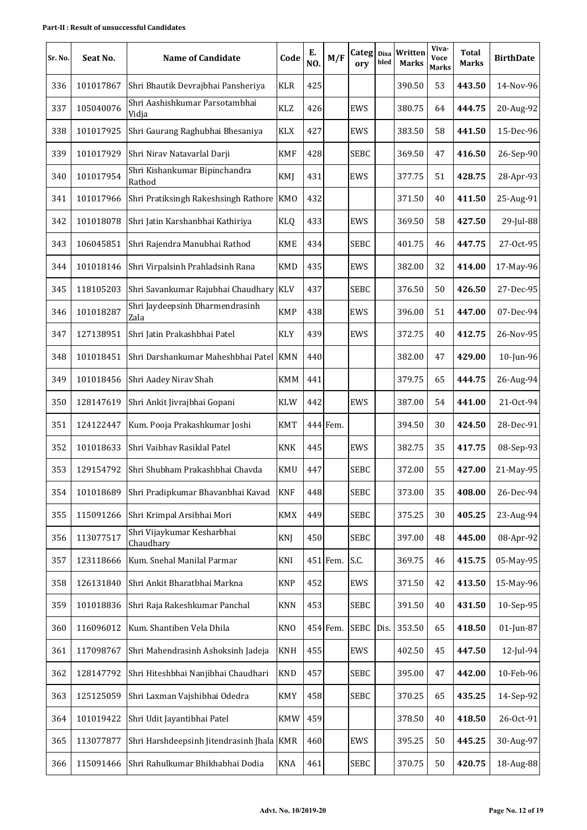| Sr. No. | Seat No.  | <b>Name of Candidate</b>                   | Code       | Е.<br>NO. | M/F      | Categ Disa<br>ory | bled | Written<br><b>Marks</b> | Viva-<br>Voce<br><b>Marks</b> | <b>Total</b><br>Marks | <b>BirthDate</b> |
|---------|-----------|--------------------------------------------|------------|-----------|----------|-------------------|------|-------------------------|-------------------------------|-----------------------|------------------|
| 336     | 101017867 | Shri Bhautik Devrajbhai Pansheriya         | <b>KLR</b> | 425       |          |                   |      | 390.50                  | 53                            | 443.50                | 14-Nov-96        |
| 337     | 105040076 | Shri Aashishkumar Parsotambhai<br>Vidja    | <b>KLZ</b> | 426       |          | EWS               |      | 380.75                  | 64                            | 444.75                | 20-Aug-92        |
| 338     | 101017925 | Shri Gaurang Raghubhai Bhesaniya           | <b>KLX</b> | 427       |          | EWS               |      | 383.50                  | 58                            | 441.50                | 15-Dec-96        |
| 339     | 101017929 | Shri Nirav Natavarlal Darji                | <b>KMF</b> | 428       |          | <b>SEBC</b>       |      | 369.50                  | 47                            | 416.50                | 26-Sep-90        |
| 340     | 101017954 | Shri Kishankumar Bipinchandra<br>Rathod    | KMJ        | 431       |          | EWS               |      | 377.75                  | 51                            | 428.75                | 28-Apr-93        |
| 341     | 101017966 | Shri Pratiksingh Rakeshsingh Rathore   KMO |            | 432       |          |                   |      | 371.50                  | 40                            | 411.50                | 25-Aug-91        |
| 342     | 101018078 | Shri Jatin Karshanbhai Kathiriya           | <b>KLQ</b> | 433       |          | EWS               |      | 369.50                  | 58                            | 427.50                | 29-Jul-88        |
| 343     | 106045851 | Shri Rajendra Manubhai Rathod              | <b>KME</b> | 434       |          | <b>SEBC</b>       |      | 401.75                  | 46                            | 447.75                | 27-Oct-95        |
| 344     | 101018146 | Shri Virpalsinh Prahladsinh Rana           | <b>KMD</b> | 435       |          | EWS               |      | 382.00                  | 32                            | 414.00                | 17-May-96        |
| 345     | 118105203 | Shri Savankumar Rajubhai Chaudhary KLV     |            | 437       |          | <b>SEBC</b>       |      | 376.50                  | 50                            | 426.50                | 27-Dec-95        |
| 346     | 101018287 | Shri Jaydeepsinh Dharmendrasinh<br>Zala    | <b>KMP</b> | 438       |          | EWS               |      | 396.00                  | 51                            | 447.00                | 07-Dec-94        |
| 347     | 127138951 | Shri Jatin Prakashbhai Patel               | <b>KLY</b> | 439       |          | EWS               |      | 372.75                  | 40                            | 412.75                | 26-Nov-95        |
| 348     | 101018451 | Shri Darshankumar Maheshbhai Patel   KMN   |            | 440       |          |                   |      | 382.00                  | 47                            | 429.00                | 10-Jun-96        |
| 349     | 101018456 | Shri Aadey Nirav Shah                      | <b>KMM</b> | 441       |          |                   |      | 379.75                  | 65                            | 444.75                | 26-Aug-94        |
| 350     | 128147619 | Shri Ankit Jivrajbhai Gopani               | <b>KLW</b> | 442       |          | EWS               |      | 387.00                  | 54                            | 441.00                | 21-Oct-94        |
| 351     | 124122447 | Kum. Pooja Prakashkumar Joshi              | <b>KMT</b> |           | 444 Fem. |                   |      | 394.50                  | 30                            | 424.50                | 28-Dec-91        |
| 352     | 101018633 | Shri Vaibhav Rasiklal Patel                | <b>KNK</b> | 445       |          | EWS               |      | 382.75                  | 35                            | 417.75                | 08-Sep-93        |
| 353     | 129154792 | Shri Shubham Prakashbhai Chavda            | <b>KMU</b> | 447       |          | <b>SEBC</b>       |      | 372.00                  | 55                            | 427.00                | 21-May-95        |
| 354     | 101018689 | Shri Pradipkumar Bhavanbhai Kavad          | <b>KNF</b> | 448       |          | <b>SEBC</b>       |      | 373.00                  | 35                            | 408.00                | 26-Dec-94        |
| 355     | 115091266 | Shri Krimpal Arsibhai Mori                 | <b>KMX</b> | 449       |          | <b>SEBC</b>       |      | 375.25                  | 30                            | 405.25                | 23-Aug-94        |
| 356     | 113077517 | Shri Vijaykumar Kesharbhai<br>Chaudhary    | <b>KNJ</b> | 450       |          | <b>SEBC</b>       |      | 397.00                  | 48                            | 445.00                | 08-Apr-92        |
| 357     | 123118666 | Kum. Snehal Manilal Parmar                 | KNI        |           | 451 Fem. | S.C.              |      | 369.75                  | 46                            | 415.75                | 05-May-95        |
| 358     | 126131840 | Shri Ankit Bharatbhai Markna               | <b>KNP</b> | 452       |          | <b>EWS</b>        |      | 371.50                  | 42                            | 413.50                | 15-May-96        |
| 359     | 101018836 | Shri Raja Rakeshkumar Panchal              | <b>KNN</b> | 453       |          | <b>SEBC</b>       |      | 391.50                  | 40                            | 431.50                | 10-Sep-95        |
| 360     | 116096012 | Kum. Shantiben Vela Dhila                  | <b>KNO</b> |           | 454 Fem. | <b>SEBC</b>       | Dis. | 353.50                  | 65                            | 418.50                | 01-Jun-87        |
| 361     | 117098767 | Shri Mahendrasinh Ashoksinh Jadeja         | <b>KNH</b> | 455       |          | EWS               |      | 402.50                  | 45                            | 447.50                | 12-Jul-94        |
| 362     | 128147792 | Shri Hiteshbhai Nanjibhai Chaudhari        | <b>KND</b> | 457       |          | <b>SEBC</b>       |      | 395.00                  | 47                            | 442.00                | 10-Feb-96        |
| 363     | 125125059 | Shri Laxman Vajshibhai Odedra              | <b>KMY</b> | 458       |          | <b>SEBC</b>       |      | 370.25                  | 65                            | 435.25                | 14-Sep-92        |
| 364     | 101019422 | Shri Udit Jayantibhai Patel                | <b>KMW</b> | 459       |          |                   |      | 378.50                  | 40                            | 418.50                | 26-Oct-91        |
| 365     | 113077877 | Shri Harshdeepsinh Jitendrasinh Jhala KMR  |            | 460       |          | EWS               |      | 395.25                  | 50                            | 445.25                | 30-Aug-97        |
| 366     | 115091466 | Shri Rahulkumar Bhikhabhai Dodia           | <b>KNA</b> | 461       |          | <b>SEBC</b>       |      | 370.75                  | 50                            | 420.75                | 18-Aug-88        |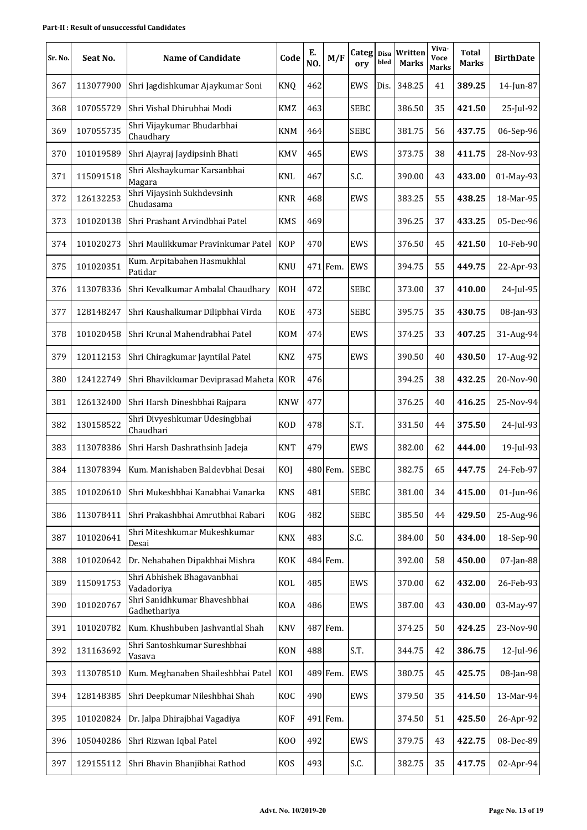| Sr. No. | Seat No.  | <b>Name of Candidate</b>                     | Code           | Е.<br>NO. | M/F      | Categ Disa<br>ory | bled | Written<br><b>Marks</b> | Viva-<br><b>Voce</b><br><b>Marks</b> | <b>Total</b><br>Marks | <b>BirthDate</b> |
|---------|-----------|----------------------------------------------|----------------|-----------|----------|-------------------|------|-------------------------|--------------------------------------|-----------------------|------------------|
| 367     | 113077900 | Shri Jagdishkumar Ajaykumar Soni             | <b>KNQ</b>     | 462       |          | EWS               | Dis. | 348.25                  | 41                                   | 389.25                | 14-Jun-87        |
| 368     | 107055729 | Shri Vishal Dhirubhai Modi                   | <b>KMZ</b>     | 463       |          | <b>SEBC</b>       |      | 386.50                  | 35                                   | 421.50                | 25-Jul-92        |
| 369     | 107055735 | Shri Vijaykumar Bhudarbhai<br>Chaudhary      | <b>KNM</b>     | 464       |          | <b>SEBC</b>       |      | 381.75                  | 56                                   | 437.75                | 06-Sep-96        |
| 370     | 101019589 | Shri Ajayraj Jaydipsinh Bhati                | <b>KMV</b>     | 465       |          | EWS               |      | 373.75                  | 38                                   | 411.75                | 28-Nov-93        |
| 371     | 115091518 | Shri Akshaykumar Karsanbhai<br>Magara        | <b>KNL</b>     | 467       |          | S.C.              |      | 390.00                  | 43                                   | 433.00                | 01-May-93        |
| 372     | 126132253 | Shri Vijaysinh Sukhdevsinh<br>Chudasama      | <b>KNR</b>     | 468       |          | EWS               |      | 383.25                  | 55                                   | 438.25                | 18-Mar-95        |
| 373     | 101020138 | Shri Prashant Arvindbhai Patel               | <b>KMS</b>     | 469       |          |                   |      | 396.25                  | 37                                   | 433.25                | 05-Dec-96        |
| 374     | 101020273 | Shri Maulikkumar Pravinkumar Patel           | <b>KOP</b>     | 470       |          | EWS               |      | 376.50                  | 45                                   | 421.50                | 10-Feb-90        |
| 375     | 101020351 | Kum. Arpitabahen Hasmukhlal<br>Patidar       | <b>KNU</b>     |           | 471 Fem. | <b>EWS</b>        |      | 394.75                  | 55                                   | 449.75                | 22-Apr-93        |
| 376     | 113078336 | Shri Kevalkumar Ambalal Chaudhary            | <b>KOH</b>     | 472       |          | <b>SEBC</b>       |      | 373.00                  | 37                                   | 410.00                | 24-Jul-95        |
| 377     | 128148247 | Shri Kaushalkumar Dilipbhai Virda            | <b>KOE</b>     | 473       |          | <b>SEBC</b>       |      | 395.75                  | 35                                   | 430.75                | 08-Jan-93        |
| 378     | 101020458 | Shri Krunal Mahendrabhai Patel               | <b>KOM</b>     | 474       |          | EWS               |      | 374.25                  | 33                                   | 407.25                | 31-Aug-94        |
| 379     | 120112153 | Shri Chiragkumar Jayntilal Patel             | <b>KNZ</b>     | 475       |          | EWS               |      | 390.50                  | 40                                   | 430.50                | 17-Aug-92        |
| 380     | 124122749 | Shri Bhavikkumar Deviprasad Maheta KOR       |                | 476       |          |                   |      | 394.25                  | 38                                   | 432.25                | 20-Nov-90        |
| 381     | 126132400 | Shri Harsh Dineshbhai Rajpara                | <b>KNW</b>     | 477       |          |                   |      | 376.25                  | 40                                   | 416.25                | 25-Nov-94        |
| 382     | 130158522 | Shri Divyeshkumar Udesingbhai<br>Chaudhari   | <b>KOD</b>     | 478       |          | S.T.              |      | 331.50                  | 44                                   | 375.50                | 24-Jul-93        |
| 383     | 113078386 | Shri Harsh Dashrathsinh Jadeja               | <b>KNT</b>     | 479       |          | EWS               |      | 382.00                  | 62                                   | 444.00                | 19-Jul-93        |
| 384     | 113078394 | Kum. Manishaben Baldevbhai Desai             | KOJ            |           | 480 Fem. | <b>SEBC</b>       |      | 382.75                  | 65                                   | 447.75                | 24-Feb-97        |
| 385     | 101020610 | Shri Mukeshbhai Kanabhai Vanarka             | <b>KNS</b>     | 481       |          | <b>SEBC</b>       |      | 381.00                  | 34                                   | 415.00                | 01-Jun-96        |
| 386     | 113078411 | Shri Prakashbhai Amrutbhai Rabari            | <b>KOG</b>     | 482       |          | <b>SEBC</b>       |      | 385.50                  | 44                                   | 429.50                | 25-Aug-96        |
| 387     | 101020641 | Shri Miteshkumar Mukeshkumar<br>Desai        | <b>KNX</b>     | 483       |          | S.C.              |      | 384.00                  | 50                                   | 434.00                | 18-Sep-90        |
| 388     | 101020642 | Dr. Nehabahen Dipakbhai Mishra               | KOK            |           | 484 Fem. |                   |      | 392.00                  | 58                                   | 450.00                | 07-Jan-88        |
| 389     | 115091753 | Shri Abhishek Bhagavanbhai<br>Vadadoriya     | KOL            | 485       |          | EWS               |      | 370.00                  | 62                                   | 432.00                | 26-Feb-93        |
| 390     | 101020767 | Shri Sanidhkumar Bhaveshbhai<br>Gadhethariya | <b>KOA</b>     | 486       |          | EWS               |      | 387.00                  | 43                                   | 430.00                | 03-May-97        |
| 391     | 101020782 | Kum. Khushbuben Jashvantlal Shah             | <b>KNV</b>     |           | 487 Fem. |                   |      | 374.25                  | 50                                   | 424.25                | 23-Nov-90        |
| 392     | 131163692 | Shri Santoshkumar Sureshbhai<br>Vasava       | <b>KON</b>     | 488       |          | S.T.              |      | 344.75                  | 42                                   | 386.75                | 12-Jul-96        |
| 393     | 113078510 | Kum. Meghanaben Shaileshbhai Patel           | KOI            |           | 489 Fem. | EWS               |      | 380.75                  | 45                                   | 425.75                | 08-Jan-98        |
| 394     | 128148385 | Shri Deepkumar Nileshbhai Shah               | KOC            | 490       |          | EWS               |      | 379.50                  | 35                                   | 414.50                | 13-Mar-94        |
| 395     | 101020824 | Dr. Jalpa Dhirajbhai Vagadiya                | <b>KOF</b>     |           | 491 Fem. |                   |      | 374.50                  | 51                                   | 425.50                | 26-Apr-92        |
| 396     | 105040286 | Shri Rizwan Iqbal Patel                      | K <sub>0</sub> | 492       |          | EWS               |      | 379.75                  | 43                                   | 422.75                | 08-Dec-89        |
| 397     | 129155112 | Shri Bhavin Bhanjibhai Rathod                | <b>KOS</b>     | 493       |          | S.C.              |      | 382.75                  | 35                                   | 417.75                | 02-Apr-94        |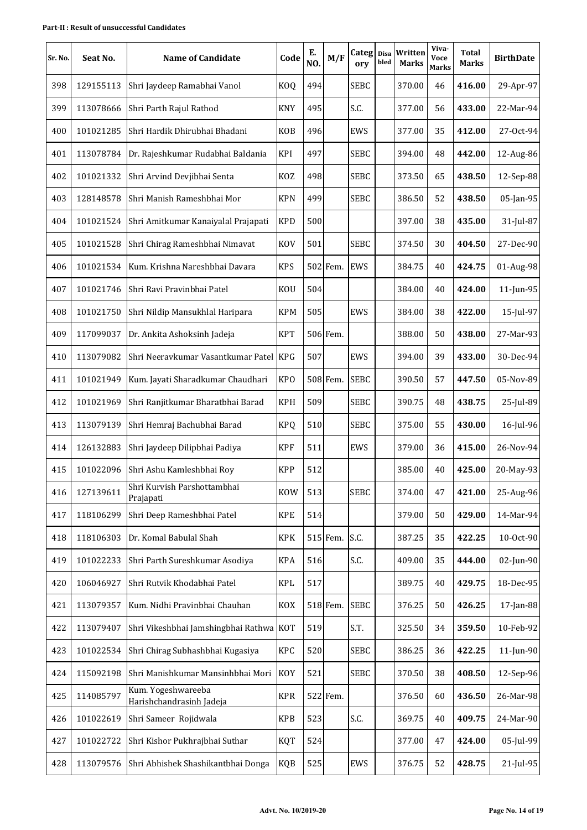| Sr. No. | Seat No.  | <b>Name of Candidate</b>                       | Code            | E.<br>NO. | M/F      | Categ Disa<br>ory | bled | Written<br><b>Marks</b> | Viva-<br><b>Voce</b><br><b>Marks</b> | <b>Total</b><br><b>Marks</b> | <b>BirthDate</b> |
|---------|-----------|------------------------------------------------|-----------------|-----------|----------|-------------------|------|-------------------------|--------------------------------------|------------------------------|------------------|
| 398     | 129155113 | Shri Jaydeep Ramabhai Vanol                    | <b>KOQ</b>      | 494       |          | <b>SEBC</b>       |      | 370.00                  | 46                                   | 416.00                       | 29-Apr-97        |
| 399     | 113078666 | Shri Parth Rajul Rathod                        | <b>KNY</b>      | 495       |          | S.C.              |      | 377.00                  | 56                                   | 433.00                       | 22-Mar-94        |
| 400     | 101021285 | Shri Hardik Dhirubhai Bhadani                  | <b>KOB</b>      | 496       |          | EWS               |      | 377.00                  | 35                                   | 412.00                       | 27-Oct-94        |
| 401     | 113078784 | Dr. Rajeshkumar Rudabhai Baldania              | KPI             | 497       |          | <b>SEBC</b>       |      | 394.00                  | 48                                   | 442.00                       | 12-Aug-86        |
| 402     | 101021332 | Shri Arvind Devjibhai Senta                    | KOZ             | 498       |          | <b>SEBC</b>       |      | 373.50                  | 65                                   | 438.50                       | 12-Sep-88        |
| 403     | 128148578 | Shri Manish Rameshbhai Mor                     | <b>KPN</b>      | 499       |          | <b>SEBC</b>       |      | 386.50                  | 52                                   | 438.50                       | 05-Jan-95        |
| 404     | 101021524 | Shri Amitkumar Kanaiyalal Prajapati            | <b>KPD</b>      | 500       |          |                   |      | 397.00                  | 38                                   | 435.00                       | 31-Jul-87        |
| 405     | 101021528 | Shri Chirag Rameshbhai Nimavat                 | <b>KOV</b>      | 501       |          | <b>SEBC</b>       |      | 374.50                  | 30                                   | 404.50                       | 27-Dec-90        |
| 406     | 101021534 | Kum. Krishna Nareshbhai Davara                 | <b>KPS</b>      |           | 502 Fem. | <b>EWS</b>        |      | 384.75                  | 40                                   | 424.75                       | 01-Aug-98        |
| 407     | 101021746 | Shri Ravi Pravinbhai Patel                     | <b>KOU</b>      | 504       |          |                   |      | 384.00                  | 40                                   | 424.00                       | 11-Jun-95        |
| 408     | 101021750 | Shri Nildip Mansukhlal Haripara                | <b>KPM</b>      | 505       |          | EWS               |      | 384.00                  | 38                                   | 422.00                       | 15-Jul-97        |
| 409     | 117099037 | Dr. Ankita Ashoksinh Jadeja                    | <b>KPT</b>      |           | 506 Fem. |                   |      | 388.00                  | 50                                   | 438.00                       | 27-Mar-93        |
| 410     | 113079082 | Shri Neeravkumar Vasantkumar Patel             | <b>KPG</b>      | 507       |          | EWS               |      | 394.00                  | 39                                   | 433.00                       | 30-Dec-94        |
| 411     | 101021949 | Kum. Jayati Sharadkumar Chaudhari              | KP <sub>O</sub> |           | 508 Fem. | <b>SEBC</b>       |      | 390.50                  | 57                                   | 447.50                       | 05-Nov-89        |
| 412     | 101021969 | Shri Ranjitkumar Bharatbhai Barad              | <b>KPH</b>      | 509       |          | <b>SEBC</b>       |      | 390.75                  | 48                                   | 438.75                       | 25-Jul-89        |
| 413     | 113079139 | Shri Hemraj Bachubhai Barad                    | <b>KPQ</b>      | 510       |          | <b>SEBC</b>       |      | 375.00                  | 55                                   | 430.00                       | 16-Jul-96        |
| 414     | 126132883 | Shri Jaydeep Dilipbhai Padiya                  | <b>KPF</b>      | 511       |          | EWS               |      | 379.00                  | 36                                   | 415.00                       | 26-Nov-94        |
| 415     | 101022096 | Shri Ashu Kamleshbhai Roy                      | <b>KPP</b>      | 512       |          |                   |      | 385.00                  | 40                                   | 425.00                       | 20-May-93        |
| 416     | 127139611 | Shri Kurvish Parshottambhai<br>Prajapati       | <b>KOW</b>      | 513       |          | <b>SEBC</b>       |      | 374.00                  | 47                                   | 421.00                       | 25-Aug-96        |
| 417     | 118106299 | Shri Deep Rameshbhai Patel                     | <b>KPE</b>      | 514       |          |                   |      | 379.00                  | 50                                   | 429.00                       | 14-Mar-94        |
| 418     | 118106303 | Dr. Komal Babulal Shah                         | <b>KPK</b>      |           | 515 Fem. | S.C.              |      | 387.25                  | 35                                   | 422.25                       | 10-Oct-90        |
| 419     | 101022233 | Shri Parth Sureshkumar Asodiya                 | <b>KPA</b>      | 516       |          | S.C.              |      | 409.00                  | 35                                   | 444.00                       | 02-Jun-90        |
| 420     | 106046927 | Shri Rutvik Khodabhai Patel                    | <b>KPL</b>      | 517       |          |                   |      | 389.75                  | 40                                   | 429.75                       | 18-Dec-95        |
| 421     | 113079357 | Kum. Nidhi Pravinbhai Chauhan                  | KOX             |           | 518 Fem. | <b>SEBC</b>       |      | 376.25                  | 50                                   | 426.25                       | $17$ -Jan-88     |
| 422     | 113079407 | Shri Vikeshbhai Jamshingbhai Rathwa KOT        |                 | 519       |          | S.T.              |      | 325.50                  | 34                                   | 359.50                       | 10-Feb-92        |
| 423     | 101022534 | Shri Chirag Subhashbhai Kugasiya               | KPC             | 520       |          | <b>SEBC</b>       |      | 386.25                  | 36                                   | 422.25                       | 11-Jun-90        |
| 424     | 115092198 | Shri Manishkumar Mansinhbhai Mori              | <b>KOY</b>      | 521       |          | <b>SEBC</b>       |      | 370.50                  | 38                                   | 408.50                       | 12-Sep-96        |
| 425     | 114085797 | Kum. Yogeshwareeba<br>Harishchandrasinh Jadeja | <b>KPR</b>      |           | 522 Fem. |                   |      | 376.50                  | 60                                   | 436.50                       | 26-Mar-98        |
| 426     | 101022619 | Shri Sameer Rojidwala                          | <b>KPB</b>      | 523       |          | S.C.              |      | 369.75                  | 40                                   | 409.75                       | 24-Mar-90        |
| 427     | 101022722 | Shri Kishor Pukhrajbhai Suthar                 | KQT             | 524       |          |                   |      | 377.00                  | 47                                   | 424.00                       | 05-Jul-99        |
| 428     | 113079576 | Shri Abhishek Shashikantbhai Donga             | <b>KQB</b>      | 525       |          | EWS               |      | 376.75                  | 52                                   | 428.75                       | 21-Jul-95        |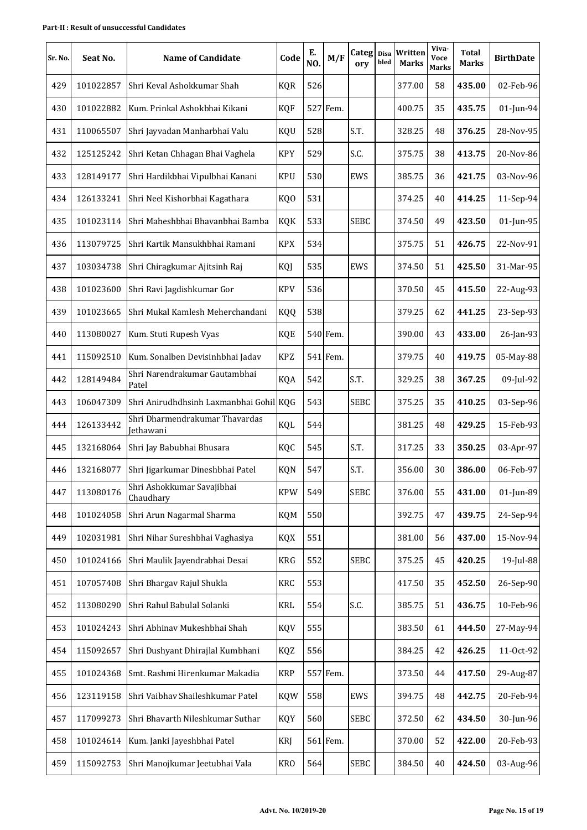| Sr. No. | Seat No.  | <b>Name of Candidate</b>                    | Code       | Е.<br>NO. | M/F      | Categ Disa<br>orv | bled | Written<br><b>Marks</b> | Viva-<br>Voce<br><b>Marks</b> | <b>Total</b><br><b>Marks</b> | <b>BirthDate</b> |
|---------|-----------|---------------------------------------------|------------|-----------|----------|-------------------|------|-------------------------|-------------------------------|------------------------------|------------------|
| 429     | 101022857 | Shri Keval Ashokkumar Shah                  | <b>KQR</b> | 526       |          |                   |      | 377.00                  | 58                            | 435.00                       | 02-Feb-96        |
| 430     | 101022882 | Kum. Prinkal Ashokbhai Kikani               | <b>KQF</b> |           | 527 Fem. |                   |      | 400.75                  | 35                            | 435.75                       | $01$ -Jun-94     |
| 431     | 110065507 | Shri Jayvadan Manharbhai Valu               | KQU        | 528       |          | S.T.              |      | 328.25                  | 48                            | 376.25                       | 28-Nov-95        |
| 432     | 125125242 | Shri Ketan Chhagan Bhai Vaghela             | <b>KPY</b> | 529       |          | S.C.              |      | 375.75                  | 38                            | 413.75                       | 20-Nov-86        |
| 433     | 128149177 | Shri Hardikbhai Vipulbhai Kanani            | <b>KPU</b> | 530       |          | EWS               |      | 385.75                  | 36                            | 421.75                       | 03-Nov-96        |
| 434     | 126133241 | Shri Neel Kishorbhai Kagathara              | KQ0        | 531       |          |                   |      | 374.25                  | 40                            | 414.25                       | 11-Sep-94        |
| 435     | 101023114 | Shri Maheshbhai Bhavanbhai Bamba            | <b>KQK</b> | 533       |          | <b>SEBC</b>       |      | 374.50                  | 49                            | 423.50                       | 01-Jun-95        |
| 436     | 113079725 | Shri Kartik Mansukhbhai Ramani              | <b>KPX</b> | 534       |          |                   |      | 375.75                  | 51                            | 426.75                       | 22-Nov-91        |
| 437     | 103034738 | Shri Chiragkumar Ajitsinh Raj               | KQJ        | 535       |          | EWS               |      | 374.50                  | 51                            | 425.50                       | 31-Mar-95        |
| 438     | 101023600 | Shri Ravi Jagdishkumar Gor                  | <b>KPV</b> | 536       |          |                   |      | 370.50                  | 45                            | 415.50                       | 22-Aug-93        |
| 439     | 101023665 | Shri Mukal Kamlesh Meherchandani            | KQQ        | 538       |          |                   |      | 379.25                  | 62                            | 441.25                       | 23-Sep-93        |
| 440     | 113080027 | Kum. Stuti Rupesh Vyas                      | <b>KQE</b> |           | 540 Fem. |                   |      | 390.00                  | 43                            | 433.00                       | 26-Jan-93        |
| 441     | 115092510 | Kum. Sonalben Devisinhbhai Jadav            | <b>KPZ</b> |           | 541 Fem. |                   |      | 379.75                  | 40                            | 419.75                       | 05-May-88        |
| 442     | 128149484 | Shri Narendrakumar Gautambhai<br>Patel      | KQA        | 542       |          | S.T.              |      | 329.25                  | 38                            | 367.25                       | 09-Jul-92        |
| 443     | 106047309 | Shri Anirudhdhsinh Laxmanbhai Gohil KQG     |            | 543       |          | <b>SEBC</b>       |      | 375.25                  | 35                            | 410.25                       | 03-Sep-96        |
| 444     | 126133442 | Shri Dharmendrakumar Thavardas<br>Jethawani | KQL        | 544       |          |                   |      | 381.25                  | 48                            | 429.25                       | 15-Feb-93        |
| 445     | 132168064 | Shri Jay Babubhai Bhusara                   | KQC        | 545       |          | S.T.              |      | 317.25                  | 33                            | 350.25                       | 03-Apr-97        |
| 446     | 132168077 | Shri Jigarkumar Dineshbhai Patel            | <b>KQN</b> | 547       |          | S.T.              |      | 356.00                  | 30                            | 386.00                       | 06-Feb-97        |
| 447     | 113080176 | Shri Ashokkumar Savajibhai<br>Chaudhary     | <b>KPW</b> | 549       |          | <b>SEBC</b>       |      | 376.00                  | 55                            | 431.00                       | 01-Jun-89        |
| 448     | 101024058 | Shri Arun Nagarmal Sharma                   | <b>KQM</b> | 550       |          |                   |      | 392.75                  | 47                            | 439.75                       | 24-Sep-94        |
| 449     | 102031981 | Shri Nihar Sureshbhai Vaghasiya             | <b>KQX</b> | 551       |          |                   |      | 381.00                  | 56                            | 437.00                       | 15-Nov-94        |
| 450     | 101024166 | Shri Maulik Jayendrabhai Desai              | KRG        | 552       |          | <b>SEBC</b>       |      | 375.25                  | 45                            | 420.25                       | 19-Jul-88        |
| 451     | 107057408 | Shri Bhargav Rajul Shukla                   | KRC        | 553       |          |                   |      | 417.50                  | 35                            | 452.50                       | 26-Sep-90        |
| 452     | 113080290 | Shri Rahul Babulal Solanki                  | <b>KRL</b> | 554       |          | S.C.              |      | 385.75                  | 51                            | 436.75                       | 10-Feb-96        |
| 453     | 101024243 | Shri Abhinav Mukeshbhai Shah                | <b>KQV</b> | 555       |          |                   |      | 383.50                  | 61                            | 444.50                       | 27-May-94        |
| 454     | 115092657 | Shri Dushyant Dhirajlal Kumbhani            | KQZ        | 556       |          |                   |      | 384.25                  | 42                            | 426.25                       | 11-Oct-92        |
| 455     | 101024368 | Smt. Rashmi Hirenkumar Makadia              | <b>KRP</b> |           | 557 Fem. |                   |      | 373.50                  | 44                            | 417.50                       | 29-Aug-87        |
| 456     | 123119158 | Shri Vaibhav Shaileshkumar Patel            | <b>KQW</b> | 558       |          | EWS               |      | 394.75                  | 48                            | 442.75                       | 20-Feb-94        |
| 457     | 117099273 | Shri Bhavarth Nileshkumar Suthar            | KQY        | 560       |          | <b>SEBC</b>       |      | 372.50                  | 62                            | 434.50                       | 30-Jun-96        |
| 458     | 101024614 | Kum. Janki Jayeshbhai Patel                 | <b>KRJ</b> |           | 561 Fem. |                   |      | 370.00                  | 52                            | 422.00                       | 20-Feb-93        |
| 459     | 115092753 | Shri Manojkumar Jeetubhai Vala              | <b>KRO</b> | 564       |          | <b>SEBC</b>       |      | 384.50                  | 40                            | 424.50                       | 03-Aug-96        |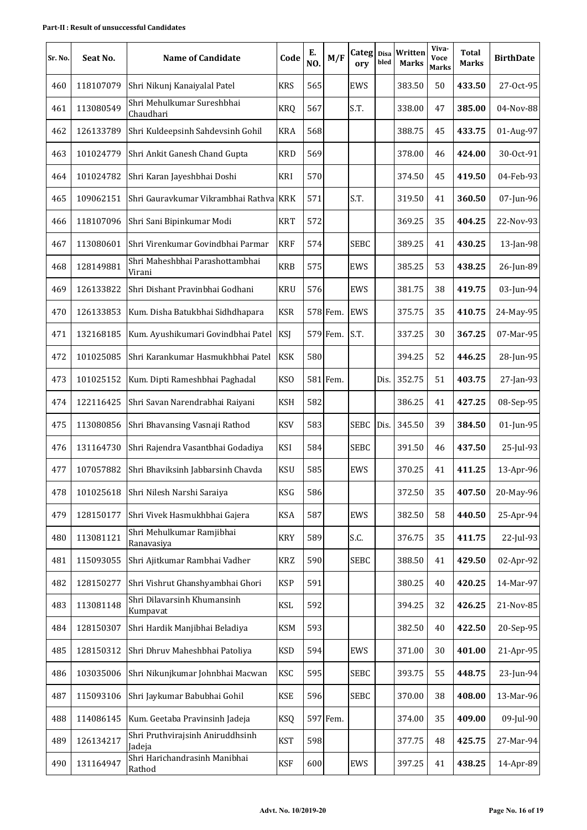| Sr. No. | Seat No.  | <b>Name of Candidate</b>                   | Code            | Е.<br>NO. | M/F      | Categ Disa<br>ory | bled | Written<br><b>Marks</b> | Viva-<br>Voce<br><b>Marks</b> | <b>Total</b><br>Marks | <b>BirthDate</b> |
|---------|-----------|--------------------------------------------|-----------------|-----------|----------|-------------------|------|-------------------------|-------------------------------|-----------------------|------------------|
| 460     | 118107079 | Shri Nikunj Kanaiyalal Patel               | <b>KRS</b>      | 565       |          | EWS               |      | 383.50                  | 50                            | 433.50                | 27-Oct-95        |
| 461     | 113080549 | Shri Mehulkumar Sureshbhai<br>Chaudhari    | <b>KRQ</b>      | 567       |          | S.T.              |      | 338.00                  | 47                            | 385.00                | 04-Nov-88        |
| 462     | 126133789 | Shri Kuldeepsinh Sahdevsinh Gohil          | <b>KRA</b>      | 568       |          |                   |      | 388.75                  | 45                            | 433.75                | 01-Aug-97        |
| 463     | 101024779 | Shri Ankit Ganesh Chand Gupta              | <b>KRD</b>      | 569       |          |                   |      | 378.00                  | 46                            | 424.00                | 30-Oct-91        |
| 464     | 101024782 | Shri Karan Jayeshbhai Doshi                | KRI             | 570       |          |                   |      | 374.50                  | 45                            | 419.50                | 04-Feb-93        |
| 465     | 109062151 | Shri Gauravkumar Vikrambhai Rathva KRK     |                 | 571       |          | S.T.              |      | 319.50                  | 41                            | 360.50                | 07-Jun-96        |
| 466     | 118107096 | Shri Sani Bipinkumar Modi                  | <b>KRT</b>      | 572       |          |                   |      | 369.25                  | 35                            | 404.25                | 22-Nov-93        |
| 467     | 113080601 | Shri Virenkumar Govindbhai Parmar          | <b>KRF</b>      | 574       |          | <b>SEBC</b>       |      | 389.25                  | 41                            | 430.25                | $13$ -Jan-98     |
| 468     | 128149881 | Shri Maheshbhai Parashottambhai<br>Virani  | <b>KRB</b>      | 575       |          | EWS               |      | 385.25                  | 53                            | 438.25                | 26-Jun-89        |
| 469     | 126133822 | Shri Dishant Pravinbhai Godhani            | <b>KRU</b>      | 576       |          | EWS               |      | 381.75                  | 38                            | 419.75                | 03-Jun-94        |
| 470     | 126133853 | Kum. Disha Batukbhai Sidhdhapara           | <b>KSR</b>      |           | 578 Fem. | <b>EWS</b>        |      | 375.75                  | 35                            | 410.75                | 24-May-95        |
| 471     | 132168185 | Kum. Ayushikumari Govindbhai Patel         | KSJ             |           | 579 Fem. | S.T.              |      | 337.25                  | 30                            | 367.25                | 07-Mar-95        |
| 472     | 101025085 | Shri Karankumar Hasmukhbhai Patel          | <b>KSK</b>      | 580       |          |                   |      | 394.25                  | 52                            | 446.25                | 28-Jun-95        |
| 473     | 101025152 | Kum. Dipti Rameshbhai Paghadal             | KS <sub>O</sub> |           | 581 Fem. |                   | Dis. | 352.75                  | 51                            | 403.75                | 27-Jan-93        |
| 474     | 122116425 | Shri Savan Narendrabhai Raiyani            | <b>KSH</b>      | 582       |          |                   |      | 386.25                  | 41                            | 427.25                | 08-Sep-95        |
| 475     | 113080856 | Shri Bhavansing Vasnaji Rathod             | <b>KSV</b>      | 583       |          | <b>SEBC</b>       | Dis. | 345.50                  | 39                            | 384.50                | 01-Jun-95        |
| 476     | 131164730 | Shri Rajendra Vasantbhai Godadiya          | KSI             | 584       |          | <b>SEBC</b>       |      | 391.50                  | 46                            | 437.50                | 25-Jul-93        |
| 477     | 107057882 | Shri Bhaviksinh Jabbarsinh Chavda          | <b>KSU</b>      | 585       |          | EWS               |      | 370.25                  | 41                            | 411.25                | 13-Apr-96        |
| 478     | 101025618 | Shri Nilesh Narshi Saraiya                 | <b>KSG</b>      | 586       |          |                   |      | 372.50                  | 35                            | 407.50                | 20-May-96        |
| 479     | 128150177 | Shri Vivek Hasmukhbhai Gajera              | KSA             | 587       |          | EWS               |      | 382.50                  | 58                            | 440.50                | 25-Apr-94        |
| 480     | 113081121 | Shri Mehulkumar Ramjibhai<br>Ranavasiya    | <b>KRY</b>      | 589       |          | S.C.              |      | 376.75                  | 35                            | 411.75                | 22-Jul-93        |
| 481     | 115093055 | Shri Ajitkumar Rambhai Vadher              | KRZ             | 590       |          | <b>SEBC</b>       |      | 388.50                  | 41                            | 429.50                | 02-Apr-92        |
| 482     | 128150277 | Shri Vishrut Ghanshyambhai Ghori           | <b>KSP</b>      | 591       |          |                   |      | 380.25                  | 40                            | 420.25                | 14-Mar-97        |
| 483     | 113081148 | Shri Dilavarsinh Khumansinh<br>Kumpavat    | <b>KSL</b>      | 592       |          |                   |      | 394.25                  | 32                            | 426.25                | 21-Nov-85        |
| 484     | 128150307 | Shri Hardik Manjibhai Beladiya             | <b>KSM</b>      | 593       |          |                   |      | 382.50                  | 40                            | 422.50                | 20-Sep-95        |
| 485     | 128150312 | Shri Dhruv Maheshbhai Patoliya             | <b>KSD</b>      | 594       |          | EWS               |      | 371.00                  | 30                            | 401.00                | 21-Apr-95        |
| 486     | 103035006 | Shri Nikunjkumar Johnbhai Macwan           | <b>KSC</b>      | 595       |          | <b>SEBC</b>       |      | 393.75                  | 55                            | 448.75                | 23-Jun-94        |
| 487     | 115093106 | Shri Jaykumar Babubhai Gohil               | <b>KSE</b>      | 596       |          | <b>SEBC</b>       |      | 370.00                  | 38                            | 408.00                | 13-Mar-96        |
| 488     | 114086145 | Kum. Geetaba Pravinsinh Jadeja             | KSQ             |           | 597 Fem. |                   |      | 374.00                  | 35                            | 409.00                | 09-Jul-90        |
| 489     | 126134217 | Shri Pruthvirajsinh Aniruddhsinh<br>Jadeja | <b>KST</b>      | 598       |          |                   |      | 377.75                  | 48                            | 425.75                | 27-Mar-94        |
| 490     | 131164947 | Shri Harichandrasinh Manibhai<br>Rathod    | <b>KSF</b>      | 600       |          | EWS               |      | 397.25                  | 41                            | 438.25                | 14-Apr-89        |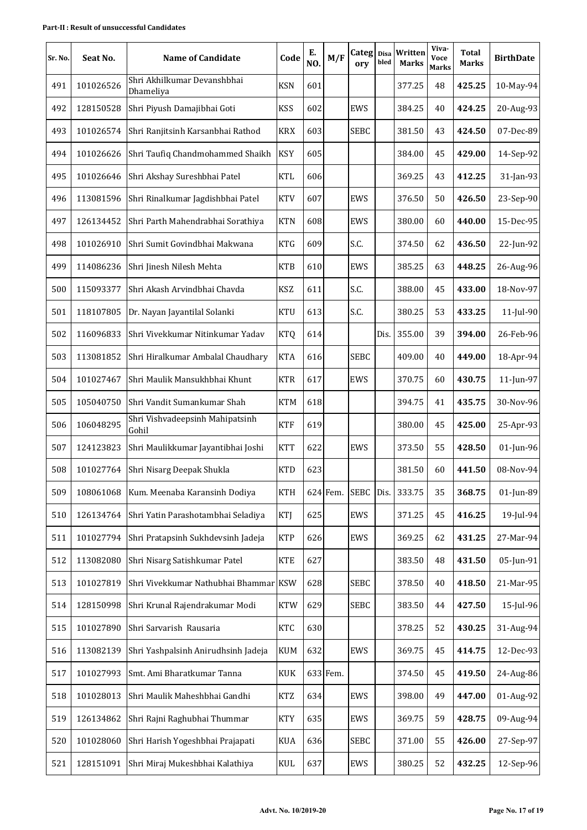| Sr. No. | Seat No.  | <b>Name of Candidate</b>                 | Code       | Е.<br>NO. | M/F      | Categ Disa<br>ory | bled | Written<br><b>Marks</b> | Viva-<br>Voce<br><b>Marks</b> | <b>Total</b><br><b>Marks</b> | <b>BirthDate</b> |
|---------|-----------|------------------------------------------|------------|-----------|----------|-------------------|------|-------------------------|-------------------------------|------------------------------|------------------|
| 491     | 101026526 | Shri Akhilkumar Devanshbhai<br>Dhameliya | <b>KSN</b> | 601       |          |                   |      | 377.25                  | 48                            | 425.25                       | 10-May-94        |
| 492     | 128150528 | Shri Piyush Damajibhai Goti              | <b>KSS</b> | 602       |          | EWS               |      | 384.25                  | 40                            | 424.25                       | 20-Aug-93        |
| 493     | 101026574 | Shri Ranjitsinh Karsanbhai Rathod        | <b>KRX</b> | 603       |          | <b>SEBC</b>       |      | 381.50                  | 43                            | 424.50                       | 07-Dec-89        |
| 494     | 101026626 | Shri Taufiq Chandmohammed Shaikh         | <b>KSY</b> | 605       |          |                   |      | 384.00                  | 45                            | 429.00                       | 14-Sep-92        |
| 495     | 101026646 | Shri Akshay Sureshbhai Patel             | KTL        | 606       |          |                   |      | 369.25                  | 43                            | 412.25                       | 31-Jan-93        |
| 496     | 113081596 | Shri Rinalkumar Jagdishbhai Patel        | <b>KTV</b> | 607       |          | <b>EWS</b>        |      | 376.50                  | 50                            | 426.50                       | 23-Sep-90        |
| 497     | 126134452 | Shri Parth Mahendrabhai Sorathiya        | <b>KTN</b> | 608       |          | <b>EWS</b>        |      | 380.00                  | 60                            | 440.00                       | 15-Dec-95        |
| 498     | 101026910 | Shri Sumit Govindbhai Makwana            | <b>KTG</b> | 609       |          | S.C.              |      | 374.50                  | 62                            | 436.50                       | 22-Jun-92        |
| 499     | 114086236 | Shri Jinesh Nilesh Mehta                 | <b>KTB</b> | 610       |          | EWS               |      | 385.25                  | 63                            | 448.25                       | 26-Aug-96        |
| 500     | 115093377 | Shri Akash Arvindbhai Chavda             | KSZ        | 611       |          | S.C.              |      | 388.00                  | 45                            | 433.00                       | 18-Nov-97        |
| 501     | 118107805 | Dr. Nayan Jayantilal Solanki             | <b>KTU</b> | 613       |          | S.C.              |      | 380.25                  | 53                            | 433.25                       | 11-Jul-90        |
| 502     | 116096833 | Shri Vivekkumar Nitinkumar Yadav         | <b>KTQ</b> | 614       |          |                   | Dis. | 355.00                  | 39                            | 394.00                       | 26-Feb-96        |
| 503     | 113081852 | Shri Hiralkumar Ambalal Chaudhary        | <b>KTA</b> | 616       |          | <b>SEBC</b>       |      | 409.00                  | 40                            | 449.00                       | 18-Apr-94        |
| 504     | 101027467 | Shri Maulik Mansukhbhai Khunt            | <b>KTR</b> | 617       |          | EWS               |      | 370.75                  | 60                            | 430.75                       | 11-Jun-97        |
| 505     | 105040750 | Shri Vandit Sumankumar Shah              | <b>KTM</b> | 618       |          |                   |      | 394.75                  | 41                            | 435.75                       | 30-Nov-96        |
| 506     | 106048295 | Shri Vishvadeepsinh Mahipatsinh<br>Gohil | <b>KTF</b> | 619       |          |                   |      | 380.00                  | 45                            | 425.00                       | 25-Apr-93        |
| 507     | 124123823 | Shri Maulikkumar Jayantibhai Joshi       | <b>KTT</b> | 622       |          | EWS               |      | 373.50                  | 55                            | 428.50                       | 01-Jun-96        |
| 508     | 101027764 | Shri Nisarg Deepak Shukla                | <b>KTD</b> | 623       |          |                   |      | 381.50                  | 60                            | 441.50                       | 08-Nov-94        |
| 509     | 108061068 | Kum. Meenaba Karansinh Dodiya            | <b>KTH</b> |           | 624 Fem. | <b>SEBC</b>       | Dis. | 333.75                  | 35                            | 368.75                       | 01-Jun-89        |
| 510     | 126134764 | Shri Yatin Parashotambhai Seladiya       | KTJ        | 625       |          | EWS               |      | 371.25                  | 45                            | 416.25                       | 19-Jul-94        |
| 511     | 101027794 | Shri Pratapsinh Sukhdevsinh Jadeja       | <b>KTP</b> | 626       |          | EWS               |      | 369.25                  | 62                            | 431.25                       | 27-Mar-94        |
| 512     | 113082080 | Shri Nisarg Satishkumar Patel            | <b>KTE</b> | 627       |          |                   |      | 383.50                  | 48                            | 431.50                       | 05-Jun-91        |
| 513     | 101027819 | Shri Vivekkumar Nathubhai Bhammar KSW    |            | 628       |          | <b>SEBC</b>       |      | 378.50                  | 40                            | 418.50                       | 21-Mar-95        |
| 514     | 128150998 | Shri Krunal Rajendrakumar Modi           | <b>KTW</b> | 629       |          | <b>SEBC</b>       |      | 383.50                  | 44                            | 427.50                       | 15-Jul-96        |
| 515     | 101027890 | Shri Sarvarish Rausaria                  | <b>KTC</b> | 630       |          |                   |      | 378.25                  | 52                            | 430.25                       | 31-Aug-94        |
| 516     | 113082139 | Shri Yashpalsinh Anirudhsinh Jadeja      | KUM        | 632       |          | EWS               |      | 369.75                  | 45                            | 414.75                       | 12-Dec-93        |
| 517     | 101027993 | Smt. Ami Bharatkumar Tanna               | <b>KUK</b> |           | 633 Fem. |                   |      | 374.50                  | 45                            | 419.50                       | 24-Aug-86        |
| 518     | 101028013 | Shri Maulik Maheshbhai Gandhi            | <b>KTZ</b> | 634       |          | EWS               |      | 398.00                  | 49                            | 447.00                       | 01-Aug-92        |
| 519     | 126134862 | Shri Rajni Raghubhai Thummar             | <b>KTY</b> | 635       |          | EWS               |      | 369.75                  | 59                            | 428.75                       | 09-Aug-94        |
| 520     | 101028060 | Shri Harish Yogeshbhai Prajapati         | <b>KUA</b> | 636       |          | <b>SEBC</b>       |      | 371.00                  | 55                            | 426.00                       | 27-Sep-97        |
| 521     | 128151091 | Shri Miraj Mukeshbhai Kalathiya          | KUL        | 637       |          | EWS               |      | 380.25                  | 52                            | 432.25                       | 12-Sep-96        |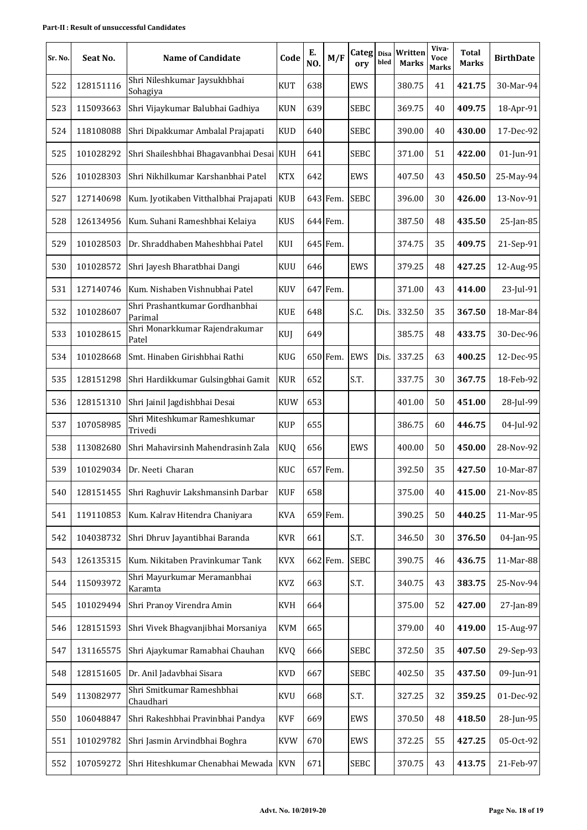| Sr. No. | Seat No.  | <b>Name of Candidate</b>                  | Code       | Е.<br>NO. | M/F      | Categ<br>ory | <b>Disa</b><br>bled | Written<br><b>Marks</b> | Viva-<br>Voce<br><b>Marks</b> | <b>Total</b><br><b>Marks</b> | <b>BirthDate</b> |
|---------|-----------|-------------------------------------------|------------|-----------|----------|--------------|---------------------|-------------------------|-------------------------------|------------------------------|------------------|
| 522     | 128151116 | Shri Nileshkumar Jaysukhbhai<br>Sohagiya  | <b>KUT</b> | 638       |          | EWS          |                     | 380.75                  | 41                            | 421.75                       | 30-Mar-94        |
| 523     | 115093663 | Shri Vijaykumar Balubhai Gadhiya          | <b>KUN</b> | 639       |          | <b>SEBC</b>  |                     | 369.75                  | 40                            | 409.75                       | 18-Apr-91        |
| 524     | 118108088 | Shri Dipakkumar Ambalal Prajapati         | <b>KUD</b> | 640       |          | <b>SEBC</b>  |                     | 390.00                  | 40                            | 430.00                       | 17-Dec-92        |
| 525     | 101028292 | Shri Shaileshbhai Bhagavanbhai Desai KUH  |            | 641       |          | <b>SEBC</b>  |                     | 371.00                  | 51                            | 422.00                       | 01-Jun-91        |
| 526     | 101028303 | Shri Nikhilkumar Karshanbhai Patel        | <b>KTX</b> | 642       |          | <b>EWS</b>   |                     | 407.50                  | 43                            | 450.50                       | 25-May-94        |
| 527     | 127140698 | Kum. Jyotikaben Vitthalbhai Prajapati KUB |            |           | 643 Fem. | <b>SEBC</b>  |                     | 396.00                  | 30                            | 426.00                       | 13-Nov-91        |
| 528     | 126134956 | Kum. Suhani Rameshbhai Kelaiya            | <b>KUS</b> |           | 644 Fem. |              |                     | 387.50                  | 48                            | 435.50                       | 25-Jan-85        |
| 529     | 101028503 | Dr. Shraddhaben Maheshbhai Patel          | KUI        |           | 645 Fem. |              |                     | 374.75                  | 35                            | 409.75                       | 21-Sep-91        |
| 530     | 101028572 | Shri Jayesh Bharatbhai Dangi              | <b>KUU</b> | 646       |          | <b>EWS</b>   |                     | 379.25                  | 48                            | 427.25                       | 12-Aug-95        |
| 531     | 127140746 | Kum. Nishaben Vishnubhai Patel            | <b>KUV</b> |           | 647 Fem. |              |                     | 371.00                  | 43                            | 414.00                       | 23-Jul-91        |
| 532     | 101028607 | Shri Prashantkumar Gordhanbhai<br>Parimal | <b>KUE</b> | 648       |          | S.C.         | Dis.                | 332.50                  | 35                            | 367.50                       | 18-Mar-84        |
| 533     | 101028615 | Shri Monarkkumar Rajendrakumar<br>Patel   | KUJ        | 649       |          |              |                     | 385.75                  | 48                            | 433.75                       | 30-Dec-96        |
| 534     | 101028668 | Smt. Hinaben Girishbhai Rathi             | <b>KUG</b> |           | 650 Fem. | <b>EWS</b>   | Dis.                | 337.25                  | 63                            | 400.25                       | 12-Dec-95        |
| 535     | 128151298 | Shri Hardikkumar Gulsingbhai Gamit        | <b>KUR</b> | 652       |          | S.T.         |                     | 337.75                  | 30                            | 367.75                       | 18-Feb-92        |
| 536     | 128151310 | Shri Jainil Jagdishbhai Desai             | <b>KUW</b> | 653       |          |              |                     | 401.00                  | 50                            | 451.00                       | 28-Jul-99        |
| 537     | 107058985 | Shri Miteshkumar Rameshkumar<br>Trivedi   | <b>KUP</b> | 655       |          |              |                     | 386.75                  | 60                            | 446.75                       | 04-Jul-92        |
| 538     | 113082680 | Shri Mahavirsinh Mahendrasinh Zala        | <b>KUQ</b> | 656       |          | EWS          |                     | 400.00                  | 50                            | 450.00                       | 28-Nov-92        |
| 539     | 101029034 | Dr. Neeti Charan                          | <b>KUC</b> |           | 657 Fem. |              |                     | 392.50                  | 35                            | 427.50                       | 10-Mar-87        |
| 540     | 128151455 | Shri Raghuvir Lakshmansinh Darbar         | <b>KUF</b> | 658       |          |              |                     | 375.00                  | 40                            | 415.00                       | 21-Nov-85        |
| 541     | 119110853 | Kum. Kalrav Hitendra Chaniyara            | <b>KVA</b> |           | 659 Fem. |              |                     | 390.25                  | 50                            | 440.25                       | 11-Mar-95        |
| 542     | 104038732 | Shri Dhruv Jayantibhai Baranda            | <b>KVR</b> | 661       |          | S.T.         |                     | 346.50                  | 30                            | 376.50                       | 04-Jan-95        |
| 543     | 126135315 | Kum. Nikitaben Pravinkumar Tank           | <b>KVX</b> |           | 662 Fem. | <b>SEBC</b>  |                     | 390.75                  | 46                            | 436.75                       | 11-Mar-88        |
| 544     | 115093972 | Shri Mayurkumar Meramanbhai<br>Karamta    | <b>KVZ</b> | 663       |          | S.T.         |                     | 340.75                  | 43                            | 383.75                       | 25-Nov-94        |
| 545     | 101029494 | Shri Pranoy Virendra Amin                 | <b>KVH</b> | 664       |          |              |                     | 375.00                  | 52                            | 427.00                       | 27-Jan-89        |
| 546     | 128151593 | Shri Vivek Bhagvanjibhai Morsaniya        | <b>KVM</b> | 665       |          |              |                     | 379.00                  | 40                            | 419.00                       | 15-Aug-97        |
| 547     | 131165575 | Shri Ajaykumar Ramabhai Chauhan           | <b>KVQ</b> | 666       |          | <b>SEBC</b>  |                     | 372.50                  | 35                            | 407.50                       | 29-Sep-93        |
| 548     | 128151605 | Dr. Anil Jadavbhai Sisara                 | <b>KVD</b> | 667       |          | <b>SEBC</b>  |                     | 402.50                  | 35                            | 437.50                       | 09-Jun-91        |
| 549     | 113082977 | Shri Smitkumar Rameshbhai<br>Chaudhari    | KVU        | 668       |          | S.T.         |                     | 327.25                  | 32                            | 359.25                       | 01-Dec-92        |
| 550     | 106048847 | Shri Rakeshbhai Pravinbhai Pandya         | <b>KVF</b> | 669       |          | EWS          |                     | 370.50                  | 48                            | 418.50                       | 28-Jun-95        |
| 551     | 101029782 | Shri Jasmin Arvindbhai Boghra             | <b>KVW</b> | 670       |          | EWS          |                     | 372.25                  | 55                            | 427.25                       | 05-Oct-92        |
| 552     | 107059272 | Shri Hiteshkumar Chenabhai Mewada KVN     |            | 671       |          | <b>SEBC</b>  |                     | 370.75                  | 43                            | 413.75                       | 21-Feb-97        |